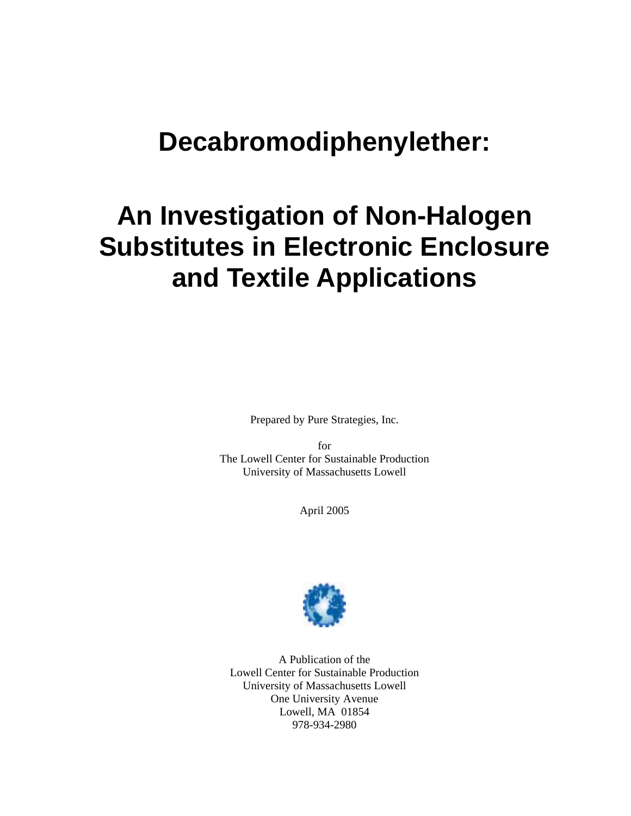## **Decabromodiphenylether:**

# **An Investigation of Non-Halogen Substitutes in Electronic Enclosure and Textile Applications**

Prepared by Pure Strategies, Inc.

for The Lowell Center for Sustainable Production University of Massachusetts Lowell

April 2005



A Publication of the Lowell Center for Sustainable Production University of Massachusetts Lowell One University Avenue Lowell, MA 01854 978-934-2980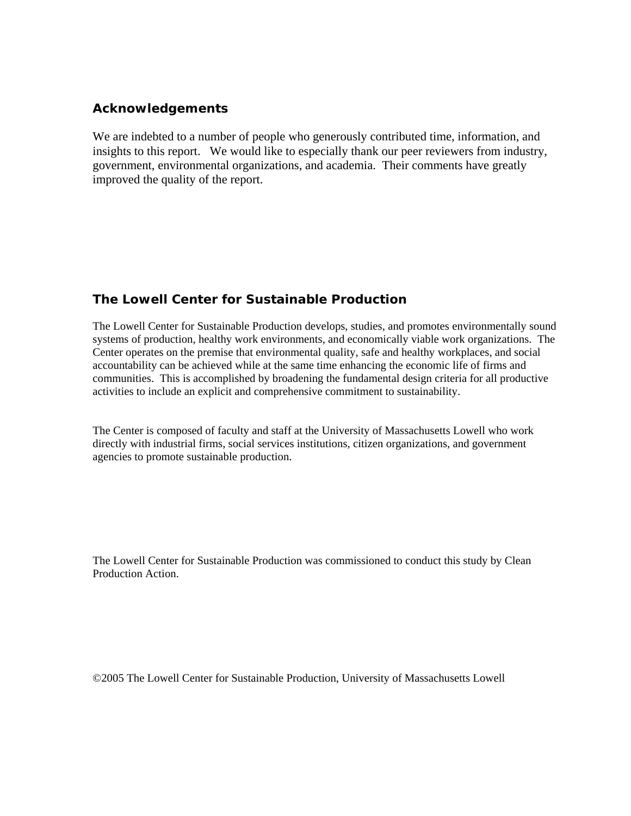### **Acknowledgements**

We are indebted to a number of people who generously contributed time, information, and insights to this report. We would like to especially thank our peer reviewers from industry, government, environmental organizations, and academia. Their comments have greatly improved the quality of the report.

### **The Lowell Center for Sustainable Production**

The Lowell Center for Sustainable Production develops, studies, and promotes environmentally sound systems of production, healthy work environments, and economically viable work organizations. The Center operates on the premise that environmental quality, safe and healthy workplaces, and social accountability can be achieved while at the same time enhancing the economic life of firms and communities. This is accomplished by broadening the fundamental design criteria for all productive activities to include an explicit and comprehensive commitment to sustainability.

The Center is composed of faculty and staff at the University of Massachusetts Lowell who work directly with industrial firms, social services institutions, citizen organizations, and government agencies to promote sustainable production.

The Lowell Center for Sustainable Production was commissioned to conduct this study by Clean Production Action.

©2005 The Lowell Center for Sustainable Production, University of Massachusetts Lowell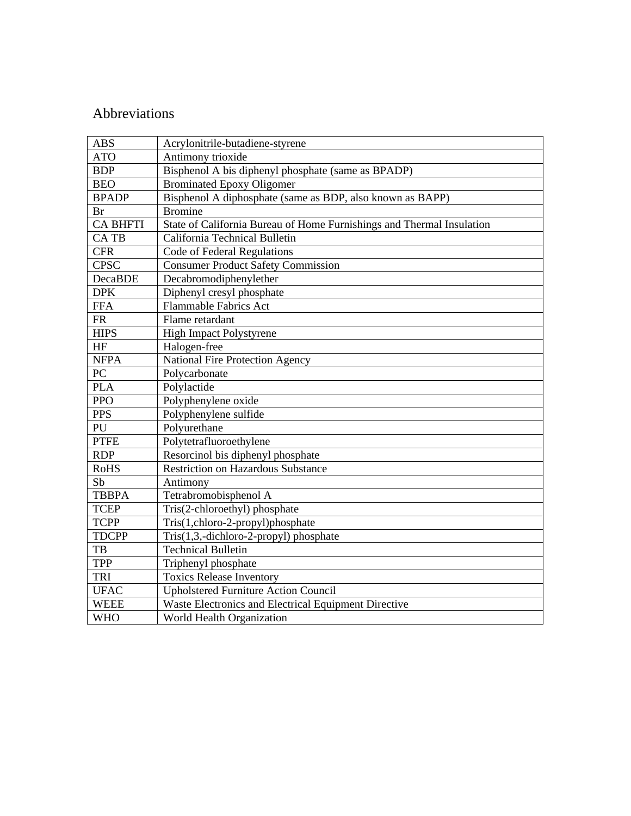### Abbreviations

| <b>ABS</b>      | Acrylonitrile-butadiene-styrene                                       |  |
|-----------------|-----------------------------------------------------------------------|--|
| <b>ATO</b>      | Antimony trioxide                                                     |  |
| <b>BDP</b>      | Bisphenol A bis diphenyl phosphate (same as BPADP)                    |  |
| <b>BEO</b>      | <b>Brominated Epoxy Oligomer</b>                                      |  |
| <b>BPADP</b>    | Bisphenol A diphosphate (same as BDP, also known as BAPP)             |  |
| <b>Br</b>       | <b>Bromine</b>                                                        |  |
| <b>CA BHFTI</b> | State of California Bureau of Home Furnishings and Thermal Insulation |  |
| CA TB           | California Technical Bulletin                                         |  |
| <b>CFR</b>      | Code of Federal Regulations                                           |  |
| <b>CPSC</b>     | <b>Consumer Product Safety Commission</b>                             |  |
| DecaBDE         | Decabromodiphenylether                                                |  |
| <b>DPK</b>      | Diphenyl cresyl phosphate                                             |  |
| <b>FFA</b>      | <b>Flammable Fabrics Act</b>                                          |  |
| ${\sf FR}$      | Flame retardant                                                       |  |
| <b>HIPS</b>     | <b>High Impact Polystyrene</b>                                        |  |
| HF              | Halogen-free                                                          |  |
| <b>NFPA</b>     | National Fire Protection Agency                                       |  |
| PC              | Polycarbonate                                                         |  |
| <b>PLA</b>      | Polylactide                                                           |  |
| <b>PPO</b>      | Polyphenylene oxide                                                   |  |
| <b>PPS</b>      | Polyphenylene sulfide                                                 |  |
| PU              | Polyurethane                                                          |  |
| <b>PTFE</b>     | Polytetrafluoroethylene                                               |  |
| <b>RDP</b>      | Resorcinol bis diphenyl phosphate                                     |  |
| <b>RoHS</b>     | <b>Restriction on Hazardous Substance</b>                             |  |
| Sb              | Antimony                                                              |  |
| <b>TBBPA</b>    | Tetrabromobisphenol A                                                 |  |
| <b>TCEP</b>     | Tris(2-chloroethyl) phosphate                                         |  |
| <b>TCPP</b>     | Tris(1,chloro-2-propyl)phosphate                                      |  |
| <b>TDCPP</b>    | Tris(1,3,-dichloro-2-propyl) phosphate                                |  |
| TB              | <b>Technical Bulletin</b>                                             |  |
| <b>TPP</b>      | Triphenyl phosphate                                                   |  |
| <b>TRI</b>      | <b>Toxics Release Inventory</b>                                       |  |
| <b>UFAC</b>     | <b>Upholstered Furniture Action Council</b>                           |  |
| <b>WEEE</b>     | Waste Electronics and Electrical Equipment Directive                  |  |
| <b>WHO</b>      | World Health Organization                                             |  |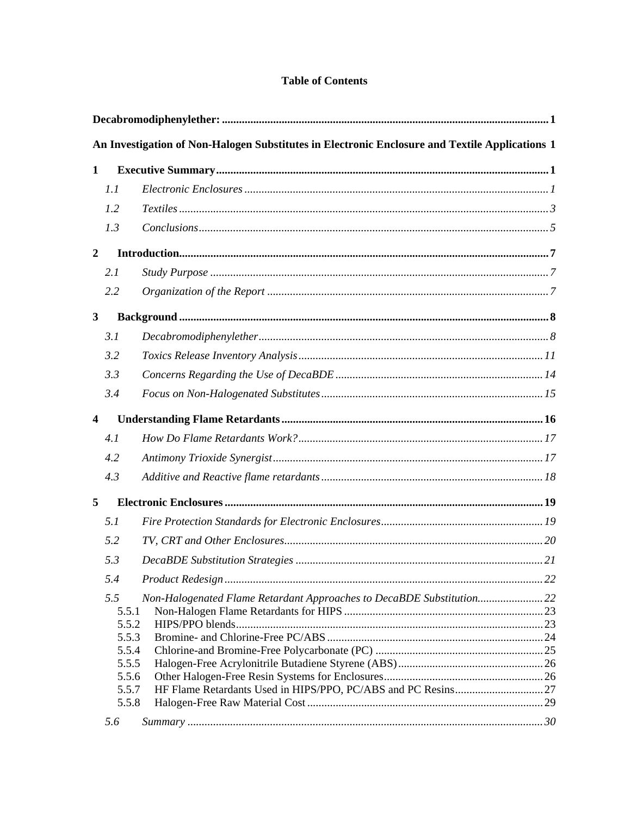### **Table of Contents**

|                         |                                | An Investigation of Non-Halogen Substitutes in Electronic Enclosure and Textile Applications 1 |  |
|-------------------------|--------------------------------|------------------------------------------------------------------------------------------------|--|
| 1                       |                                |                                                                                                |  |
|                         | 1.1                            |                                                                                                |  |
|                         | 1.2                            |                                                                                                |  |
|                         | 1.3                            |                                                                                                |  |
| $\boldsymbol{2}$        |                                |                                                                                                |  |
|                         | 2.1                            |                                                                                                |  |
|                         | 2.2                            |                                                                                                |  |
| $\mathbf{3}$            |                                |                                                                                                |  |
|                         | 3.1                            |                                                                                                |  |
|                         | 3.2                            |                                                                                                |  |
|                         | 3.3                            |                                                                                                |  |
|                         | 3.4                            |                                                                                                |  |
| $\overline{\mathbf{4}}$ |                                |                                                                                                |  |
|                         | 4.1                            |                                                                                                |  |
|                         | 4.2                            |                                                                                                |  |
|                         | 4.3                            |                                                                                                |  |
| 5                       |                                |                                                                                                |  |
|                         | 5.1                            |                                                                                                |  |
|                         | 5.2                            |                                                                                                |  |
|                         | 5.3                            |                                                                                                |  |
|                         | 5.4                            |                                                                                                |  |
|                         | 5.5<br>5.5.1<br>5.5.2<br>5.5.3 | Non-Halogenated Flame Retardant Approaches to DecaBDE Substitution22                           |  |
|                         | 5.5.4                          |                                                                                                |  |
|                         | 5.5.5<br>5.5.6                 |                                                                                                |  |
|                         | 5.5.7                          |                                                                                                |  |
|                         | 5.5.8                          |                                                                                                |  |
|                         | 5.6                            |                                                                                                |  |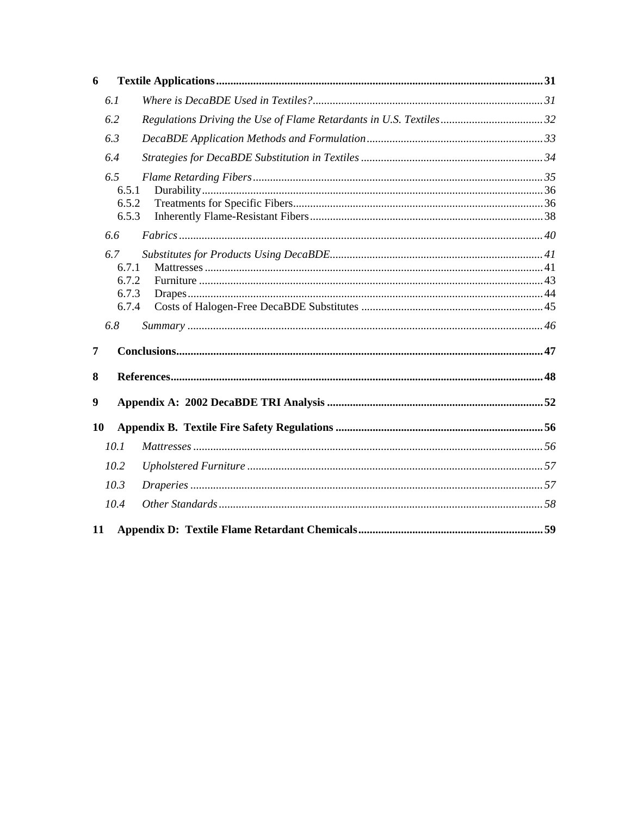| 6  |       |  |
|----|-------|--|
|    | 6.1   |  |
|    | 6.2   |  |
|    | 6.3   |  |
|    | 6.4   |  |
|    | 6.5   |  |
|    | 6.5.1 |  |
|    | 6.5.2 |  |
|    | 6.5.3 |  |
|    | 6.6   |  |
|    | 6.7   |  |
|    | 6.7.1 |  |
|    | 6.7.2 |  |
|    | 6.7.3 |  |
|    | 6.7.4 |  |
|    | 6.8   |  |
| 7  |       |  |
| 8  |       |  |
| 9  |       |  |
| 10 |       |  |
|    | 10.1  |  |
|    | 10.2  |  |
|    | 10.3  |  |
|    | 10.4  |  |
|    |       |  |
| 11 |       |  |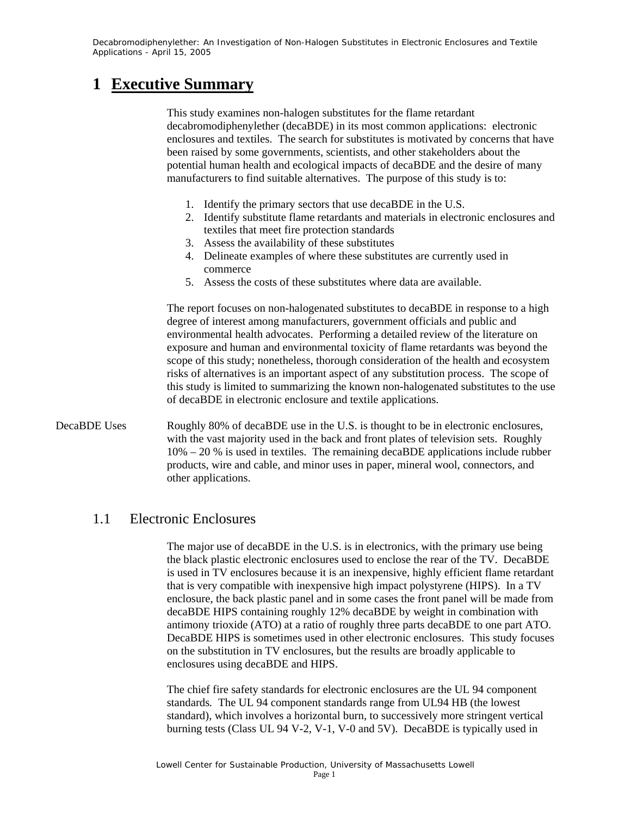### **1 Executive Summary**

This study examines non-halogen substitutes for the flame retardant decabromodiphenylether (decaBDE) in its most common applications: electronic enclosures and textiles. The search for substitutes is motivated by concerns that have been raised by some governments, scientists, and other stakeholders about the potential human health and ecological impacts of decaBDE and the desire of many manufacturers to find suitable alternatives. The purpose of this study is to:

- 1. Identify the primary sectors that use decaBDE in the U.S.
- 2. Identify substitute flame retardants and materials in electronic enclosures and textiles that meet fire protection standards
- 3. Assess the availability of these substitutes
- 4. Delineate examples of where these substitutes are currently used in commerce
- 5. Assess the costs of these substitutes where data are available.

The report focuses on non-halogenated substitutes to decaBDE in response to a high degree of interest among manufacturers, government officials and public and environmental health advocates. Performing a detailed review of the literature on exposure and human and environmental toxicity of flame retardants was beyond the scope of this study; nonetheless, thorough consideration of the health and ecosystem risks of alternatives is an important aspect of any substitution process. The scope of this study is limited to summarizing the known non-halogenated substitutes to the use of decaBDE in electronic enclosure and textile applications.

DecaBDE Uses Roughly 80% of decaBDE use in the U.S. is thought to be in electronic enclosures, with the vast majority used in the back and front plates of television sets. Roughly 10% – 20 % is used in textiles. The remaining decaBDE applications include rubber products, wire and cable, and minor uses in paper, mineral wool, connectors, and other applications.

### 1.1 Electronic Enclosures

The major use of decaBDE in the U.S. is in electronics, with the primary use being the black plastic electronic enclosures used to enclose the rear of the TV. DecaBDE is used in TV enclosures because it is an inexpensive, highly efficient flame retardant that is very compatible with inexpensive high impact polystyrene (HIPS). In a TV enclosure, the back plastic panel and in some cases the front panel will be made from decaBDE HIPS containing roughly 12% decaBDE by weight in combination with antimony trioxide (ATO) at a ratio of roughly three parts decaBDE to one part ATO. DecaBDE HIPS is sometimes used in other electronic enclosures. This study focuses on the substitution in TV enclosures, but the results are broadly applicable to enclosures using decaBDE and HIPS.

The chief fire safety standards for electronic enclosures are the UL 94 component standards*.* The UL 94 component standards range from UL94 HB (the lowest standard), which involves a horizontal burn, to successively more stringent vertical burning tests (Class UL 94 V-2, V-1, V-0 and 5V). DecaBDE is typically used in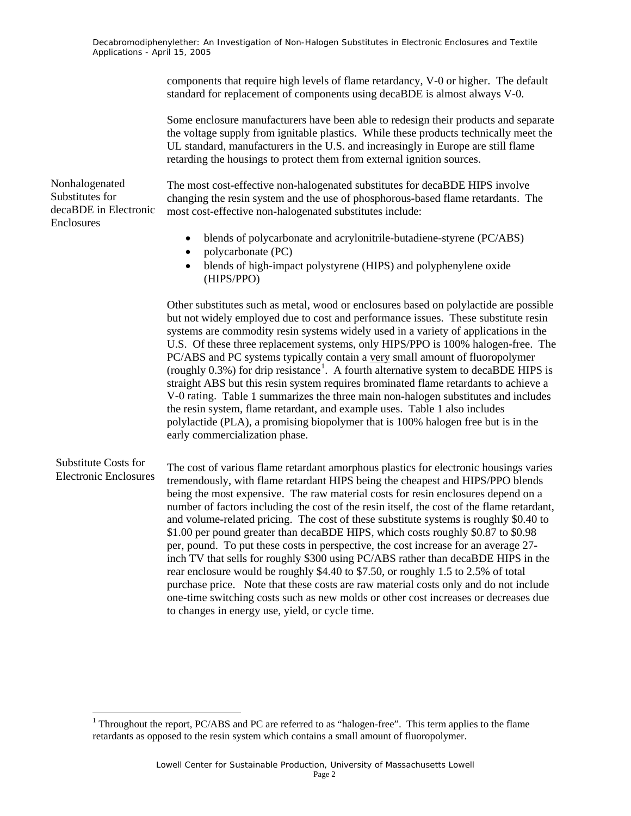> components that require high levels of flame retardancy, V-0 or higher. The default standard for replacement of components using decaBDE is almost always V-0.

Some enclosure manufacturers have been able to redesign their products and separate the voltage supply from ignitable plastics. While these products technically meet the UL standard, manufacturers in the U.S. and increasingly in Europe are still flame retarding the housings to protect them from external ignition sources.

Nonhalogenated Substitutes for decaBDE in Electronic Enclosures

The most cost-effective non-halogenated substitutes for decaBDE HIPS involve changing the resin system and the use of phosphorous-based flame retardants. The most cost-effective non-halogenated substitutes include:

- blends of polycarbonate and acrylonitrile-butadiene-styrene (PC/ABS)
- polycarbonate (PC)
- blends of high-impact polystyrene (HIPS) and polyphenylene oxide (HIPS/PPO)

Other substitutes such as metal, wood or enclosures based on polylactide are possible but not widely employed due to cost and performance issues. These substitute resin systems are commodity resin systems widely used in a variety of applications in the U.S. Of these three replacement systems, only HIPS/PPO is 100% halogen-free. The PC/ABS and PC systems typically contain a very small amount of fluoropolymer (roughly  $0.3\%$ ) for drip resistance<sup>1</sup>. A fourth alternative system to decaBDE HIPS is straight ABS but this resin system requires brominated flame retardants to achieve a V-0 rating. Table 1 summarizes the three main non-halogen substitutes and includes the resin system, flame retardant, and example uses. Table 1 also includes polylactide (PLA), a promising biopolymer that is 100% halogen free but is in the early commercialization phase.

#### Substitute Costs for Electronic Enclosures

l

The cost of various flame retardant amorphous plastics for electronic housings varies tremendously, with flame retardant HIPS being the cheapest and HIPS/PPO blends being the most expensive. The raw material costs for resin enclosures depend on a number of factors including the cost of the resin itself, the cost of the flame retardant, and volume-related pricing. The cost of these substitute systems is roughly \$0.40 to \$1.00 per pound greater than decaBDE HIPS, which costs roughly \$0.87 to \$0.98 per, pound. To put these costs in perspective, the cost increase for an average 27 inch TV that sells for roughly \$300 using PC/ABS rather than decaBDE HIPS in the rear enclosure would be roughly \$4.40 to \$7.50, or roughly 1.5 to 2.5% of total purchase price. Note that these costs are raw material costs only and do not include one-time switching costs such as new molds or other cost increases or decreases due to changes in energy use, yield, or cycle time.

<sup>&</sup>lt;sup>1</sup> Throughout the report, PC/ABS and PC are referred to as "halogen-free". This term applies to the flame retardants as opposed to the resin system which contains a small amount of fluoropolymer.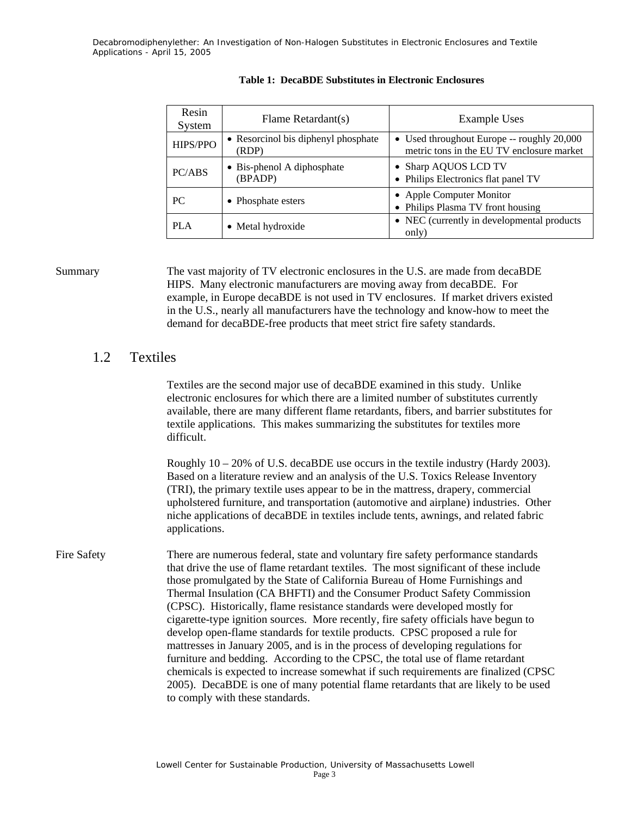| Resin<br>System | Flame Retardant(s)                           | <b>Example Uses</b>                                                                     |
|-----------------|----------------------------------------------|-----------------------------------------------------------------------------------------|
| HIPS/PPO        | • Resorcinol bis diphenyl phosphate<br>(RDP) | • Used throughout Europe -- roughly 20,000<br>metric tons in the EU TV enclosure market |
| PC/ABS          | • Bis-phenol A diphosphate<br>(BPADP)        | • Sharp AQUOS LCD TV<br>• Philips Electronics flat panel TV                             |
| <b>PC</b>       | • Phosphate esters                           | • Apple Computer Monitor<br>• Philips Plasma TV front housing                           |
| <b>PLA</b>      | • Metal hydroxide                            | • NEC (currently in developmental products<br>only)                                     |

#### **Table 1: DecaBDE Substitutes in Electronic Enclosures**

Summary The vast majority of TV electronic enclosures in the U.S. are made from decaBDE HIPS. Many electronic manufacturers are moving away from decaBDE. For example, in Europe decaBDE is not used in TV enclosures. If market drivers existed in the U.S., nearly all manufacturers have the technology and know-how to meet the demand for decaBDE-free products that meet strict fire safety standards.

### 1.2 Textiles

Textiles are the second major use of decaBDE examined in this study. Unlike electronic enclosures for which there are a limited number of substitutes currently available, there are many different flame retardants, fibers, and barrier substitutes for textile applications. This makes summarizing the substitutes for textiles more difficult.

Roughly 10 – 20% of U.S. decaBDE use occurs in the textile industry (Hardy 2003). Based on a literature review and an analysis of the U.S. Toxics Release Inventory (TRI), the primary textile uses appear to be in the mattress, drapery, commercial upholstered furniture, and transportation (automotive and airplane) industries. Other niche applications of decaBDE in textiles include tents, awnings, and related fabric applications.

Fire Safety There are numerous federal, state and voluntary fire safety performance standards that drive the use of flame retardant textiles. The most significant of these include those promulgated by the State of California Bureau of Home Furnishings and Thermal Insulation (CA BHFTI) and the Consumer Product Safety Commission (CPSC). Historically, flame resistance standards were developed mostly for cigarette-type ignition sources. More recently, fire safety officials have begun to develop open-flame standards for textile products. CPSC proposed a rule for mattresses in January 2005, and is in the process of developing regulations for furniture and bedding. According to the CPSC, the total use of flame retardant chemicals is expected to increase somewhat if such requirements are finalized (CPSC 2005). DecaBDE is one of many potential flame retardants that are likely to be used to comply with these standards.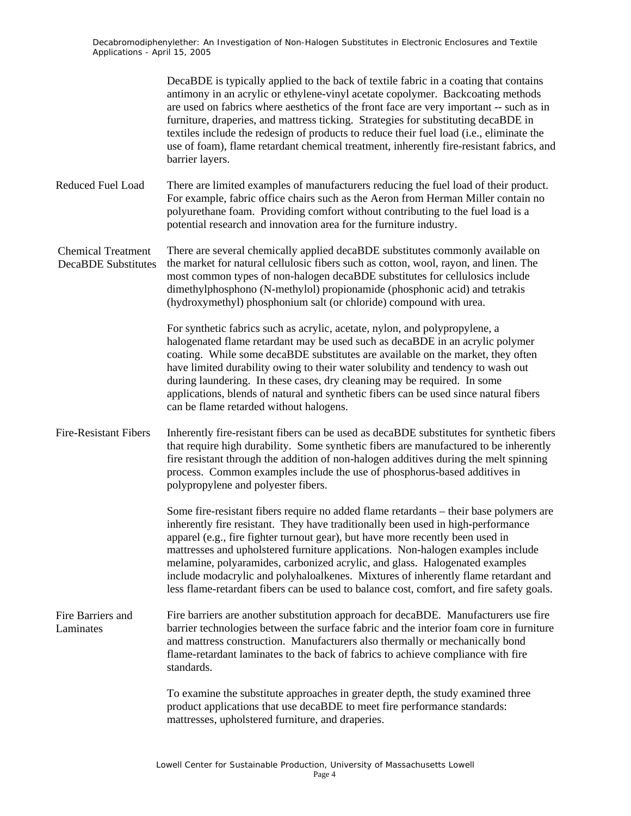|                                                         | DecaBDE is typically applied to the back of textile fabric in a coating that contains<br>antimony in an acrylic or ethylene-vinyl acetate copolymer. Backcoating methods<br>are used on fabrics where aesthetics of the front face are very important -- such as in<br>furniture, draperies, and mattress ticking. Strategies for substituting decaBDE in<br>textiles include the redesign of products to reduce their fuel load (i.e., eliminate the<br>use of foam), flame retardant chemical treatment, inherently fire-resistant fabrics, and<br>barrier layers.                                             |
|---------------------------------------------------------|------------------------------------------------------------------------------------------------------------------------------------------------------------------------------------------------------------------------------------------------------------------------------------------------------------------------------------------------------------------------------------------------------------------------------------------------------------------------------------------------------------------------------------------------------------------------------------------------------------------|
| <b>Reduced Fuel Load</b>                                | There are limited examples of manufacturers reducing the fuel load of their product.<br>For example, fabric office chairs such as the Aeron from Herman Miller contain no<br>polyurethane foam. Providing comfort without contributing to the fuel load is a<br>potential research and innovation area for the furniture industry.                                                                                                                                                                                                                                                                               |
| <b>Chemical Treatment</b><br><b>DecaBDE</b> Substitutes | There are several chemically applied decaBDE substitutes commonly available on<br>the market for natural cellulosic fibers such as cotton, wool, rayon, and linen. The<br>most common types of non-halogen decaBDE substitutes for cellulosics include<br>dimethylphosphono (N-methylol) propionamide (phosphonic acid) and tetrakis<br>(hydroxymethyl) phosphonium salt (or chloride) compound with urea.                                                                                                                                                                                                       |
|                                                         | For synthetic fabrics such as acrylic, acetate, nylon, and polypropylene, a<br>halogenated flame retardant may be used such as decaBDE in an acrylic polymer<br>coating. While some decaBDE substitutes are available on the market, they often<br>have limited durability owing to their water solubility and tendency to wash out<br>during laundering. In these cases, dry cleaning may be required. In some<br>applications, blends of natural and synthetic fibers can be used since natural fibers<br>can be flame retarded without halogens.                                                              |
| <b>Fire-Resistant Fibers</b>                            | Inherently fire-resistant fibers can be used as decaBDE substitutes for synthetic fibers<br>that require high durability. Some synthetic fibers are manufactured to be inherently<br>fire resistant through the addition of non-halogen additives during the melt spinning<br>process. Common examples include the use of phosphorus-based additives in<br>polypropylene and polyester fibers.                                                                                                                                                                                                                   |
|                                                         | Some fire-resistant fibers require no added flame retardants – their base polymers are<br>inherently fire resistant. They have traditionally been used in high-performance<br>apparel (e.g., fire fighter turnout gear), but have more recently been used in<br>mattresses and upholstered furniture applications. Non-halogen examples include<br>melamine, polyaramides, carbonized acrylic, and glass. Halogenated examples<br>include modacrylic and polyhaloalkenes. Mixtures of inherently flame retardant and<br>less flame-retardant fibers can be used to balance cost, comfort, and fire safety goals. |
| Fire Barriers and<br>Laminates                          | Fire barriers are another substitution approach for decaBDE. Manufacturers use fire<br>barrier technologies between the surface fabric and the interior foam core in furniture<br>and mattress construction. Manufacturers also thermally or mechanically bond<br>flame-retardant laminates to the back of fabrics to achieve compliance with fire<br>standards.                                                                                                                                                                                                                                                 |
|                                                         | To examine the substitute approaches in greater depth, the study examined three<br>product applications that use decaBDE to meet fire performance standards:<br>mattresses, upholstered furniture, and draperies.                                                                                                                                                                                                                                                                                                                                                                                                |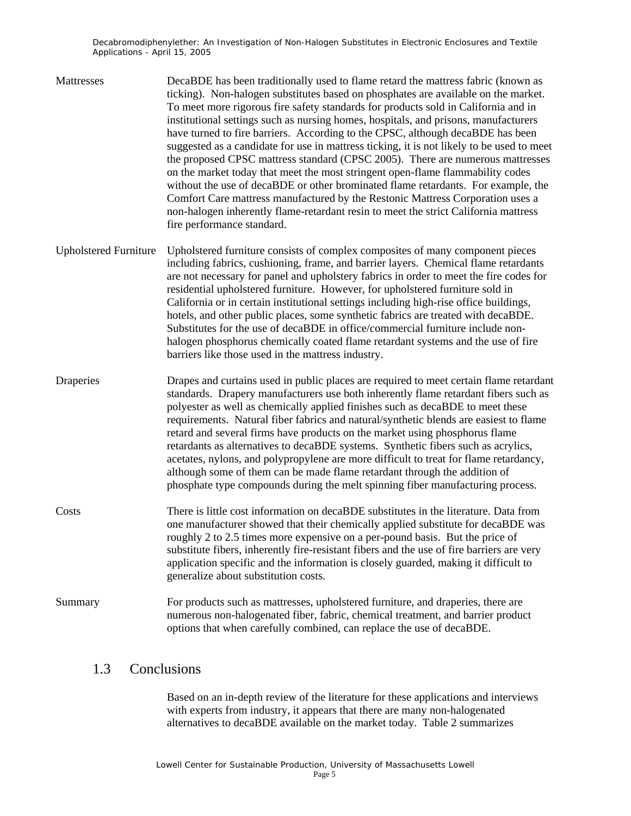- Mattresses DecaBDE has been traditionally used to flame retard the mattress fabric (known as ticking). Non-halogen substitutes based on phosphates are available on the market. To meet more rigorous fire safety standards for products sold in California and in institutional settings such as nursing homes, hospitals, and prisons, manufacturers have turned to fire barriers. According to the CPSC, although decaBDE has been suggested as a candidate for use in mattress ticking, it is not likely to be used to meet the proposed CPSC mattress standard (CPSC 2005). There are numerous mattresses on the market today that meet the most stringent open-flame flammability codes without the use of decaBDE or other brominated flame retardants. For example, the Comfort Care mattress manufactured by the Restonic Mattress Corporation uses a non-halogen inherently flame-retardant resin to meet the strict California mattress fire performance standard.
- Upholstered Furniture Upholstered furniture consists of complex composites of many component pieces including fabrics, cushioning, frame, and barrier layers. Chemical flame retardants are not necessary for panel and upholstery fabrics in order to meet the fire codes for residential upholstered furniture. However, for upholstered furniture sold in California or in certain institutional settings including high-rise office buildings, hotels, and other public places, some synthetic fabrics are treated with decaBDE. Substitutes for the use of decaBDE in office/commercial furniture include nonhalogen phosphorus chemically coated flame retardant systems and the use of fire barriers like those used in the mattress industry.

Draperies Drapes and curtains used in public places are required to meet certain flame retardant standards. Drapery manufacturers use both inherently flame retardant fibers such as polyester as well as chemically applied finishes such as decaBDE to meet these requirements. Natural fiber fabrics and natural/synthetic blends are easiest to flame retard and several firms have products on the market using phosphorus flame retardants as alternatives to decaBDE systems. Synthetic fibers such as acrylics, acetates, nylons, and polypropylene are more difficult to treat for flame retardancy, although some of them can be made flame retardant through the addition of phosphate type compounds during the melt spinning fiber manufacturing process.

- Costs There is little cost information on decaBDE substitutes in the literature. Data from one manufacturer showed that their chemically applied substitute for decaBDE was roughly 2 to 2.5 times more expensive on a per-pound basis. But the price of substitute fibers, inherently fire-resistant fibers and the use of fire barriers are very application specific and the information is closely guarded, making it difficult to generalize about substitution costs.
- Summary For products such as mattresses, upholstered furniture, and draperies, there are numerous non-halogenated fiber, fabric, chemical treatment, and barrier product options that when carefully combined, can replace the use of decaBDE.

### 1.3 Conclusions

Based on an in-depth review of the literature for these applications and interviews with experts from industry, it appears that there are many non-halogenated alternatives to decaBDE available on the market today. Table 2 summarizes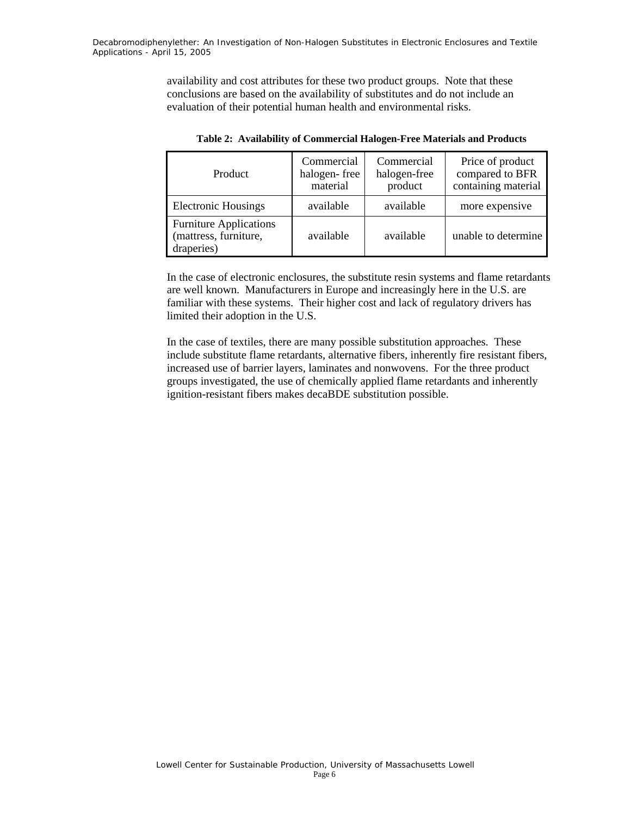availability and cost attributes for these two product groups. Note that these conclusions are based on the availability of substitutes and do not include an evaluation of their potential human health and environmental risks.

| Product                                                              | Commercial<br>halogen-free<br>material | Commercial<br>halogen-free<br>product | Price of product<br>compared to BFR<br>containing material |
|----------------------------------------------------------------------|----------------------------------------|---------------------------------------|------------------------------------------------------------|
| <b>Electronic Housings</b>                                           | available                              | available                             | more expensive                                             |
| <b>Furniture Applications</b><br>(mattress, furniture,<br>draperies) | available                              | available                             | unable to determine                                        |

**Table 2: Availability of Commercial Halogen-Free Materials and Products** 

In the case of electronic enclosures, the substitute resin systems and flame retardants are well known. Manufacturers in Europe and increasingly here in the U.S. are familiar with these systems. Their higher cost and lack of regulatory drivers has limited their adoption in the U.S.

In the case of textiles, there are many possible substitution approaches. These include substitute flame retardants, alternative fibers, inherently fire resistant fibers, increased use of barrier layers, laminates and nonwovens. For the three product groups investigated, the use of chemically applied flame retardants and inherently ignition-resistant fibers makes decaBDE substitution possible.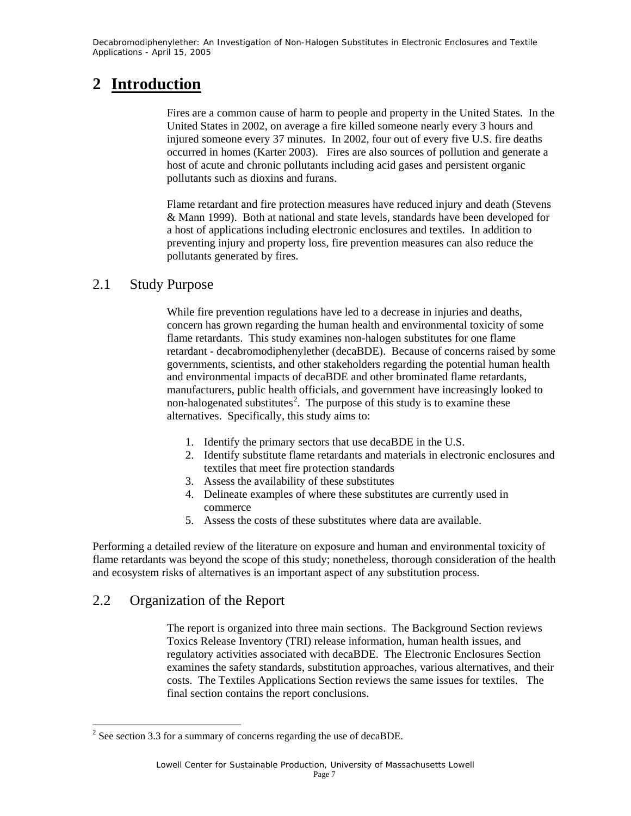### **2 Introduction**

Fires are a common cause of harm to people and property in the United States. In the United States in 2002, on average a fire killed someone nearly every 3 hours and injured someone every 37 minutes. In 2002, four out of every five U.S. fire deaths occurred in homes (Karter 2003). Fires are also sources of pollution and generate a host of acute and chronic pollutants including acid gases and persistent organic pollutants such as dioxins and furans.

Flame retardant and fire protection measures have reduced injury and death (Stevens & Mann 1999). Both at national and state levels, standards have been developed for a host of applications including electronic enclosures and textiles. In addition to preventing injury and property loss, fire prevention measures can also reduce the pollutants generated by fires.

### 2.1 Study Purpose

While fire prevention regulations have led to a decrease in injuries and deaths, concern has grown regarding the human health and environmental toxicity of some flame retardants. This study examines non-halogen substitutes for one flame retardant - decabromodiphenylether (decaBDE). Because of concerns raised by some governments, scientists, and other stakeholders regarding the potential human health and environmental impacts of decaBDE and other brominated flame retardants, manufacturers, public health officials, and government have increasingly looked to non-halogenated substitutes<sup>2</sup>. The purpose of this study is to examine these alternatives. Specifically, this study aims to:

- 1. Identify the primary sectors that use decaBDE in the U.S.
- 2. Identify substitute flame retardants and materials in electronic enclosures and textiles that meet fire protection standards
- 3. Assess the availability of these substitutes
- 4. Delineate examples of where these substitutes are currently used in commerce
- 5. Assess the costs of these substitutes where data are available.

Performing a detailed review of the literature on exposure and human and environmental toxicity of flame retardants was beyond the scope of this study; nonetheless, thorough consideration of the health and ecosystem risks of alternatives is an important aspect of any substitution process.

### 2.2 Organization of the Report

l

The report is organized into three main sections. The Background Section reviews Toxics Release Inventory (TRI) release information, human health issues, and regulatory activities associated with decaBDE. The Electronic Enclosures Section examines the safety standards, substitution approaches, various alternatives, and their costs. The Textiles Applications Section reviews the same issues for textiles. The final section contains the report conclusions.

<sup>&</sup>lt;sup>2</sup> See section 3.3 for a summary of concerns regarding the use of decaBDE.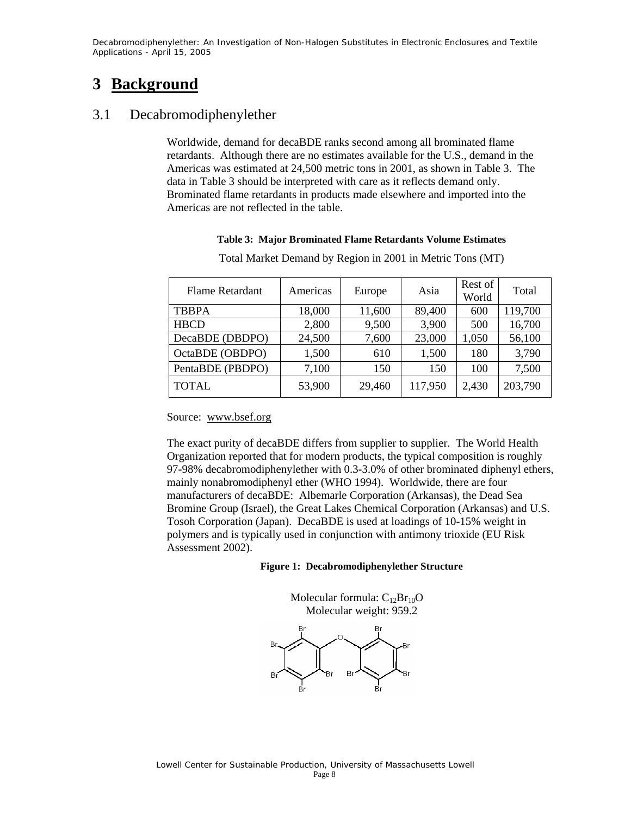### **3 Background**

### 3.1 Decabromodiphenylether

Worldwide, demand for decaBDE ranks second among all brominated flame retardants. Although there are no estimates available for the U.S., demand in the Americas was estimated at 24,500 metric tons in 2001, as shown in Table 3. The data in Table 3 should be interpreted with care as it reflects demand only. Brominated flame retardants in products made elsewhere and imported into the Americas are not reflected in the table.

#### **Table 3: Major Brominated Flame Retardants Volume Estimates**

| <b>Flame Retardant</b> | Americas | Europe | Asia    | Rest of<br>World | Total   |
|------------------------|----------|--------|---------|------------------|---------|
| <b>TBBPA</b>           | 18,000   | 11,600 | 89,400  | 600              | 119,700 |
| <b>HBCD</b>            | 2,800    | 9,500  | 3,900   | 500              | 16,700  |
| DecaBDE (DBDPO)        | 24,500   | 7,600  | 23,000  | 1,050            | 56,100  |
| OctaBDE (OBDPO)        | 1,500    | 610    | 1,500   | 180              | 3,790   |
| PentaBDE (PBDPO)       | 7,100    | 150    | 150     | 100              | 7,500   |
| <b>TOTAL</b>           | 53,900   | 29,460 | 117,950 | 2,430            | 203,790 |

Total Market Demand by Region in 2001 in Metric Tons (MT)

#### Source: www.bsef.org

The exact purity of decaBDE differs from supplier to supplier. The World Health Organization reported that for modern products, the typical composition is roughly 97-98% decabromodiphenylether with 0.3-3.0% of other brominated diphenyl ethers, mainly nonabromodiphenyl ether (WHO 1994). Worldwide, there are four manufacturers of decaBDE: Albemarle Corporation (Arkansas), the Dead Sea Bromine Group (Israel), the Great Lakes Chemical Corporation (Arkansas) and U.S. Tosoh Corporation (Japan). DecaBDE is used at loadings of 10-15% weight in polymers and is typically used in conjunction with antimony trioxide (EU Risk Assessment 2002).

#### **Figure 1: Decabromodiphenylether Structure**

Molecular formula:  $C_{12}Br_{10}O$ Molecular weight: 959.2

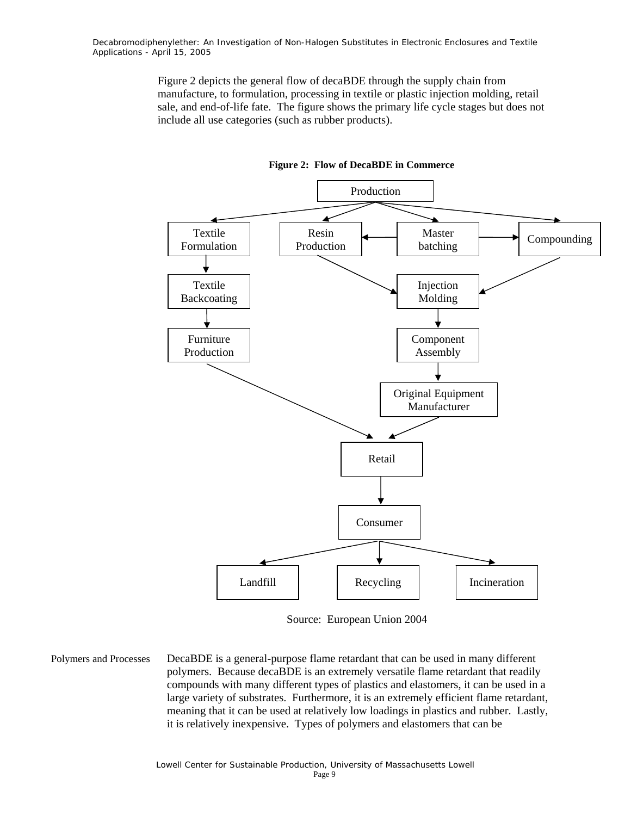> Figure 2 depicts the general flow of decaBDE through the supply chain from manufacture, to formulation, processing in textile or plastic injection molding, retail sale, and end-of-life fate. The figure shows the primary life cycle stages but does not include all use categories (such as rubber products).





Source: European Union 2004

Polymers and Processes DecaBDE is a general-purpose flame retardant that can be used in many different polymers. Because decaBDE is an extremely versatile flame retardant that readily compounds with many different types of plastics and elastomers, it can be used in a large variety of substrates. Furthermore, it is an extremely efficient flame retardant, meaning that it can be used at relatively low loadings in plastics and rubber. Lastly, it is relatively inexpensive. Types of polymers and elastomers that can be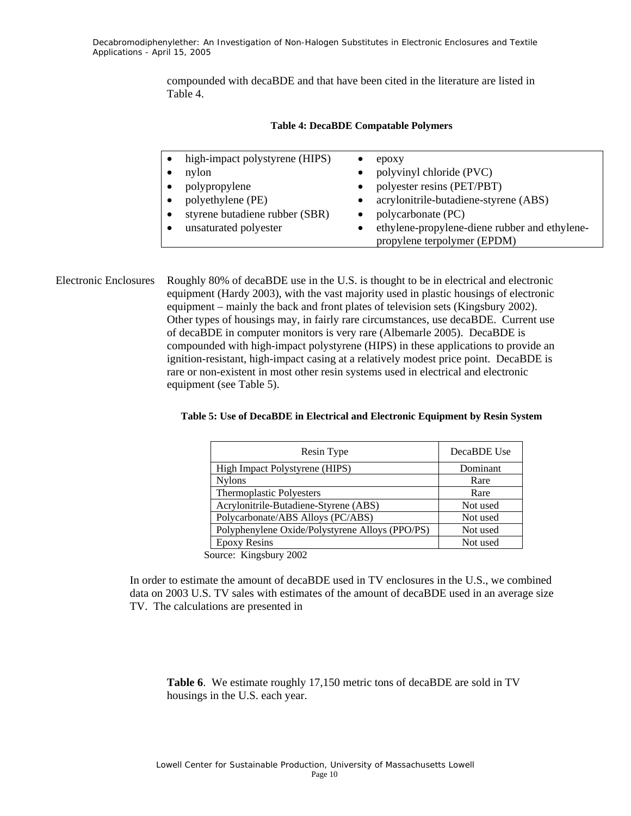compounded with decaBDE and that have been cited in the literature are listed in Table 4.

| high-impact polystyrene (HIPS) | epoxy                                                                        |
|--------------------------------|------------------------------------------------------------------------------|
| nylon                          | polyvinyl chloride (PVC)<br>$\bullet$                                        |
| polypropylene<br>$\bullet$     | polyester resins (PET/PBT)<br>$\bullet$                                      |
| polyethylene (PE)<br>$\bullet$ | acrylonitrile-butadiene-styrene (ABS)<br>$\bullet$                           |
| styrene butadiene rubber (SBR) | polycarbonate (PC)                                                           |
| unsaturated polyester          | ethylene-propylene-diene rubber and ethylene-<br>propylene terpolymer (EPDM) |

#### **Table 4: DecaBDE Compatable Polymers**

Electronic Enclosures Roughly 80% of decaBDE use in the U.S. is thought to be in electrical and electronic equipment (Hardy 2003), with the vast majority used in plastic housings of electronic equipment – mainly the back and front plates of television sets (Kingsbury 2002). Other types of housings may, in fairly rare circumstances, use decaBDE. Current use of decaBDE in computer monitors is very rare (Albemarle 2005). DecaBDE is compounded with high-impact polystyrene (HIPS) in these applications to provide an ignition-resistant, high-impact casing at a relatively modest price point. DecaBDE is rare or non-existent in most other resin systems used in electrical and electronic equipment (see Table 5).

| Table 5: Use of DecaBDE in Electrical and Electronic Equipment by Resin System |  |
|--------------------------------------------------------------------------------|--|
|--------------------------------------------------------------------------------|--|

| Resin Type                                      | DecaBDE Use |
|-------------------------------------------------|-------------|
| High Impact Polystyrene (HIPS)                  | Dominant    |
| <b>Nylons</b>                                   | Rare        |
| Thermoplastic Polyesters                        | Rare        |
| Acrylonitrile-Butadiene-Styrene (ABS)           | Not used    |
| Polycarbonate/ABS Alloys (PC/ABS)               | Not used    |
| Polyphenylene Oxide/Polystyrene Alloys (PPO/PS) | Not used    |
| <b>Epoxy Resins</b>                             | Not used    |

Source: Kingsbury 2002

In order to estimate the amount of decaBDE used in TV enclosures in the U.S., we combined data on 2003 U.S. TV sales with estimates of the amount of decaBDE used in an average size TV. The calculations are presented in

**Table 6**. We estimate roughly 17,150 metric tons of decaBDE are sold in TV housings in the U.S. each year.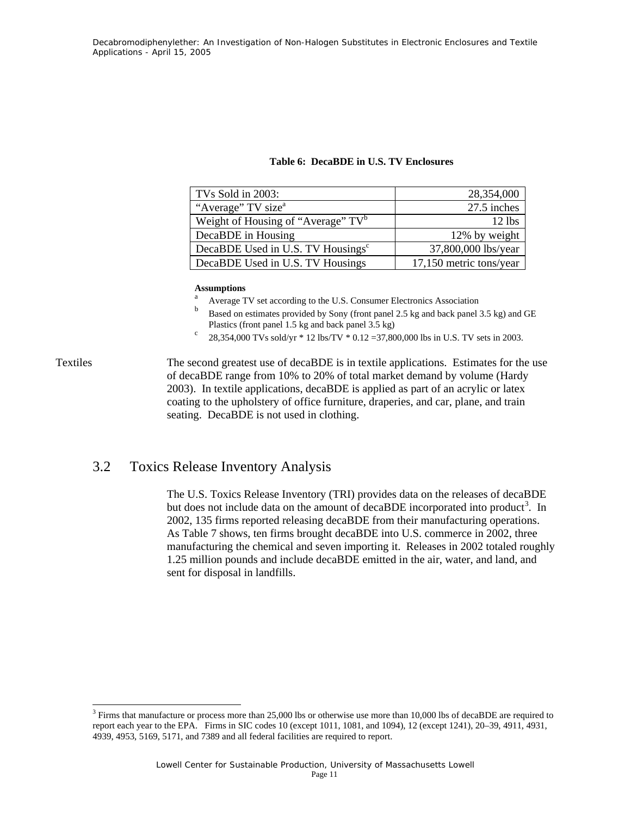|  |  |  |  | Table 6: DecaBDE in U.S. TV Enclosures |
|--|--|--|--|----------------------------------------|
|--|--|--|--|----------------------------------------|

| TVs Sold in 2003:                              | 28,354,000              |
|------------------------------------------------|-------------------------|
| "Average" TV size <sup>a</sup>                 | 27.5 inches             |
| Weight of Housing of "Average" TV <sup>b</sup> | $12$ lbs                |
| DecaBDE in Housing                             | 12% by weight           |
| DecaBDE Used in U.S. TV Housings <sup>c</sup>  | 37,800,000 lbs/year     |
| DecaBDE Used in U.S. TV Housings               | 17,150 metric tons/year |

#### **Assumptions**

- a Average TV set according to the U.S. Consumer Electronics Association
- b Based on estimates provided by Sony (front panel 2.5 kg and back panel 3.5 kg) and GE Plastics (front panel 1.5 kg and back panel 3.5 kg)
- 28,354,000 TVs sold/yr \* 12 lbs/TV \* 0.12 =37,800,000 lbs in U.S. TV sets in 2003.

Textiles The second greatest use of decaBDE is in textile applications. Estimates for the use of decaBDE range from 10% to 20% of total market demand by volume (Hardy 2003). In textile applications, decaBDE is applied as part of an acrylic or latex coating to the upholstery of office furniture, draperies, and car, plane, and train seating. DecaBDE is not used in clothing.

### 3.2 Toxics Release Inventory Analysis

 $\overline{\phantom{a}}$ 

The U.S. Toxics Release Inventory (TRI) provides data on the releases of decaBDE but does not include data on the amount of decaBDE incorporated into product<sup>3</sup>. In 2002, 135 firms reported releasing decaBDE from their manufacturing operations. As Table 7 shows, ten firms brought decaBDE into U.S. commerce in 2002, three manufacturing the chemical and seven importing it. Releases in 2002 totaled roughly 1.25 million pounds and include decaBDE emitted in the air, water, and land, and sent for disposal in landfills.

<sup>&</sup>lt;sup>3</sup> Firms that manufacture or process more than 25,000 lbs or otherwise use more than 10,000 lbs of decaBDE are required to report each year to the EPA. Firms in SIC codes 10 (except 1011, 1081, and 1094), 12 (except 1241), 20–39, 4911, 4931, 4939, 4953, 5169, 5171, and 7389 and all federal facilities are required to report.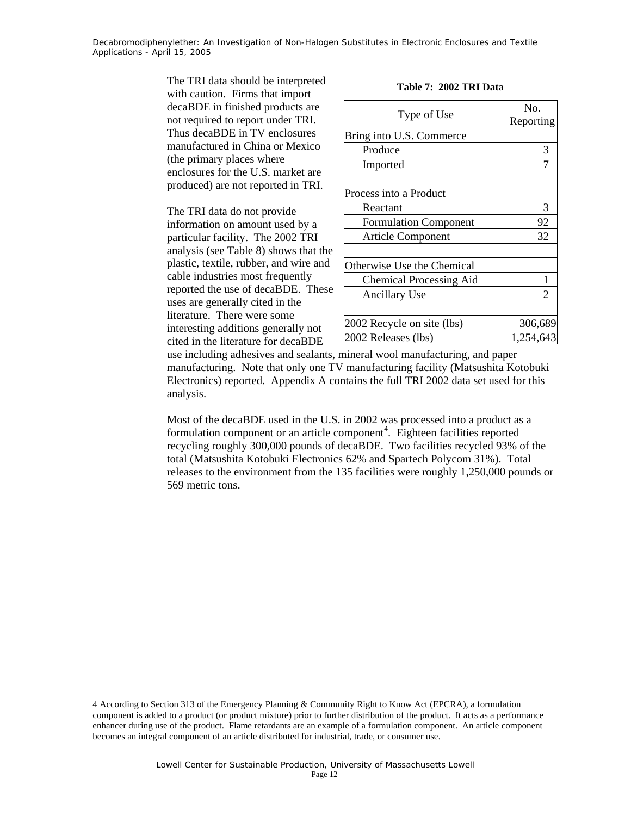> The TRI data should be interpreted with caution. Firms that import decaBDE in finished products are not required to report under TRI. Thus decaBDE in TV enclosures manufactured in China or Mexico (the primary places where enclosures for the U.S. market are produced) are not reported in TRI.

The TRI data do not provide information on amount used by a particular facility. The 2002 TRI analysis (see Table 8) shows that the plastic, textile, rubber, and wire and cable industries most frequently reported the use of decaBDE. These uses are generally cited in the literature. There were some interesting additions generally not cited in the literature for decaBDE

| Type of Use                    | No.<br>Reporting |
|--------------------------------|------------------|
| Bring into U.S. Commerce       |                  |
| Produce                        | 3                |
| Imported                       |                  |
|                                |                  |
| Process into a Product         |                  |
| Reactant                       | 3                |
| <b>Formulation Component</b>   | 92               |
| <b>Article Component</b>       | 32               |
|                                |                  |
| Otherwise Use the Chemical     |                  |
| <b>Chemical Processing Aid</b> |                  |
| Ancillary Use                  | $\mathfrak{D}$   |
|                                |                  |
| 2002 Recycle on site (lbs)     | 306,689          |
| 2002 Releases (lbs)            | 1,254,643        |

**Table 7: 2002 TRI Data** 

use including adhesives and sealants, mineral wool manufacturing, and paper manufacturing. Note that only one TV manufacturing facility (Matsushita Kotobuki Electronics) reported. Appendix A contains the full TRI 2002 data set used for this analysis.

Most of the decaBDE used in the U.S. in 2002 was processed into a product as a formulation component or an article component<sup>4</sup>. Eighteen facilities reported recycling roughly 300,000 pounds of decaBDE. Two facilities recycled 93% of the total (Matsushita Kotobuki Electronics 62% and Spartech Polycom 31%). Total releases to the environment from the 135 facilities were roughly 1,250,000 pounds or 569 metric tons.

l

<sup>4</sup> According to Section 313 of the Emergency Planning & Community Right to Know Act (EPCRA), a formulation component is added to a product (or product mixture) prior to further distribution of the product. It acts as a performance enhancer during use of the product. Flame retardants are an example of a formulation component. An article component becomes an integral component of an article distributed for industrial, trade, or consumer use.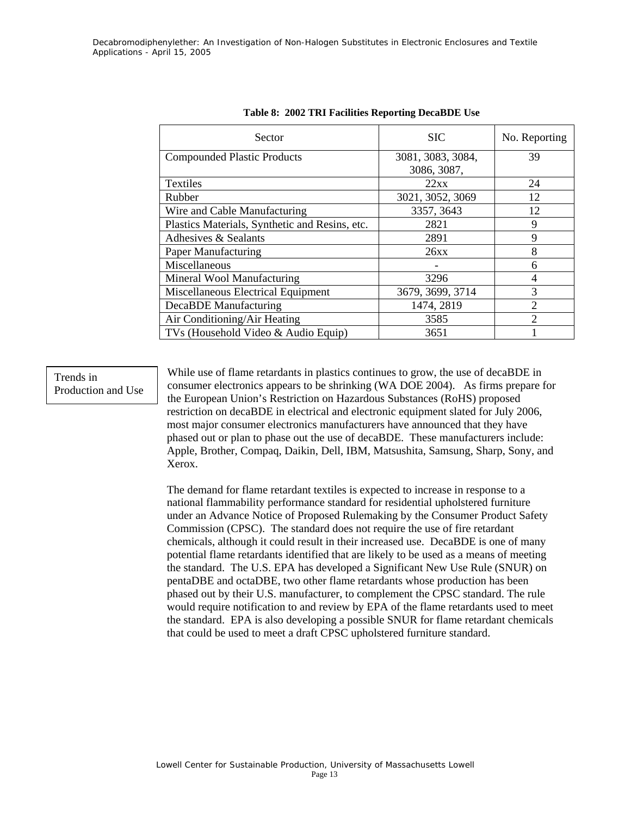| Sector                                         | <b>SIC</b>                       | No. Reporting  |
|------------------------------------------------|----------------------------------|----------------|
| <b>Compounded Plastic Products</b>             | 3081, 3083, 3084,<br>3086, 3087, | 39             |
| <b>Textiles</b>                                | 22xx                             | 24             |
| Rubber                                         | 3021, 3052, 3069                 | 12             |
| Wire and Cable Manufacturing                   | 3357, 3643                       | 12             |
| Plastics Materials, Synthetic and Resins, etc. | 2821                             | 9              |
| Adhesives & Sealants                           | 2891                             | $\mathbf Q$    |
| Paper Manufacturing                            | 26xx                             | 8              |
| Miscellaneous                                  |                                  | 6              |
| Mineral Wool Manufacturing                     | 3296                             | 4              |
| Miscellaneous Electrical Equipment             | 3679, 3699, 3714                 | 3              |
| DecaBDE Manufacturing                          | 1474, 2819                       | $\mathfrak{D}$ |
| Air Conditioning/Air Heating                   | 3585                             | $\mathcal{D}$  |
| TVs (Household Video & Audio Equip)            | 3651                             |                |

|  |  |  |  |  | Table 8: 2002 TRI Facilities Reporting DecaBDE Use |  |
|--|--|--|--|--|----------------------------------------------------|--|
|--|--|--|--|--|----------------------------------------------------|--|

#### Trends in Production and Use

While use of flame retardants in plastics continues to grow, the use of decaBDE in consumer electronics appears to be shrinking (WA DOE 2004). As firms prepare for the European Union's Restriction on Hazardous Substances (RoHS) proposed restriction on decaBDE in electrical and electronic equipment slated for July 2006, most major consumer electronics manufacturers have announced that they have phased out or plan to phase out the use of decaBDE. These manufacturers include: Apple, Brother, Compaq, Daikin, Dell, IBM, Matsushita, Samsung, Sharp, Sony, and Xerox.

The demand for flame retardant textiles is expected to increase in response to a national flammability performance standard for residential upholstered furniture under an Advance Notice of Proposed Rulemaking by the Consumer Product Safety Commission (CPSC). The standard does not require the use of fire retardant chemicals, although it could result in their increased use. DecaBDE is one of many potential flame retardants identified that are likely to be used as a means of meeting the standard. The U.S. EPA has developed a Significant New Use Rule (SNUR) on pentaDBE and octaDBE, two other flame retardants whose production has been phased out by their U.S. manufacturer, to complement the CPSC standard. The rule would require notification to and review by EPA of the flame retardants used to meet the standard. EPA is also developing a possible SNUR for flame retardant chemicals that could be used to meet a draft CPSC upholstered furniture standard.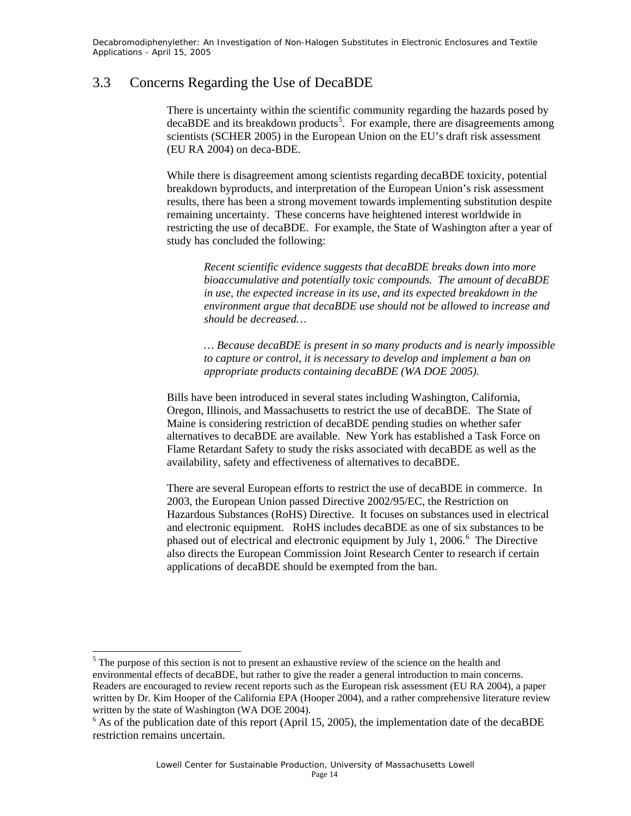### 3.3 Concerns Regarding the Use of DecaBDE

There is uncertainty within the scientific community regarding the hazards posed by decaBDE and its breakdown products<sup>5</sup>. For example, there are disagreements among scientists (SCHER 2005) in the European Union on the EU's draft risk assessment (EU RA 2004) on deca-BDE.

While there is disagreement among scientists regarding decaBDE toxicity, potential breakdown byproducts, and interpretation of the European Union's risk assessment results, there has been a strong movement towards implementing substitution despite remaining uncertainty. These concerns have heightened interest worldwide in restricting the use of decaBDE. For example, the State of Washington after a year of study has concluded the following:

*Recent scientific evidence suggests that decaBDE breaks down into more bioaccumulative and potentially toxic compounds. The amount of decaBDE in use, the expected increase in its use, and its expected breakdown in the environment argue that decaBDE use should not be allowed to increase and should be decreased…* 

*… Because decaBDE is present in so many products and is nearly impossible to capture or control, it is necessary to develop and implement a ban on appropriate products containing decaBDE (WA DOE 2005).* 

Bills have been introduced in several states including Washington, California, Oregon, Illinois, and Massachusetts to restrict the use of decaBDE. The State of Maine is considering restriction of decaBDE pending studies on whether safer alternatives to decaBDE are available. New York has established a Task Force on Flame Retardant Safety to study the risks associated with decaBDE as well as the availability, safety and effectiveness of alternatives to decaBDE.

There are several European efforts to restrict the use of decaBDE in commerce. In 2003, the European Union passed Directive 2002/95/EC, the Restriction on Hazardous Substances (RoHS) Directive. It focuses on substances used in electrical and electronic equipment. RoHS includes decaBDE as one of six substances to be phased out of electrical and electronic equipment by July 1, 2006.<sup>6</sup> The Directive also directs the European Commission Joint Research Center to research if certain applications of decaBDE should be exempted from the ban.

 $\overline{\phantom{a}}$ 

 $<sup>5</sup>$  The purpose of this section is not to present an exhaustive review of the science on the health and</sup> environmental effects of decaBDE, but rather to give the reader a general introduction to main concerns. Readers are encouraged to review recent reports such as the European risk assessment (EU RA 2004), a paper written by Dr. Kim Hooper of the California EPA (Hooper 2004), and a rather comprehensive literature review written by the state of Washington (WA DOE 2004).

 $6$  As of the publication date of this report (April 15, 2005), the implementation date of the decaBDE restriction remains uncertain.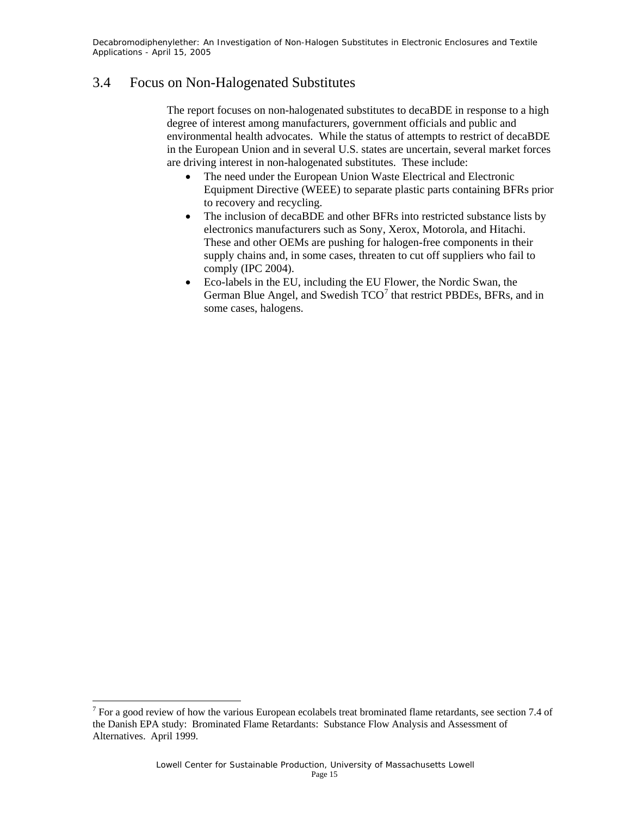### 3.4 Focus on Non-Halogenated Substitutes

The report focuses on non-halogenated substitutes to decaBDE in response to a high degree of interest among manufacturers, government officials and public and environmental health advocates. While the status of attempts to restrict of decaBDE in the European Union and in several U.S. states are uncertain, several market forces are driving interest in non-halogenated substitutes. These include:

- The need under the European Union Waste Electrical and Electronic Equipment Directive (WEEE) to separate plastic parts containing BFRs prior to recovery and recycling.
- The inclusion of decaBDE and other BFRs into restricted substance lists by electronics manufacturers such as Sony, Xerox, Motorola, and Hitachi. These and other OEMs are pushing for halogen-free components in their supply chains and, in some cases, threaten to cut off suppliers who fail to comply (IPC 2004).
- Eco-labels in the EU, including the EU Flower, the Nordic Swan, the German Blue Angel, and Swedish  $TCO<sup>7</sup>$  that restrict PBDEs, BFRs, and in some cases, halogens.

<sup>&</sup>lt;sup>7</sup> For a good review of how the various European ecolabels treat brominated flame retardants, see section 7.4 of the Danish EPA study: Brominated Flame Retardants: Substance Flow Analysis and Assessment of Alternatives. April 1999.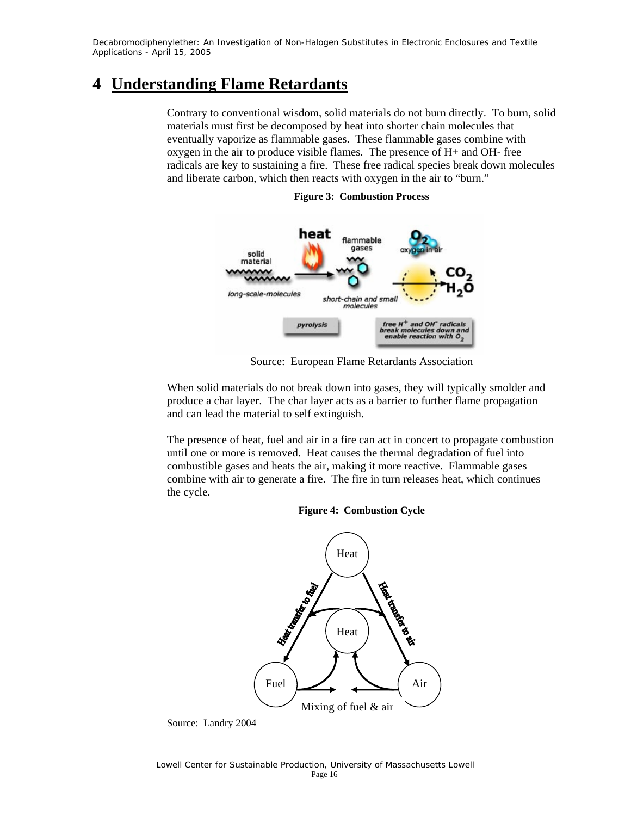### **4 Understanding Flame Retardants**

Contrary to conventional wisdom, solid materials do not burn directly. To burn, solid materials must first be decomposed by heat into shorter chain molecules that eventually vaporize as flammable gases. These flammable gases combine with oxygen in the air to produce visible flames. The presence of H+ and OH- free radicals are key to sustaining a fire. These free radical species break down molecules and liberate carbon, which then reacts with oxygen in the air to "burn."



**Figure 3: Combustion Process** 

Source: European Flame Retardants Association

When solid materials do not break down into gases, they will typically smolder and produce a char layer. The char layer acts as a barrier to further flame propagation and can lead the material to self extinguish.

The presence of heat, fuel and air in a fire can act in concert to propagate combustion until one or more is removed. Heat causes the thermal degradation of fuel into combustible gases and heats the air, making it more reactive. Flammable gases combine with air to generate a fire. The fire in turn releases heat, which continues the cycle.

#### **Figure 4: Combustion Cycle**



Source: Landry 2004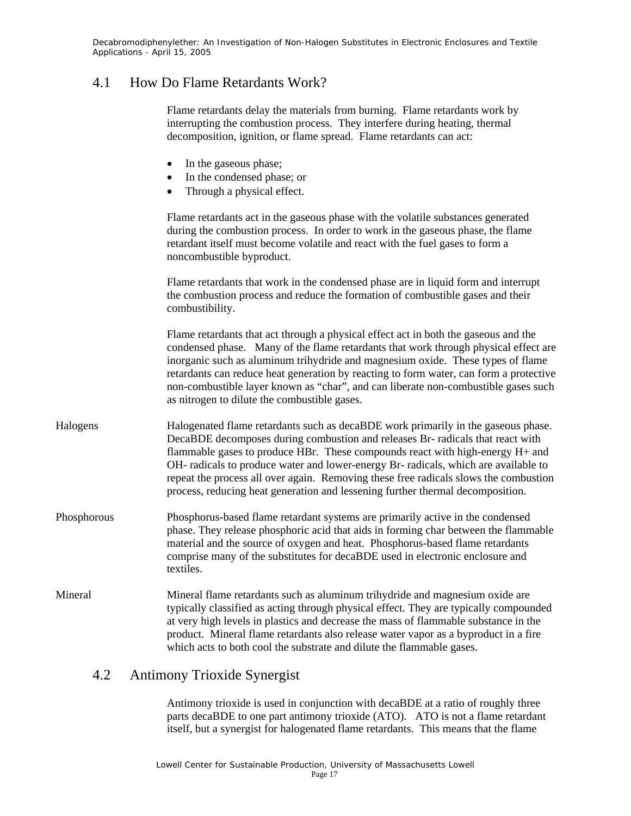### 4.1 How Do Flame Retardants Work?

Flame retardants delay the materials from burning. Flame retardants work by interrupting the combustion process. They interfere during heating, thermal decomposition, ignition, or flame spread. Flame retardants can act:

| $\epsilon$ | In the gaseous phase; |  |
|------------|-----------------------|--|
|------------|-----------------------|--|

- In the condensed phase; or
- Through a physical effect.

Flame retardants act in the gaseous phase with the volatile substances generated during the combustion process. In order to work in the gaseous phase, the flame retardant itself must become volatile and react with the fuel gases to form a noncombustible byproduct.

Flame retardants that work in the condensed phase are in liquid form and interrupt the combustion process and reduce the formation of combustible gases and their combustibility.

Flame retardants that act through a physical effect act in both the gaseous and the condensed phase. Many of the flame retardants that work through physical effect are inorganic such as aluminum trihydride and magnesium oxide. These types of flame retardants can reduce heat generation by reacting to form water, can form a protective non-combustible layer known as "char", and can liberate non-combustible gases such as nitrogen to dilute the combustible gases.

- Halogens Halogenated flame retardants such as decaBDE work primarily in the gaseous phase. DecaBDE decomposes during combustion and releases Br- radicals that react with flammable gases to produce HBr. These compounds react with high-energy H+ and OH- radicals to produce water and lower-energy Br- radicals, which are available to repeat the process all over again. Removing these free radicals slows the combustion process, reducing heat generation and lessening further thermal decomposition.
- Phosphorous Phosphorus-based flame retardant systems are primarily active in the condensed phase. They release phosphoric acid that aids in forming char between the flammable material and the source of oxygen and heat. Phosphorus-based flame retardants comprise many of the substitutes for decaBDE used in electronic enclosure and textiles.
- Mineral Mineral flame retardants such as aluminum trihydride and magnesium oxide are typically classified as acting through physical effect. They are typically compounded at very high levels in plastics and decrease the mass of flammable substance in the product. Mineral flame retardants also release water vapor as a byproduct in a fire which acts to both cool the substrate and dilute the flammable gases.

### 4.2 Antimony Trioxide Synergist

Antimony trioxide is used in conjunction with decaBDE at a ratio of roughly three parts decaBDE to one part antimony trioxide (ATO). ATO is not a flame retardant itself, but a synergist for halogenated flame retardants. This means that the flame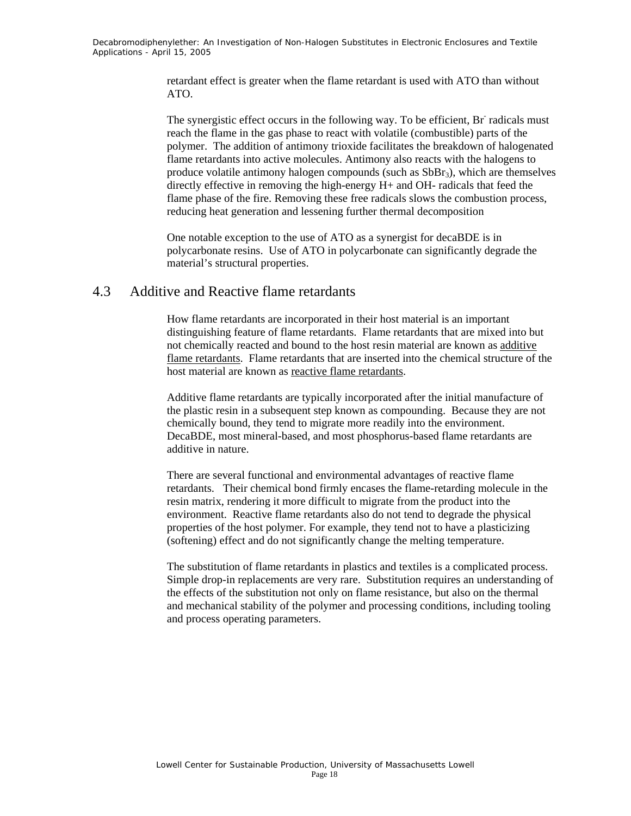> retardant effect is greater when the flame retardant is used with ATO than without ATO.

The synergistic effect occurs in the following way. To be efficient, Br radicals must reach the flame in the gas phase to react with volatile (combustible) parts of the polymer. The addition of antimony trioxide facilitates the breakdown of halogenated flame retardants into active molecules. Antimony also reacts with the halogens to produce volatile antimony halogen compounds (such as  $SbBr_3$ ), which are themselves directly effective in removing the high-energy H+ and OH- radicals that feed the flame phase of the fire. Removing these free radicals slows the combustion process, reducing heat generation and lessening further thermal decomposition

One notable exception to the use of ATO as a synergist for decaBDE is in polycarbonate resins. Use of ATO in polycarbonate can significantly degrade the material's structural properties.

### 4.3 Additive and Reactive flame retardants

How flame retardants are incorporated in their host material is an important distinguishing feature of flame retardants. Flame retardants that are mixed into but not chemically reacted and bound to the host resin material are known as additive flame retardants. Flame retardants that are inserted into the chemical structure of the host material are known as reactive flame retardants.

Additive flame retardants are typically incorporated after the initial manufacture of the plastic resin in a subsequent step known as compounding. Because they are not chemically bound, they tend to migrate more readily into the environment. DecaBDE, most mineral-based, and most phosphorus-based flame retardants are additive in nature.

There are several functional and environmental advantages of reactive flame retardants. Their chemical bond firmly encases the flame-retarding molecule in the resin matrix, rendering it more difficult to migrate from the product into the environment. Reactive flame retardants also do not tend to degrade the physical properties of the host polymer. For example, they tend not to have a plasticizing (softening) effect and do not significantly change the melting temperature.

The substitution of flame retardants in plastics and textiles is a complicated process. Simple drop-in replacements are very rare. Substitution requires an understanding of the effects of the substitution not only on flame resistance, but also on the thermal and mechanical stability of the polymer and processing conditions, including tooling and process operating parameters.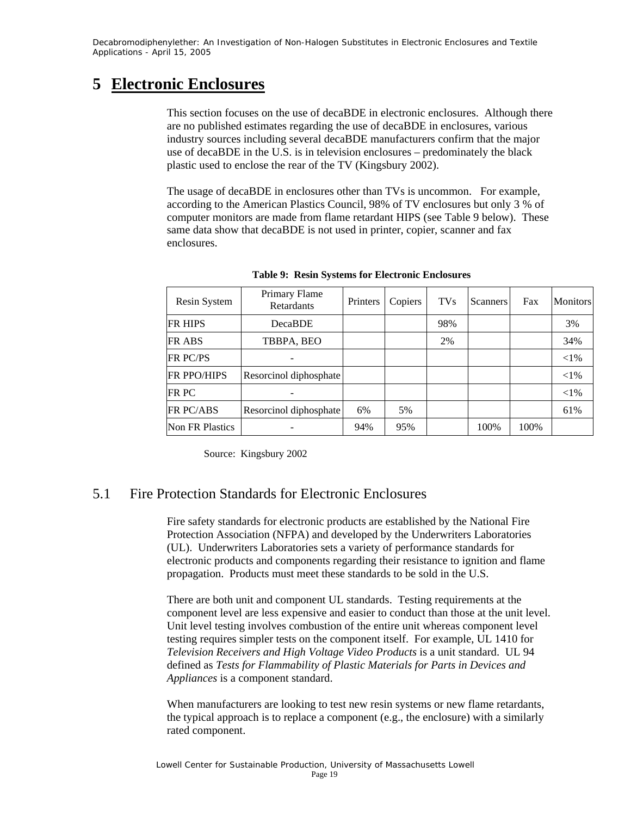### **5 Electronic Enclosures**

This section focuses on the use of decaBDE in electronic enclosures. Although there are no published estimates regarding the use of decaBDE in enclosures, various industry sources including several decaBDE manufacturers confirm that the major use of decaBDE in the U.S. is in television enclosures – predominately the black plastic used to enclose the rear of the TV (Kingsbury 2002).

The usage of decaBDE in enclosures other than TVs is uncommon. For example, according to the American Plastics Council, 98% of TV enclosures but only 3 % of computer monitors are made from flame retardant HIPS (see Table 9 below). These same data show that decaBDE is not used in printer, copier, scanner and fax enclosures.

| Resin System       | <b>Primary Flame</b><br><b>Retardants</b> | Printers | Copiers | <b>TVs</b> | <b>Scanners</b> | Fax  | <b>Monitors</b> |
|--------------------|-------------------------------------------|----------|---------|------------|-----------------|------|-----------------|
| <b>FR HIPS</b>     | <b>DecaBDE</b>                            |          |         | 98%        |                 |      | 3%              |
| <b>FR ABS</b>      | TBBPA, BEO                                |          |         | 2%         |                 |      | 34%             |
| <b>FR PC/PS</b>    |                                           |          |         |            |                 |      | ${<}1\%$        |
| <b>FR PPO/HIPS</b> | Resorcinol diphosphate                    |          |         |            |                 |      | ${<}1\%$        |
| <b>FR PC</b>       |                                           |          |         |            |                 |      | $<$ 1%          |
| FR PC/ABS          | Resorcinol diphosphate                    | 6%       | 5%      |            |                 |      | 61%             |
| Non FR Plastics    |                                           | 94%      | 95%     |            | 100%            | 100% |                 |

**Table 9: Resin Systems for Electronic Enclosures** 

Source: Kingsbury 2002

### 5.1 Fire Protection Standards for Electronic Enclosures

Fire safety standards for electronic products are established by the National Fire Protection Association (NFPA) and developed by the Underwriters Laboratories (UL). Underwriters Laboratories sets a variety of performance standards for electronic products and components regarding their resistance to ignition and flame propagation. Products must meet these standards to be sold in the U.S.

There are both unit and component UL standards. Testing requirements at the component level are less expensive and easier to conduct than those at the unit level. Unit level testing involves combustion of the entire unit whereas component level testing requires simpler tests on the component itself. For example, UL 1410 for *Television Receivers and High Voltage Video Products* is a unit standard. UL 94 defined as *Tests for Flammability of Plastic Materials for Parts in Devices and Appliances* is a component standard.

When manufacturers are looking to test new resin systems or new flame retardants, the typical approach is to replace a component (e.g., the enclosure) with a similarly rated component.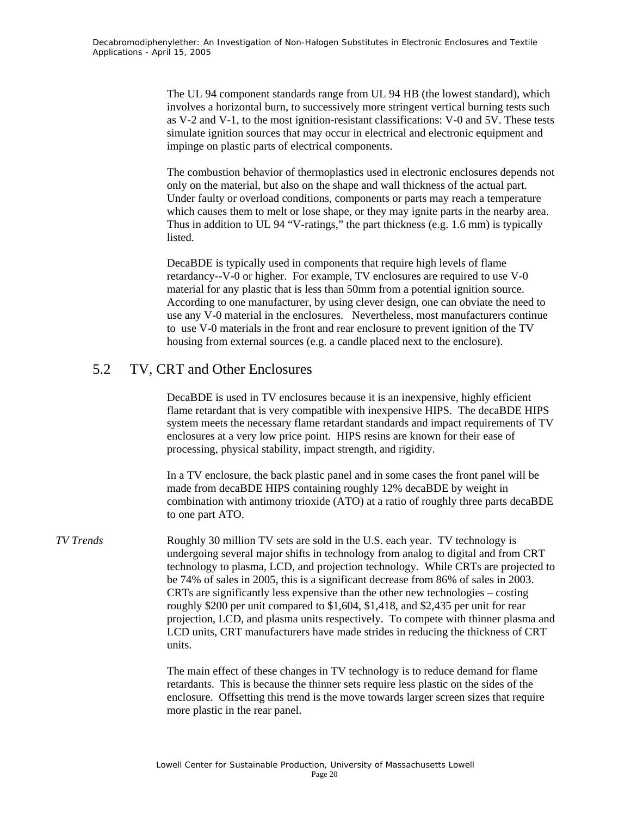The UL 94 component standards range from UL 94 HB (the lowest standard), which involves a horizontal burn, to successively more stringent vertical burning tests such as V-2 and V-1, to the most ignition-resistant classifications: V-0 and 5V. These tests simulate ignition sources that may occur in electrical and electronic equipment and impinge on plastic parts of electrical components.

The combustion behavior of thermoplastics used in electronic enclosures depends not only on the material, but also on the shape and wall thickness of the actual part. Under faulty or overload conditions, components or parts may reach a temperature which causes them to melt or lose shape, or they may ignite parts in the nearby area. Thus in addition to UL 94 "V-ratings," the part thickness (e.g. 1.6 mm) is typically listed.

DecaBDE is typically used in components that require high levels of flame retardancy--V-0 or higher. For example, TV enclosures are required to use V-0 material for any plastic that is less than 50mm from a potential ignition source. According to one manufacturer, by using clever design, one can obviate the need to use any V-0 material in the enclosures. Nevertheless, most manufacturers continue to use V-0 materials in the front and rear enclosure to prevent ignition of the TV housing from external sources (e.g. a candle placed next to the enclosure).

### 5.2 TV, CRT and Other Enclosures

 DecaBDE is used in TV enclosures because it is an inexpensive, highly efficient flame retardant that is very compatible with inexpensive HIPS. The decaBDE HIPS system meets the necessary flame retardant standards and impact requirements of TV enclosures at a very low price point. HIPS resins are known for their ease of processing, physical stability, impact strength, and rigidity.

In a TV enclosure, the back plastic panel and in some cases the front panel will be made from decaBDE HIPS containing roughly 12% decaBDE by weight in combination with antimony trioxide (ATO) at a ratio of roughly three parts decaBDE to one part ATO.

*TV Trends* Roughly 30 million TV sets are sold in the U.S. each year. TV technology is undergoing several major shifts in technology from analog to digital and from CRT technology to plasma, LCD, and projection technology. While CRTs are projected to be 74% of sales in 2005, this is a significant decrease from 86% of sales in 2003. CRTs are significantly less expensive than the other new technologies – costing roughly \$200 per unit compared to \$1,604, \$1,418, and \$2,435 per unit for rear projection, LCD, and plasma units respectively. To compete with thinner plasma and LCD units, CRT manufacturers have made strides in reducing the thickness of CRT units.

> The main effect of these changes in TV technology is to reduce demand for flame retardants. This is because the thinner sets require less plastic on the sides of the enclosure. Offsetting this trend is the move towards larger screen sizes that require more plastic in the rear panel.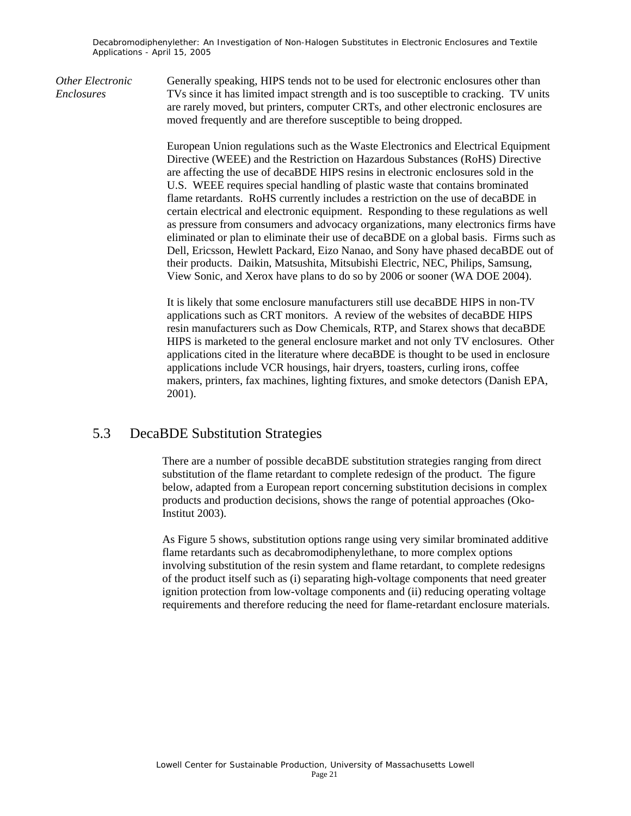*Other Electronic* Generally speaking, HIPS tends not to be used for electronic enclosures other than *Enclosures* TVs since it has limited impact strength and is too susceptible to cracking. TV units are rarely moved, but printers, computer CRTs, and other electronic enclosures are moved frequently and are therefore susceptible to being dropped.

> European Union regulations such as the Waste Electronics and Electrical Equipment Directive (WEEE) and the Restriction on Hazardous Substances (RoHS) Directive are affecting the use of decaBDE HIPS resins in electronic enclosures sold in the U.S. WEEE requires special handling of plastic waste that contains brominated flame retardants. RoHS currently includes a restriction on the use of decaBDE in certain electrical and electronic equipment. Responding to these regulations as well as pressure from consumers and advocacy organizations, many electronics firms have eliminated or plan to eliminate their use of decaBDE on a global basis. Firms such as Dell, Ericsson, Hewlett Packard, Eizo Nanao, and Sony have phased decaBDE out of their products. Daikin, Matsushita, Mitsubishi Electric, NEC, Philips, Samsung, View Sonic, and Xerox have plans to do so by 2006 or sooner (WA DOE 2004).

> It is likely that some enclosure manufacturers still use decaBDE HIPS in non-TV applications such as CRT monitors. A review of the websites of decaBDE HIPS resin manufacturers such as Dow Chemicals, RTP, and Starex shows that decaBDE HIPS is marketed to the general enclosure market and not only TV enclosures. Other applications cited in the literature where decaBDE is thought to be used in enclosure applications include VCR housings, hair dryers, toasters, curling irons, coffee makers, printers, fax machines, lighting fixtures, and smoke detectors (Danish EPA, 2001).

### 5.3 DecaBDE Substitution Strategies

There are a number of possible decaBDE substitution strategies ranging from direct substitution of the flame retardant to complete redesign of the product. The figure below, adapted from a European report concerning substitution decisions in complex products and production decisions, shows the range of potential approaches (Oko-Institut 2003).

As Figure 5 shows, substitution options range using very similar brominated additive flame retardants such as decabromodiphenylethane, to more complex options involving substitution of the resin system and flame retardant, to complete redesigns of the product itself such as (i) separating high-voltage components that need greater ignition protection from low-voltage components and (ii) reducing operating voltage requirements and therefore reducing the need for flame-retardant enclosure materials.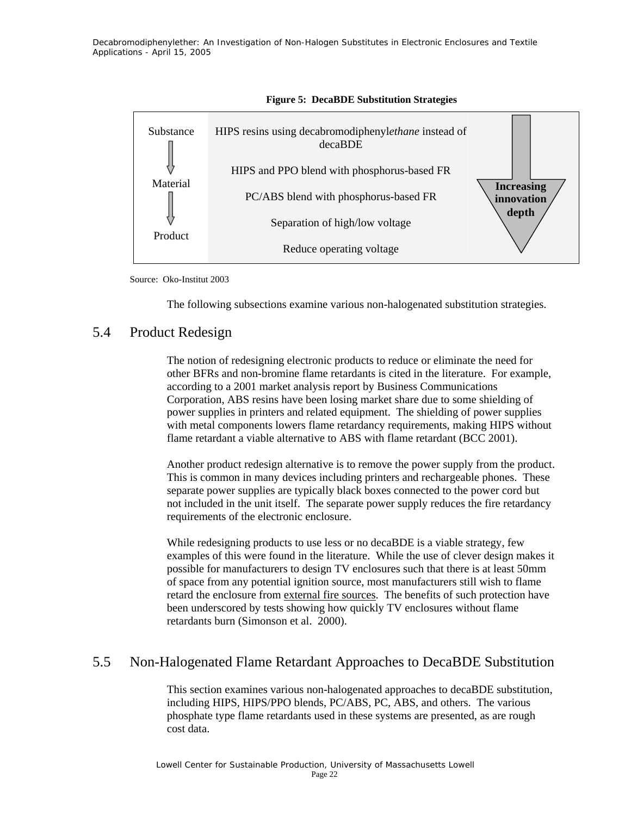



Source: Oko-Institut 2003

The following subsections examine various non-halogenated substitution strategies.

### 5.4 Product Redesign

The notion of redesigning electronic products to reduce or eliminate the need for other BFRs and non-bromine flame retardants is cited in the literature. For example, according to a 2001 market analysis report by Business Communications Corporation, ABS resins have been losing market share due to some shielding of power supplies in printers and related equipment. The shielding of power supplies with metal components lowers flame retardancy requirements, making HIPS without flame retardant a viable alternative to ABS with flame retardant (BCC 2001).

Another product redesign alternative is to remove the power supply from the product. This is common in many devices including printers and rechargeable phones. These separate power supplies are typically black boxes connected to the power cord but not included in the unit itself. The separate power supply reduces the fire retardancy requirements of the electronic enclosure.

While redesigning products to use less or no decaBDE is a viable strategy, few examples of this were found in the literature.While the use of clever design makes it possible for manufacturers to design TV enclosures such that there is at least 50mm of space from any potential ignition source, most manufacturers still wish to flame retard the enclosure from external fire sources. The benefits of such protection have been underscored by tests showing how quickly TV enclosures without flame retardants burn (Simonson et al. 2000).

### 5.5 Non-Halogenated Flame Retardant Approaches to DecaBDE Substitution

This section examines various non-halogenated approaches to decaBDE substitution, including HIPS, HIPS/PPO blends, PC/ABS, PC, ABS, and others. The various phosphate type flame retardants used in these systems are presented, as are rough cost data.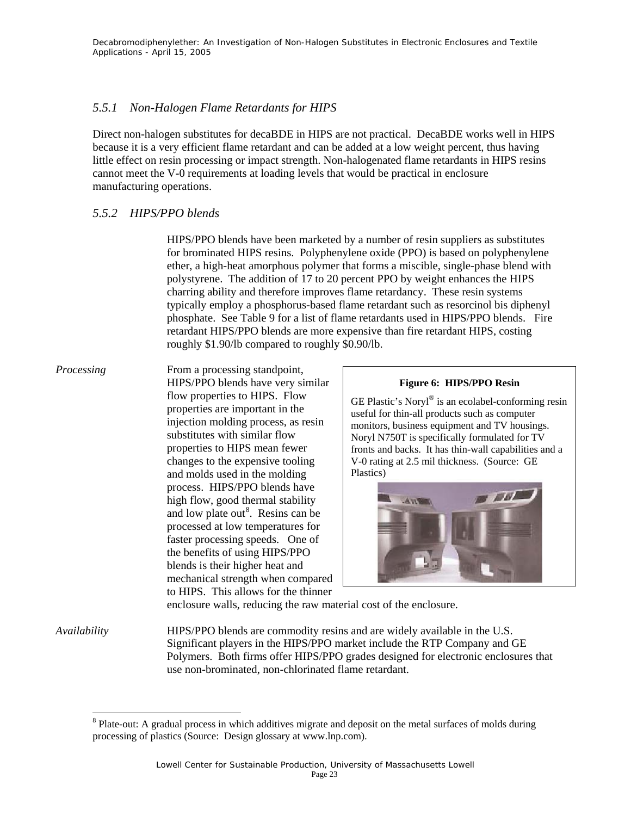#### *5.5.1 Non-Halogen Flame Retardants for HIPS*

Direct non-halogen substitutes for decaBDE in HIPS are not practical. DecaBDE works well in HIPS because it is a very efficient flame retardant and can be added at a low weight percent, thus having little effect on resin processing or impact strength. Non-halogenated flame retardants in HIPS resins cannot meet the V-0 requirements at loading levels that would be practical in enclosure manufacturing operations.

#### *5.5.2 HIPS/PPO blends*

HIPS/PPO blends have been marketed by a number of resin suppliers as substitutes for brominated HIPS resins. Polyphenylene oxide (PPO) is based on polyphenylene ether, a high-heat amorphous polymer that forms a miscible, single-phase blend with polystyrene. The addition of 17 to 20 percent PPO by weight enhances the HIPS charring ability and therefore improves flame retardancy. These resin systems typically employ a phosphorus-based flame retardant such as resorcinol bis diphenyl phosphate. See Table 9 for a list of flame retardants used in HIPS/PPO blends. Fire retardant HIPS/PPO blends are more expensive than fire retardant HIPS, costing roughly \$1.90/lb compared to roughly \$0.90/lb.

*Processing* From a processing standpoint, HIPS/PPO blends have very similar flow properties to HIPS. Flow properties are important in the injection molding process, as resin substitutes with similar flow properties to HIPS mean fewer changes to the expensive tooling and molds used in the molding process. HIPS/PPO blends have high flow, good thermal stability and low plate out<sup>8</sup>. Resins can be processed at low temperatures for faster processing speeds. One of the benefits of using HIPS/PPO blends is their higher heat and mechanical strength when compared to HIPS. This allows for the thinner

l

#### **Figure 6: HIPS/PPO Resin**

GE Plastic's Noryl® is an ecolabel-conforming resin useful for thin-all products such as computer monitors, business equipment and TV housings. Noryl N750T is specifically formulated for TV fronts and backs. It has thin-wall capabilities and a V-0 rating at 2.5 mil thickness. (Source: GE Plastics)



enclosure walls, reducing the raw material cost of the enclosure.

*Availability* HIPS/PPO blends are commodity resins and are widely available in the U.S. Significant players in the HIPS/PPO market include the RTP Company and GE Polymers. Both firms offer HIPS/PPO grades designed for electronic enclosures that use non-brominated, non-chlorinated flame retardant.

<sup>&</sup>lt;sup>8</sup> Plate-out: A gradual process in which additives migrate and deposit on the metal surfaces of molds during processing of plastics (Source: Design glossary at www.lnp.com).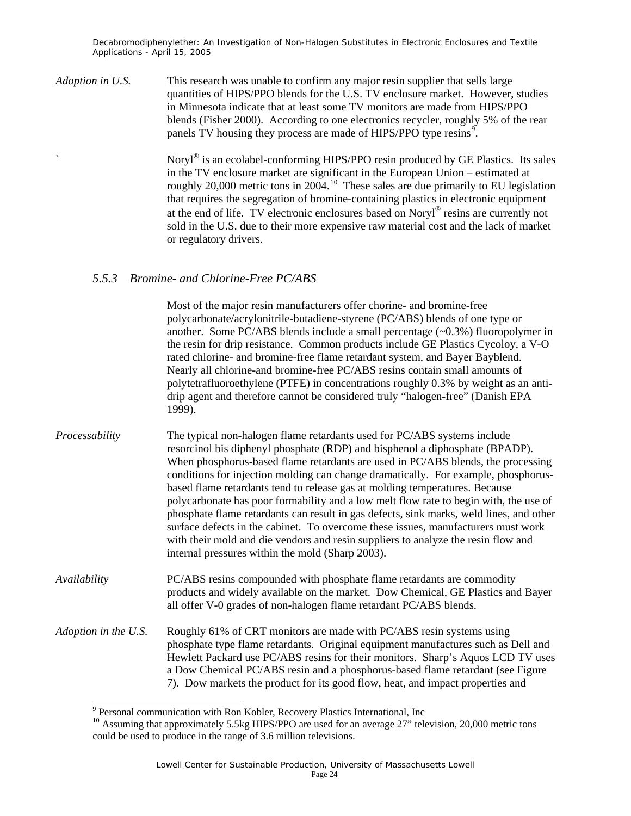*Adoption in U.S.* This research was unable to confirm any major resin supplier that sells large quantities of HIPS/PPO blends for the U.S. TV enclosure market. However, studies in Minnesota indicate that at least some TV monitors are made from HIPS/PPO blends (Fisher 2000). According to one electronics recycler, roughly 5% of the rear panels TV housing they process are made of HIPS/PPO type resins<sup>9</sup>.

> Noryl® is an ecolabel-conforming HIPS/PPO resin produced by GE Plastics. Its sales in the TV enclosure market are significant in the European Union – estimated at roughly 20,000 metric tons in 2004.<sup>10</sup> These sales are due primarily to EU legislation that requires the segregation of bromine-containing plastics in electronic equipment at the end of life. TV electronic enclosures based on Noryl® resins are currently not sold in the U.S. due to their more expensive raw material cost and the lack of market or regulatory drivers.

#### *5.5.3 Bromine- and Chlorine-Free PC/ABS*

Most of the major resin manufacturers offer chorine- and bromine-free polycarbonate/acrylonitrile-butadiene-styrene (PC/ABS) blends of one type or another. Some PC/ABS blends include a small percentage  $(\sim 0.3\%)$  fluoropolymer in the resin for drip resistance. Common products include GE Plastics Cycoloy, a V-O rated chlorine- and bromine-free flame retardant system, and Bayer Bayblend. Nearly all chlorine-and bromine-free PC/ABS resins contain small amounts of polytetrafluoroethylene (PTFE) in concentrations roughly 0.3% by weight as an antidrip agent and therefore cannot be considered truly "halogen-free" (Danish EPA 1999).

*Processability* The typical non-halogen flame retardants used for PC/ABS systems include resorcinol bis diphenyl phosphate (RDP) and bisphenol a diphosphate (BPADP). When phosphorus-based flame retardants are used in PC/ABS blends, the processing conditions for injection molding can change dramatically. For example, phosphorusbased flame retardants tend to release gas at molding temperatures. Because polycarbonate has poor formability and a low melt flow rate to begin with, the use of phosphate flame retardants can result in gas defects, sink marks, weld lines, and other surface defects in the cabinet. To overcome these issues, manufacturers must work with their mold and die vendors and resin suppliers to analyze the resin flow and internal pressures within the mold (Sharp 2003).

*Availability* PC/ABS resins compounded with phosphate flame retardants are commodity products and widely available on the market. Dow Chemical, GE Plastics and Bayer all offer V-0 grades of non-halogen flame retardant PC/ABS blends.

*Adoption in the U.S.* Roughly 61% of CRT monitors are made with PC/ABS resin systems using phosphate type flame retardants. Original equipment manufactures such as Dell and Hewlett Packard use PC/ABS resins for their monitors. Sharp's Aquos LCD TV uses a Dow Chemical PC/ABS resin and a phosphorus-based flame retardant (see Figure 7). Dow markets the product for its good flow, heat, and impact properties and

l

<sup>&</sup>lt;sup>9</sup> Personal communication with Ron Kobler, Recovery Plastics International, Inc

 $^{10}$  Assuming that approximately 5.5kg HIPS/PPO are used for an average 27" television, 20,000 metric tons could be used to produce in the range of 3.6 million televisions.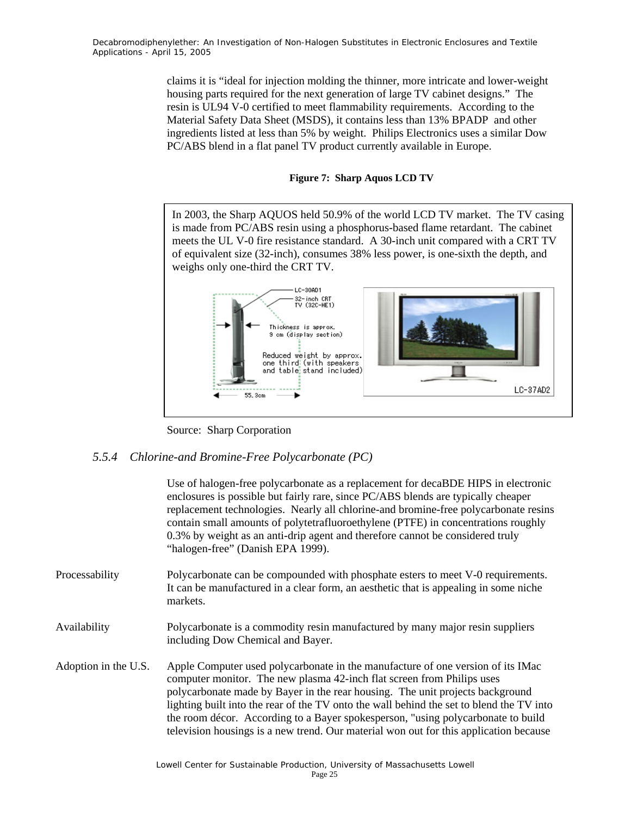> claims it is "ideal for injection molding the thinner, more intricate and lower-weight housing parts required for the next generation of large TV cabinet designs." The resin is UL94 V-0 certified to meet flammability requirements. According to the Material Safety Data Sheet (MSDS), it contains less than 13% BPADP and other ingredients listed at less than 5% by weight. Philips Electronics uses a similar Dow PC/ABS blend in a flat panel TV product currently available in Europe.

#### **Figure 7: Sharp Aquos LCD TV**

In 2003, the Sharp AQUOS held 50.9% of the world LCD TV market. The TV casing is made from PC/ABS resin using a phosphorus-based flame retardant. The cabinet meets the UL V-0 fire resistance standard. A 30-inch unit compared with a CRT TV of equivalent size (32-inch), consumes 38% less power, is one-sixth the depth, and weighs only one-third the CRT TV.



Source: Sharp Corporation

#### *5.5.4 Chlorine-and Bromine-Free Polycarbonate (PC)*

Use of halogen-free polycarbonate as a replacement for decaBDE HIPS in electronic enclosures is possible but fairly rare, since PC/ABS blends are typically cheaper replacement technologies. Nearly all chlorine-and bromine-free polycarbonate resins contain small amounts of polytetrafluoroethylene (PTFE) in concentrations roughly 0.3% by weight as an anti-drip agent and therefore cannot be considered truly "halogen-free" (Danish EPA 1999).

Processability Polycarbonate can be compounded with phosphate esters to meet V-0 requirements. It can be manufactured in a clear form, an aesthetic that is appealing in some niche markets.

Availability Polycarbonate is a commodity resin manufactured by many major resin suppliers including Dow Chemical and Bayer.

Adoption in the U.S. Apple Computer used polycarbonate in the manufacture of one version of its IMac computer monitor. The new plasma 42-inch flat screen from Philips uses polycarbonate made by Bayer in the rear housing. The unit projects background lighting built into the rear of the TV onto the wall behind the set to blend the TV into the room décor. According to a Bayer spokesperson, "using polycarbonate to build television housings is a new trend. Our material won out for this application because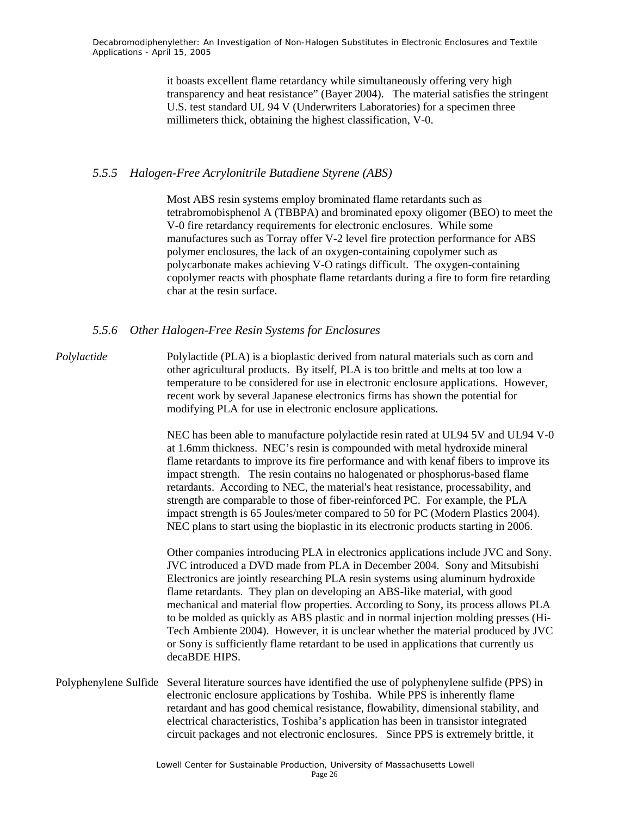it boasts excellent flame retardancy while simultaneously offering very high transparency and heat resistance" (Bayer 2004). The material satisfies the stringent U.S. test standard UL 94 V (Underwriters Laboratories) for a specimen three millimeters thick, obtaining the highest classification, V-0.

#### *5.5.5 Halogen-Free Acrylonitrile Butadiene Styrene (ABS)*

Most ABS resin systems employ brominated flame retardants such as tetrabromobisphenol A (TBBPA) and brominated epoxy oligomer (BEO) to meet the V-0 fire retardancy requirements for electronic enclosures. While some manufactures such as Torray offer V-2 level fire protection performance for ABS polymer enclosures, the lack of an oxygen-containing copolymer such as polycarbonate makes achieving V-O ratings difficult. The oxygen-containing copolymer reacts with phosphate flame retardants during a fire to form fire retarding char at the resin surface.

#### *5.5.6 Other Halogen-Free Resin Systems for Enclosures*

*Polylactide* Polylactide (PLA) is a bioplastic derived from natural materials such as corn and other agricultural products. By itself, PLA is too brittle and melts at too low a temperature to be considered for use in electronic enclosure applications. However, recent work by several Japanese electronics firms has shown the potential for modifying PLA for use in electronic enclosure applications.

> NEC has been able to manufacture polylactide resin rated at UL94 5V and UL94 V-0 at 1.6mm thickness. NEC's resin is compounded with metal hydroxide mineral flame retardants to improve its fire performance and with kenaf fibers to improve its impact strength. The resin contains no halogenated or phosphorus-based flame retardants. According to NEC, the material's heat resistance, processability, and strength are comparable to those of fiber-reinforced PC. For example, the PLA impact strength is 65 Joules/meter compared to 50 for PC (Modern Plastics 2004). NEC plans to start using the bioplastic in its electronic products starting in 2006.

> Other companies introducing PLA in electronics applications include JVC and Sony. JVC introduced a DVD made from PLA in December 2004. Sony and Mitsubishi Electronics are jointly researching PLA resin systems using aluminum hydroxide flame retardants. They plan on developing an ABS-like material, with good mechanical and material flow properties. According to Sony, its process allows PLA to be molded as quickly as ABS plastic and in normal injection molding presses (Hi-Tech Ambiente 2004). However, it is unclear whether the material produced by JVC or Sony is sufficiently flame retardant to be used in applications that currently us decaBDE HIPS.

Polyphenylene Sulfide Several literature sources have identified the use of polyphenylene sulfide (PPS) in electronic enclosure applications by Toshiba. While PPS is inherently flame retardant and has good chemical resistance, flowability, dimensional stability, and electrical characteristics, Toshiba's application has been in transistor integrated circuit packages and not electronic enclosures. Since PPS is extremely brittle, it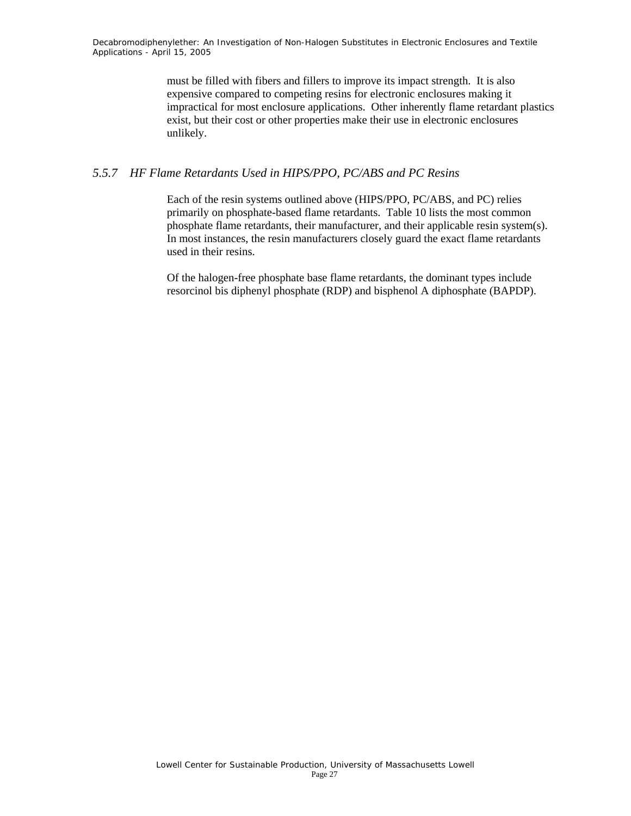> must be filled with fibers and fillers to improve its impact strength. It is also expensive compared to competing resins for electronic enclosures making it impractical for most enclosure applications. Other inherently flame retardant plastics exist, but their cost or other properties make their use in electronic enclosures unlikely.

#### *5.5.7 HF Flame Retardants Used in HIPS/PPO, PC/ABS and PC Resins*

Each of the resin systems outlined above (HIPS/PPO, PC/ABS, and PC) relies primarily on phosphate-based flame retardants. Table 10 lists the most common phosphate flame retardants, their manufacturer, and their applicable resin system(s). In most instances, the resin manufacturers closely guard the exact flame retardants used in their resins.

Of the halogen-free phosphate base flame retardants, the dominant types include resorcinol bis diphenyl phosphate (RDP) and bisphenol A diphosphate (BAPDP).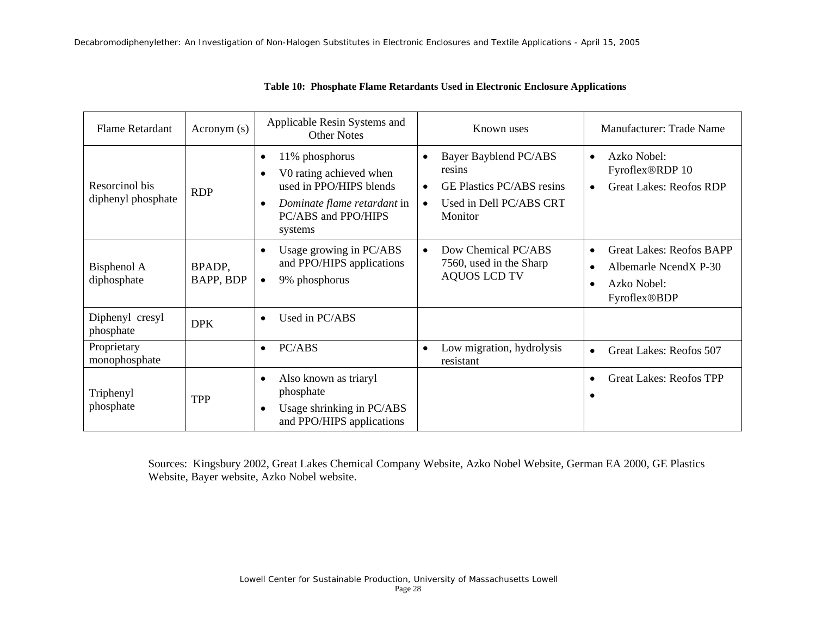| <b>Flame Retardant</b>               | Acronym(s)          | Applicable Resin Systems and<br><b>Other Notes</b>                                                                                                                           | Known uses                                                                                                                          | Manufacturer: Trade Name                                                                                                       |
|--------------------------------------|---------------------|------------------------------------------------------------------------------------------------------------------------------------------------------------------------------|-------------------------------------------------------------------------------------------------------------------------------------|--------------------------------------------------------------------------------------------------------------------------------|
| Resorcinol bis<br>diphenyl phosphate | <b>RDP</b>          | 11% phosphorus<br>$\bullet$<br>V0 rating achieved when<br>$\bullet$<br>used in PPO/HIPS blends<br>Dominate flame retardant in<br>$\bullet$<br>PC/ABS and PPO/HIPS<br>systems | Bayer Bayblend PC/ABS<br>$\bullet$<br>resins<br><b>GE Plastics PC/ABS resins</b><br>$\bullet$<br>Used in Dell PC/ABS CRT<br>Monitor | Azko Nobel:<br>$\bullet$<br>Fyroflex®RDP 10<br><b>Great Lakes: Reofos RDP</b><br>$\bullet$                                     |
| Bisphenol A<br>diphosphate           | BPADP,<br>BAPP, BDP | Usage growing in PC/ABS<br>$\bullet$<br>and PPO/HIPS applications<br>9% phosphorus<br>$\bullet$                                                                              | Dow Chemical PC/ABS<br>$\bullet$<br>7560, used in the Sharp<br><b>AQUOS LCD TV</b>                                                  | <b>Great Lakes: Reofos BAPP</b><br>$\bullet$<br>Albemarle NcendX P-30<br>$\bullet$<br>Azko Nobel:<br>$\bullet$<br>Fyroflex®BDP |
| Diphenyl cresyl<br>phosphate         | <b>DPK</b>          | Used in PC/ABS<br>$\bullet$                                                                                                                                                  |                                                                                                                                     |                                                                                                                                |
| Proprietary<br>monophosphate         |                     | PC/ABS<br>$\bullet$                                                                                                                                                          | Low migration, hydrolysis<br>$\bullet$<br>resistant                                                                                 | Great Lakes: Reofos 507<br>$\bullet$                                                                                           |
| Triphenyl<br>phosphate               | <b>TPP</b>          | Also known as triaryl<br>$\bullet$<br>phosphate<br>Usage shrinking in PC/ABS<br>$\bullet$<br>and PPO/HIPS applications                                                       |                                                                                                                                     | <b>Great Lakes: Reofos TPP</b><br>$\bullet$<br>$\bullet$                                                                       |

#### **Table 10: Phosphate Flame Retardants Used in Electronic Enclosure Applications**

Sources: Kingsbury 2002, Great Lakes Chemical Company Website, Azko Nobel Website, German EA 2000, GE Plastics Website, Bayer website, Azko Nobel website.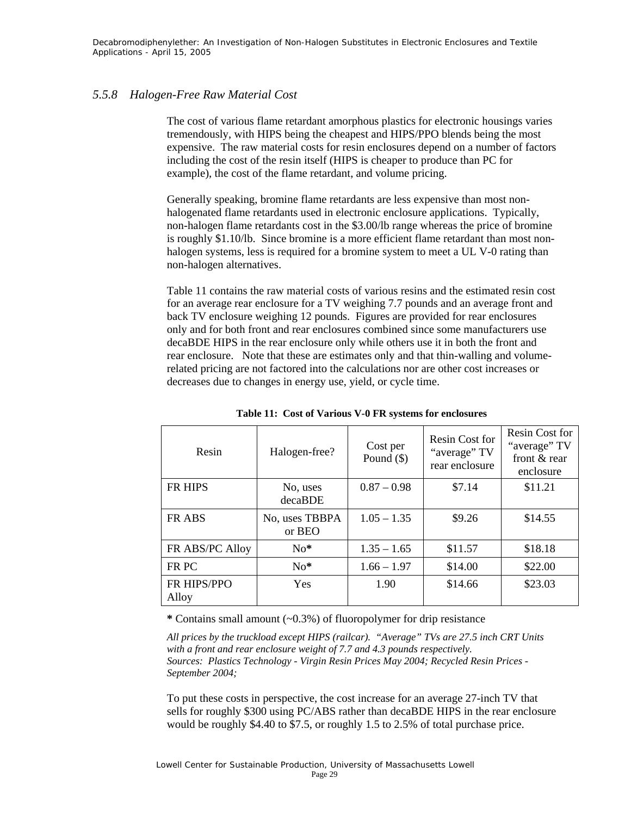#### *5.5.8 Halogen-Free Raw Material Cost*

The cost of various flame retardant amorphous plastics for electronic housings varies tremendously, with HIPS being the cheapest and HIPS/PPO blends being the most expensive. The raw material costs for resin enclosures depend on a number of factors including the cost of the resin itself (HIPS is cheaper to produce than PC for example), the cost of the flame retardant, and volume pricing.

 Generally speaking, bromine flame retardants are less expensive than most nonhalogenated flame retardants used in electronic enclosure applications. Typically, non-halogen flame retardants cost in the \$3.00/lb range whereas the price of bromine is roughly \$1.10/lb. Since bromine is a more efficient flame retardant than most nonhalogen systems, less is required for a bromine system to meet a UL V-0 rating than non-halogen alternatives.

Table 11 contains the raw material costs of various resins and the estimated resin cost for an average rear enclosure for a TV weighing 7.7 pounds and an average front and back TV enclosure weighing 12 pounds. Figures are provided for rear enclosures only and for both front and rear enclosures combined since some manufacturers use decaBDE HIPS in the rear enclosure only while others use it in both the front and rear enclosure. Note that these are estimates only and that thin-walling and volumerelated pricing are not factored into the calculations nor are other cost increases or decreases due to changes in energy use, yield, or cycle time.

| Resin                | Halogen-free?            | Cost per<br>Pound $(\$)$ | Resin Cost for<br>"average" TV<br>rear enclosure | Resin Cost for<br>"average" TV<br>front & rear<br>enclosure |
|----------------------|--------------------------|--------------------------|--------------------------------------------------|-------------------------------------------------------------|
| <b>FR HIPS</b>       | No, uses<br>decaBDE      | $0.87 - 0.98$            | \$7.14                                           | \$11.21                                                     |
| <b>FR ABS</b>        | No, uses TBBPA<br>or BEO | $1.05 - 1.35$            | \$9.26                                           | \$14.55                                                     |
| FR ABS/PC Alloy      | $No*$                    | $1.35 - 1.65$            | \$11.57                                          | \$18.18                                                     |
| FR PC                | $No*$                    | $1.66 - 1.97$            | \$14.00                                          | \$22.00                                                     |
| FR HIPS/PPO<br>Alloy | <b>Yes</b>               | 1.90                     | \$14.66                                          | \$23.03                                                     |

**Table 11: Cost of Various V-0 FR systems for enclosures** 

**\*** Contains small amount (~0.3%) of fluoropolymer for drip resistance

*All prices by the truckload except HIPS (railcar). "Average" TVs are 27.5 inch CRT Units with a front and rear enclosure weight of 7.7 and 4.3 pounds respectively. Sources: Plastics Technology - Virgin Resin Prices May 2004; Recycled Resin Prices - September 2004;* 

To put these costs in perspective, the cost increase for an average 27-inch TV that sells for roughly \$300 using PC/ABS rather than decaBDE HIPS in the rear enclosure would be roughly \$4.40 to \$7.5, or roughly 1.5 to 2.5% of total purchase price.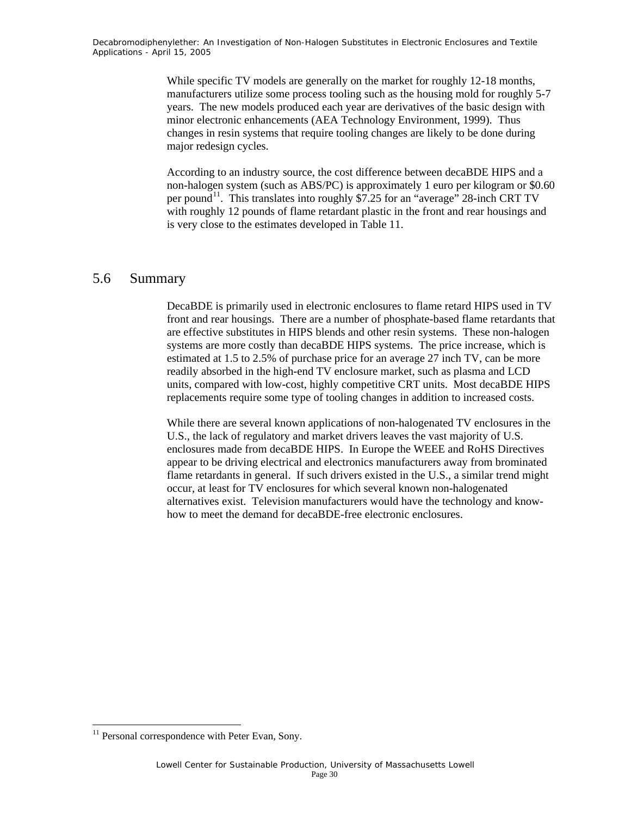While specific TV models are generally on the market for roughly 12-18 months, manufacturers utilize some process tooling such as the housing mold for roughly 5-7 years. The new models produced each year are derivatives of the basic design with minor electronic enhancements (AEA Technology Environment, 1999). Thus changes in resin systems that require tooling changes are likely to be done during major redesign cycles.

According to an industry source, the cost difference between decaBDE HIPS and a non-halogen system (such as ABS/PC) is approximately 1 euro per kilogram or \$0.60 per pound<sup>11</sup>. This translates into roughly \$7.25 for an "average" 28-inch CRT TV with roughly 12 pounds of flame retardant plastic in the front and rear housings and is very close to the estimates developed in Table 11.

### 5.6 Summary

DecaBDE is primarily used in electronic enclosures to flame retard HIPS used in TV front and rear housings. There are a number of phosphate-based flame retardants that are effective substitutes in HIPS blends and other resin systems. These non-halogen systems are more costly than decaBDE HIPS systems. The price increase, which is estimated at 1.5 to 2.5% of purchase price for an average 27 inch TV, can be more readily absorbed in the high-end TV enclosure market, such as plasma and LCD units, compared with low-cost, highly competitive CRT units. Most decaBDE HIPS replacements require some type of tooling changes in addition to increased costs.

While there are several known applications of non-halogenated TV enclosures in the U.S., the lack of regulatory and market drivers leaves the vast majority of U.S. enclosures made from decaBDE HIPS. In Europe the WEEE and RoHS Directives appear to be driving electrical and electronics manufacturers away from brominated flame retardants in general. If such drivers existed in the U.S., a similar trend might occur, at least for TV enclosures for which several known non-halogenated alternatives exist. Television manufacturers would have the technology and knowhow to meet the demand for decaBDE-free electronic enclosures.

1

<sup>&</sup>lt;sup>11</sup> Personal correspondence with Peter Evan, Sony.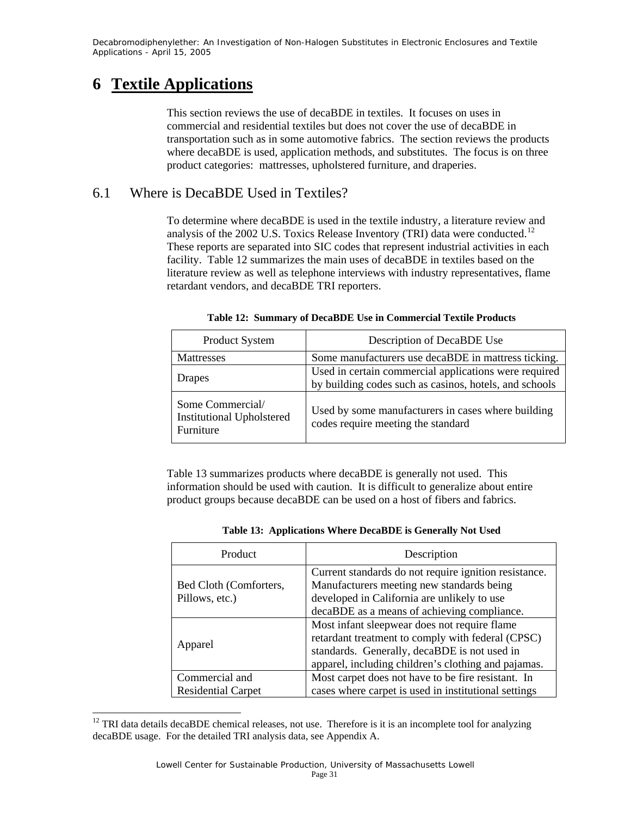### **6 Textile Applications**

l

This section reviews the use of decaBDE in textiles. It focuses on uses in commercial and residential textiles but does not cover the use of decaBDE in transportation such as in some automotive fabrics. The section reviews the products where decaBDE is used, application methods, and substitutes. The focus is on three product categories: mattresses, upholstered furniture, and draperies.

### 6.1 Where is DecaBDE Used in Textiles?

To determine where decaBDE is used in the textile industry, a literature review and analysis of the 2002 U.S. Toxics Release Inventory (TRI) data were conducted.<sup>12</sup> These reports are separated into SIC codes that represent industrial activities in each facility. Table 12 summarizes the main uses of decaBDE in textiles based on the literature review as well as telephone interviews with industry representatives, flame retardant vendors, and decaBDE TRI reporters.

| Product System                                                    | Description of DecaBDE Use                                                                                      |
|-------------------------------------------------------------------|-----------------------------------------------------------------------------------------------------------------|
| <b>Mattresses</b>                                                 | Some manufacturers use decaBDE in mattress ticking.                                                             |
| Drapes                                                            | Used in certain commercial applications were required<br>by building codes such as casinos, hotels, and schools |
| Some Commercial/<br><b>Institutional Upholstered</b><br>Furniture | Used by some manufacturers in cases where building<br>codes require meeting the standard                        |

**Table 12: Summary of DecaBDE Use in Commercial Textile Products** 

Table 13 summarizes products where decaBDE is generally not used. This information should be used with caution. It is difficult to generalize about entire product groups because decaBDE can be used on a host of fibers and fabrics.

| Product                                     | Description                                                                                                                                                                                              |
|---------------------------------------------|----------------------------------------------------------------------------------------------------------------------------------------------------------------------------------------------------------|
| Bed Cloth (Comforters,<br>Pillows, etc.)    | Current standards do not require ignition resistance.<br>Manufacturers meeting new standards being<br>developed in California are unlikely to use<br>decaBDE as a means of achieving compliance.         |
| Apparel                                     | Most infant sleepwear does not require flame<br>retardant treatment to comply with federal (CPSC)<br>standards. Generally, decaBDE is not used in<br>apparel, including children's clothing and pajamas. |
| Commercial and<br><b>Residential Carpet</b> | Most carpet does not have to be fire resistant. In<br>cases where carpet is used in institutional settings                                                                                               |

**Table 13: Applications Where DecaBDE is Generally Not Used** 

 $12$  TRI data details decaBDE chemical releases, not use. Therefore is it is an incomplete tool for analyzing decaBDE usage. For the detailed TRI analysis data, see Appendix A.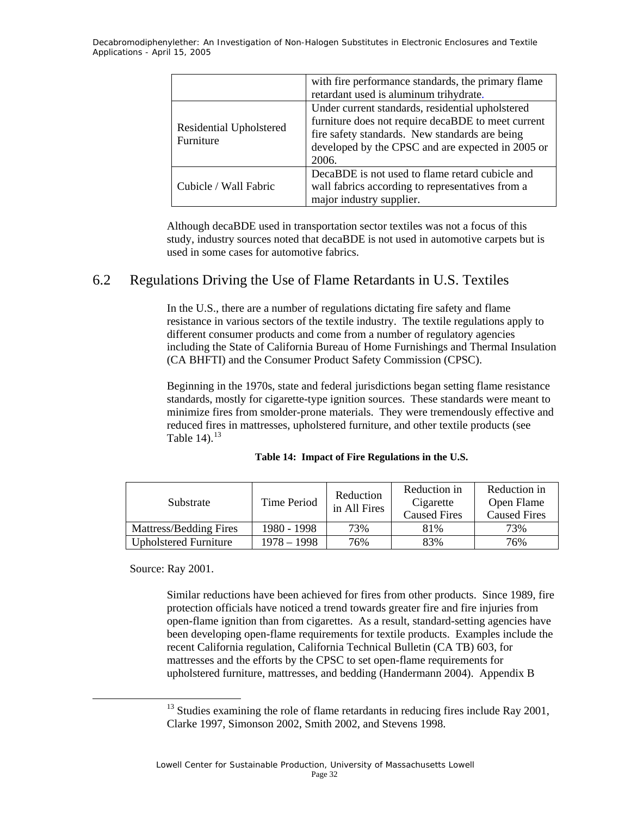|                                      | with fire performance standards, the primary flame<br>retardant used is aluminum trihydrate.                                                                                                                           |  |
|--------------------------------------|------------------------------------------------------------------------------------------------------------------------------------------------------------------------------------------------------------------------|--|
| Residential Upholstered<br>Furniture | Under current standards, residential upholstered<br>furniture does not require decaBDE to meet current<br>fire safety standards. New standards are being<br>developed by the CPSC and are expected in 2005 or<br>2006. |  |
| Cubicle / Wall Fabric                | DecaBDE is not used to flame retard cubicle and<br>wall fabrics according to representatives from a<br>major industry supplier.                                                                                        |  |

Although decaBDE used in transportation sector textiles was not a focus of this study, industry sources noted that decaBDE is not used in automotive carpets but is used in some cases for automotive fabrics.

### 6.2 Regulations Driving the Use of Flame Retardants in U.S. Textiles

In the U.S., there are a number of regulations dictating fire safety and flame resistance in various sectors of the textile industry. The textile regulations apply to different consumer products and come from a number of regulatory agencies including the State of California Bureau of Home Furnishings and Thermal Insulation (CA BHFTI) and the Consumer Product Safety Commission (CPSC).

Beginning in the 1970s, state and federal jurisdictions began setting flame resistance standards, mostly for cigarette-type ignition sources. These standards were meant to minimize fires from smolder-prone materials. They were tremendously effective and reduced fires in mattresses, upholstered furniture, and other textile products (see Table 14). $^{13}$ 

| Substrate              | Time Period | Reduction<br>in All Fires | Reduction in<br>Cigarette<br><b>Caused Fires</b> | Reduction in<br>Open Flame<br><b>Caused Fires</b> |
|------------------------|-------------|---------------------------|--------------------------------------------------|---------------------------------------------------|
| Mattress/Bedding Fires | 1980 - 1998 | 73%                       | 81%                                              | 73%                                               |

Upholstered Furniture | 1978 – 1998 | 76% | 83% | 76%

#### **Table 14: Impact of Fire Regulations in the U.S.**

Source: Ray 2001.

Similar reductions have been achieved for fires from other products. Since 1989, fire protection officials have noticed a trend towards greater fire and fire injuries from open-flame ignition than from cigarettes. As a result, standard-setting agencies have been developing open-flame requirements for textile products. Examples include the recent California regulation, California Technical Bulletin (CA TB) 603, for mattresses and the efforts by the CPSC to set open-flame requirements for upholstered furniture, mattresses, and bedding (Handermann 2004). Appendix B

 $13$  Studies examining the role of flame retardants in reducing fires include Ray 2001, Clarke 1997, Simonson 2002, Smith 2002, and Stevens 1998.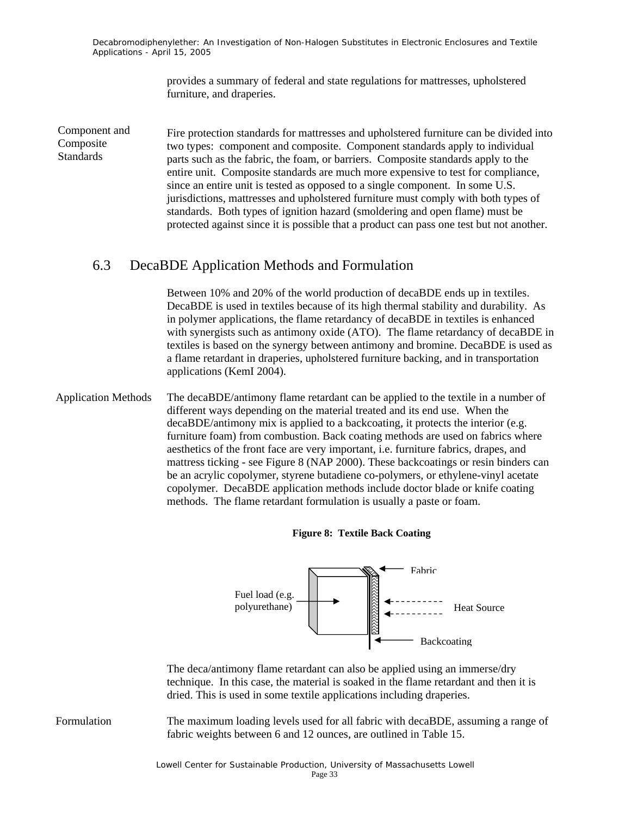> provides a summary of federal and state regulations for mattresses, upholstered furniture, and draperies.

Fire protection standards for mattresses and upholstered furniture can be divided into two types: component and composite. Component standards apply to individual parts such as the fabric, the foam, or barriers. Composite standards apply to the entire unit. Composite standards are much more expensive to test for compliance, since an entire unit is tested as opposed to a single component. In some U.S. jurisdictions, mattresses and upholstered furniture must comply with both types of standards. Both types of ignition hazard (smoldering and open flame) must be protected against since it is possible that a product can pass one test but not another. Component and Composite Standards

#### 6.3 DecaBDE Application Methods and Formulation

Between 10% and 20% of the world production of decaBDE ends up in textiles. DecaBDE is used in textiles because of its high thermal stability and durability. As in polymer applications, the flame retardancy of decaBDE in textiles is enhanced with synergists such as antimony oxide (ATO). The flame retardancy of decaBDE in textiles is based on the synergy between antimony and bromine. DecaBDE is used as a flame retardant in draperies, upholstered furniture backing, and in transportation applications (KemI 2004).

Application Methods The decaBDE/antimony flame retardant can be applied to the textile in a number of different ways depending on the material treated and its end use. When the decaBDE/antimony mix is applied to a backcoating, it protects the interior (e.g. furniture foam) from combustion. Back coating methods are used on fabrics where aesthetics of the front face are very important, i.e. furniture fabrics, drapes, and mattress ticking - see Figure 8 (NAP 2000). These backcoatings or resin binders can be an acrylic copolymer, styrene butadiene co-polymers, or ethylene-vinyl acetate copolymer. DecaBDE application methods include doctor blade or knife coating methods. The flame retardant formulation is usually a paste or foam.

#### **Figure 8: Textile Back Coating**



The deca/antimony flame retardant can also be applied using an immerse/dry technique. In this case, the material is soaked in the flame retardant and then it is dried. This is used in some textile applications including draperies.

Formulation The maximum loading levels used for all fabric with decaBDE, assuming a range of fabric weights between 6 and 12 ounces, are outlined in Table 15.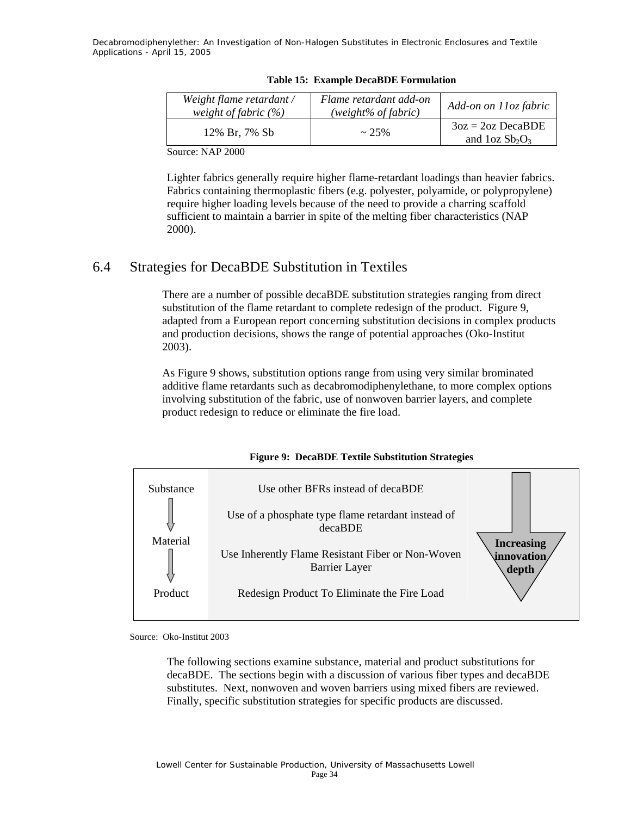| Weight flame retardant /<br>weight of fabric $(\%)$ | Flame retardant add-on<br>(weight% of fabric) | Add-on on 11oz fabric                 |
|-----------------------------------------------------|-----------------------------------------------|---------------------------------------|
| 12% Br. 7% Sb                                       | $\sim 25\%$                                   | $3oz = 2oz DecaBDE$<br>and $1ozSb2O3$ |

**Table 15: Example DecaBDE Formulation** 

Source: NAP 2000

Lighter fabrics generally require higher flame-retardant loadings than heavier fabrics. Fabrics containing thermoplastic fibers (e.g. polyester, polyamide, or polypropylene) require higher loading levels because of the need to provide a charring scaffold sufficient to maintain a barrier in spite of the melting fiber characteristics (NAP 2000).

### 6.4 Strategies for DecaBDE Substitution in Textiles

There are a number of possible decaBDE substitution strategies ranging from direct substitution of the flame retardant to complete redesign of the product. Figure 9, adapted from a European report concerning substitution decisions in complex products and production decisions, shows the range of potential approaches (Oko-Institut 2003).

As Figure 9 shows, substitution options range from using very similar brominated additive flame retardants such as decabromodiphenylethane, to more complex options involving substitution of the fabric, use of nonwoven barrier layers, and complete product redesign to reduce or eliminate the fire load.



#### **Figure 9: DecaBDE Textile Substitution Strategies**

Source: Oko-Institut 2003

The following sections examine substance, material and product substitutions for decaBDE. The sections begin with a discussion of various fiber types and decaBDE substitutes. Next, nonwoven and woven barriers using mixed fibers are reviewed. Finally, specific substitution strategies for specific products are discussed.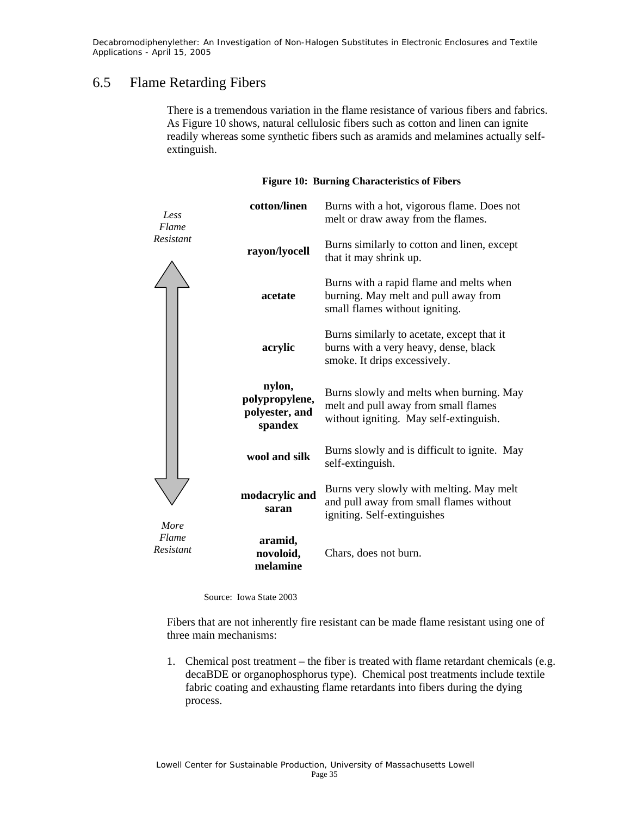### 6.5 Flame Retarding Fibers

There is a tremendous variation in the flame resistance of various fibers and fabrics. As Figure 10 shows, natural cellulosic fibers such as cotton and linen can ignite readily whereas some synthetic fibers such as aramids and melamines actually selfextinguish.

| Less<br>Flame      | cotton/linen                                          | Burns with a hot, vigorous flame. Does not<br>melt or draw away from the flames.                                           |
|--------------------|-------------------------------------------------------|----------------------------------------------------------------------------------------------------------------------------|
| Resistant          | rayon/lyocell                                         | Burns similarly to cotton and linen, except<br>that it may shrink up.                                                      |
|                    | acetate                                               | Burns with a rapid flame and melts when<br>burning. May melt and pull away from<br>small flames without igniting.          |
|                    | acrylic                                               | Burns similarly to acetate, except that it<br>burns with a very heavy, dense, black<br>smoke. It drips excessively.        |
|                    | nylon,<br>polypropylene,<br>polyester, and<br>spandex | Burns slowly and melts when burning. May<br>melt and pull away from small flames<br>without igniting. May self-extinguish. |
|                    | wool and silk                                         | Burns slowly and is difficult to ignite. May<br>self-extinguish.                                                           |
| More               | modacrylic and<br>saran                               | Burns very slowly with melting. May melt<br>and pull away from small flames without<br>igniting. Self-extinguishes         |
| Flame<br>Resistant | aramid,<br>novoloid,<br>melamine                      | Chars, does not burn.                                                                                                      |

#### **Figure 10: Burning Characteristics of Fibers**

Source: Iowa State 2003

Fibers that are not inherently fire resistant can be made flame resistant using one of three main mechanisms:

1. Chemical post treatment – the fiber is treated with flame retardant chemicals (e.g. decaBDE or organophosphorus type). Chemical post treatments include textile fabric coating and exhausting flame retardants into fibers during the dying process.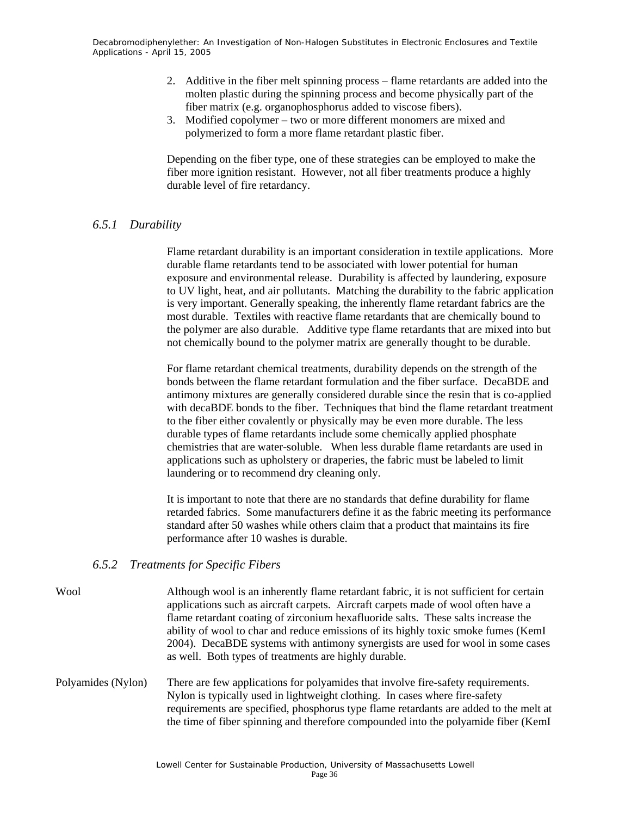- 2. Additive in the fiber melt spinning process flame retardants are added into the molten plastic during the spinning process and become physically part of the fiber matrix (e.g. organophosphorus added to viscose fibers).
- 3. Modified copolymer two or more different monomers are mixed and polymerized to form a more flame retardant plastic fiber.

Depending on the fiber type, one of these strategies can be employed to make the fiber more ignition resistant. However, not all fiber treatments produce a highly durable level of fire retardancy.

#### *6.5.1 Durability*

Flame retardant durability is an important consideration in textile applications. More durable flame retardants tend to be associated with lower potential for human exposure and environmental release. Durability is affected by laundering, exposure to UV light, heat, and air pollutants. Matching the durability to the fabric application is very important. Generally speaking, the inherently flame retardant fabrics are the most durable. Textiles with reactive flame retardants that are chemically bound to the polymer are also durable. Additive type flame retardants that are mixed into but not chemically bound to the polymer matrix are generally thought to be durable.

For flame retardant chemical treatments, durability depends on the strength of the bonds between the flame retardant formulation and the fiber surface. DecaBDE and antimony mixtures are generally considered durable since the resin that is co-applied with decaBDE bonds to the fiber. Techniques that bind the flame retardant treatment to the fiber either covalently or physically may be even more durable. The less durable types of flame retardants include some chemically applied phosphate chemistries that are water-soluble. When less durable flame retardants are used in applications such as upholstery or draperies, the fabric must be labeled to limit laundering or to recommend dry cleaning only.

It is important to note that there are no standards that define durability for flame retarded fabrics. Some manufacturers define it as the fabric meeting its performance standard after 50 washes while others claim that a product that maintains its fire performance after 10 washes is durable.

#### *6.5.2 Treatments for Specific Fibers*

- Wool Although wool is an inherently flame retardant fabric, it is not sufficient for certain applications such as aircraft carpets. Aircraft carpets made of wool often have a flame retardant coating of zirconium hexafluoride salts. These salts increase the ability of wool to char and reduce emissions of its highly toxic smoke fumes (KemI 2004). DecaBDE systems with antimony synergists are used for wool in some cases as well. Both types of treatments are highly durable.
- Polyamides (Nylon) There are few applications for polyamides that involve fire-safety requirements. Nylon is typically used in lightweight clothing. In cases where fire-safety requirements are specified, phosphorus type flame retardants are added to the melt at the time of fiber spinning and therefore compounded into the polyamide fiber (KemI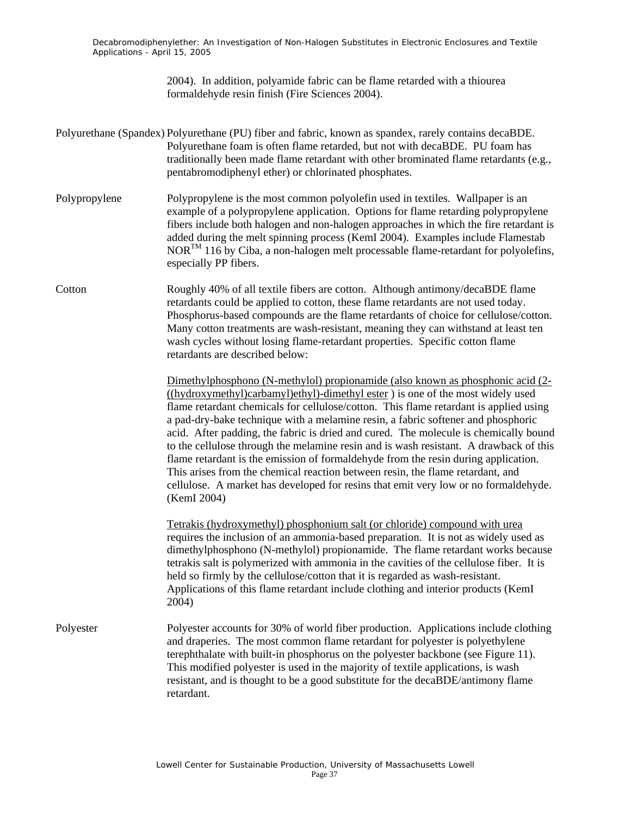> 2004). In addition, polyamide fabric can be flame retarded with a thiourea formaldehyde resin finish (Fire Sciences 2004).

- Polyurethane (Spandex) Polyurethane (PU) fiber and fabric, known as spandex, rarely contains decaBDE. Polyurethane foam is often flame retarded, but not with decaBDE. PU foam has traditionally been made flame retardant with other brominated flame retardants (e.g., pentabromodiphenyl ether) or chlorinated phosphates.
- Polypropylene Polypropylene is the most common polyolefin used in textiles. Wallpaper is an example of a polypropylene application. Options for flame retarding polypropylene fibers include both halogen and non-halogen approaches in which the fire retardant is added during the melt spinning process (KemI 2004). Examples include Flamestab NORTM 116 by Ciba, a non-halogen melt processable flame-retardant for polyolefins, especially PP fibers.
- Cotton Roughly 40% of all textile fibers are cotton. Although antimony/decaBDE flame retardants could be applied to cotton, these flame retardants are not used today. Phosphorus-based compounds are the flame retardants of choice for cellulose/cotton. Many cotton treatments are wash-resistant, meaning they can withstand at least ten wash cycles without losing flame-retardant properties. Specific cotton flame retardants are described below:

Dimethylphosphono (N-methylol) propionamide (also known as phosphonic acid (2- ((hydroxymethyl)carbamyl)ethyl)-dimethyl ester ) is one of the most widely used flame retardant chemicals for cellulose/cotton. This flame retardant is applied using a pad-dry-bake technique with a melamine resin, a fabric softener and phosphoric acid. After padding, the fabric is dried and cured. The molecule is chemically bound to the cellulose through the melamine resin and is wash resistant. A drawback of this flame retardant is the emission of formaldehyde from the resin during application. This arises from the chemical reaction between resin, the flame retardant, and cellulose. A market has developed for resins that emit very low or no formaldehyde. (KemI 2004)

Tetrakis (hydroxymethyl) phosphonium salt (or chloride) compound with urea requires the inclusion of an ammonia-based preparation. It is not as widely used as dimethylphosphono (N-methylol) propionamide. The flame retardant works because tetrakis salt is polymerized with ammonia in the cavities of the cellulose fiber. It is held so firmly by the cellulose/cotton that it is regarded as wash-resistant. Applications of this flame retardant include clothing and interior products (KemI 2004)

Polyester Polyester accounts for 30% of world fiber production. Applications include clothing and draperies. The most common flame retardant for polyester is polyethylene terephthalate with built-in phosphorus on the polyester backbone (see Figure 11). This modified polyester is used in the majority of textile applications, is wash resistant, and is thought to be a good substitute for the decaBDE/antimony flame retardant.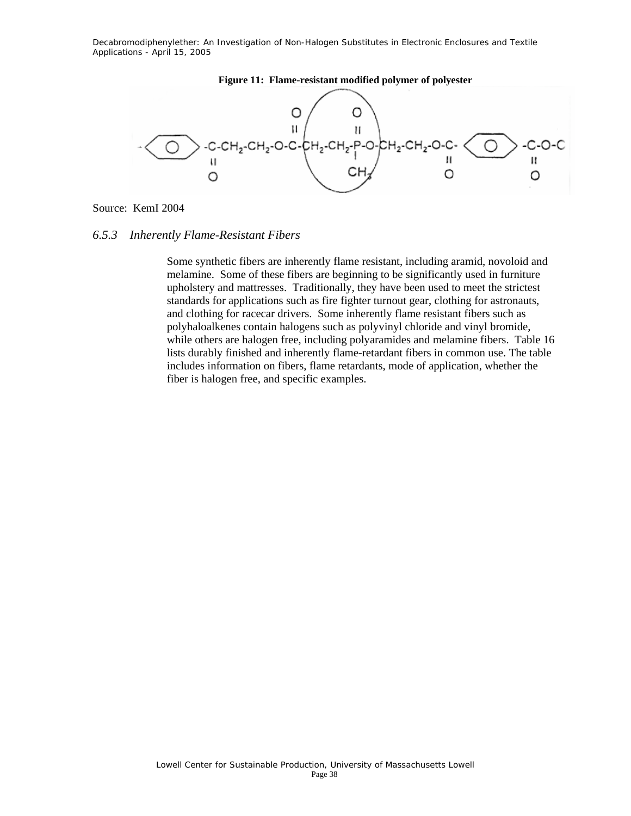

#### **Figure 11: Flame-resistant modified polymer of polyester**

Source: KemI 2004

#### *6.5.3 Inherently Flame-Resistant Fibers*

Some synthetic fibers are inherently flame resistant, including aramid, novoloid and melamine. Some of these fibers are beginning to be significantly used in furniture upholstery and mattresses. Traditionally, they have been used to meet the strictest standards for applications such as fire fighter turnout gear, clothing for astronauts, and clothing for racecar drivers. Some inherently flame resistant fibers such as polyhaloalkenes contain halogens such as polyvinyl chloride and vinyl bromide, while others are halogen free, including polyaramides and melamine fibers. Table 16 lists durably finished and inherently flame-retardant fibers in common use. The table includes information on fibers, flame retardants, mode of application, whether the fiber is halogen free, and specific examples.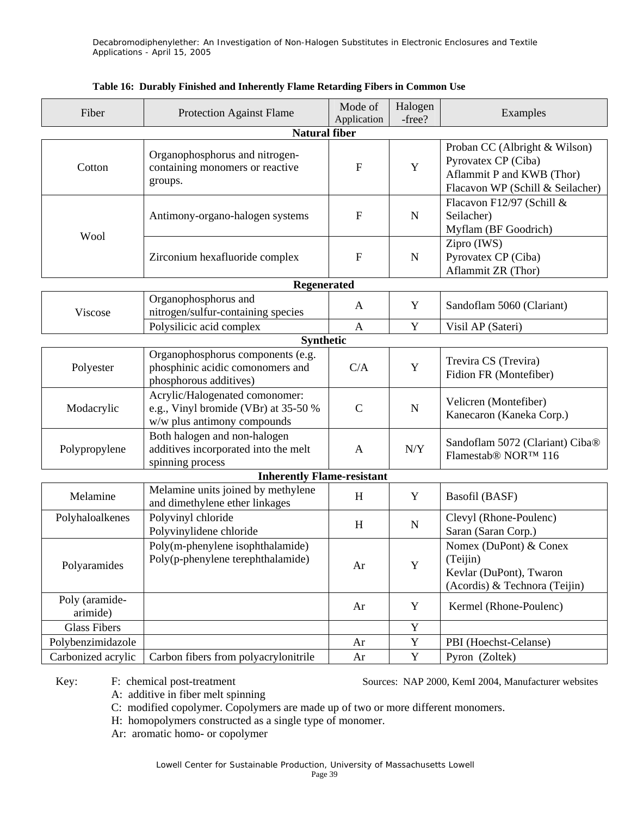| Fiber                      | <b>Protection Against Flame</b>                                                                       | Mode of<br>Application | Halogen<br>-free? | Examples                                                                                                              |
|----------------------------|-------------------------------------------------------------------------------------------------------|------------------------|-------------------|-----------------------------------------------------------------------------------------------------------------------|
|                            | <b>Natural fiber</b>                                                                                  |                        |                   |                                                                                                                       |
| Cotton                     | Organophosphorus and nitrogen-<br>containing monomers or reactive<br>groups.                          |                        |                   | Proban CC (Albright & Wilson)<br>Pyrovatex CP (Ciba)<br>Aflammit P and KWB (Thor)<br>Flacavon WP (Schill & Seilacher) |
| Wool                       | Antimony-organo-halogen systems                                                                       | $\mathbf F$            | ${\bf N}$         | Flacavon F12/97 (Schill &<br>Seilacher)<br>Myflam (BF Goodrich)                                                       |
|                            | Zirconium hexafluoride complex                                                                        | $\mathbf{F}$           | ${\bf N}$         | Zipro (IWS)<br>Pyrovatex CP (Ciba)<br>Aflammit ZR (Thor)                                                              |
|                            | Regenerated                                                                                           |                        |                   |                                                                                                                       |
| Viscose                    | Organophosphorus and<br>nitrogen/sulfur-containing species                                            | A                      | Y                 | Sandoflam 5060 (Clariant)                                                                                             |
|                            | Polysilicic acid complex                                                                              | $\mathbf{A}$           | Y                 | Visil AP (Sateri)                                                                                                     |
|                            | <b>Synthetic</b>                                                                                      |                        |                   |                                                                                                                       |
| Polyester                  | Organophosphorus components (e.g.<br>phosphinic acidic comonomers and<br>phosphorous additives)       | C/A                    | $\mathbf Y$       | Trevira CS (Trevira)<br>Fidion FR (Montefiber)                                                                        |
| Modacrylic                 | Acrylic/Halogenated comonomer:<br>e.g., Vinyl bromide (VBr) at 35-50 %<br>w/w plus antimony compounds | $\mathcal{C}$          | ${\bf N}$         | Velicren (Montefiber)<br>Kanecaron (Kaneka Corp.)                                                                     |
| Polypropylene              | Both halogen and non-halogen<br>additives incorporated into the melt<br>spinning process              |                        | N/Y               | Sandoflam 5072 (Clariant) Ciba®<br>Flamestab <sup>®</sup> NOR <sup>™</sup> 116                                        |
|                            | <b>Inherently Flame-resistant</b>                                                                     |                        |                   |                                                                                                                       |
| Melamine                   | Melamine units joined by methylene<br>and dimethylene ether linkages                                  | H                      | Y                 | Basofil (BASF)                                                                                                        |
| Polyhaloalkenes            | Polyvinyl chloride<br>Polyvinylidene chloride                                                         | H                      | ${\bf N}$         | Clevyl (Rhone-Poulenc)<br>Saran (Saran Corp.)                                                                         |
| Polyaramides               | Poly(m-phenylene isophthalamide)<br>Poly(p-phenylene terephthalamide)                                 | Ar                     | $\mathbf Y$       | Nomex (DuPont) & Conex<br>(Teijin)<br>Kevlar (DuPont), Twaron<br>(Acordis) & Technora (Teijin)                        |
| Poly (aramide-<br>arimide) |                                                                                                       | Ar                     | Y                 | Kermel (Rhone-Poulenc)                                                                                                |
| <b>Glass Fibers</b>        |                                                                                                       |                        | $\mathbf Y$       |                                                                                                                       |
| Polybenzimidazole          |                                                                                                       | Ar                     | $\mathbf Y$       | PBI (Hoechst-Celanse)                                                                                                 |
| Carbonized acrylic         | Carbon fibers from polyacrylonitrile                                                                  | Ar                     | $\mathbf Y$       | Pyron (Zoltek)                                                                                                        |

#### **Table 16: Durably Finished and Inherently Flame Retarding Fibers in Common Use**

Key: F: chemical post-treatment Sources: NAP 2000, KemI 2004, Manufacturer websites

A: additive in fiber melt spinning

C: modified copolymer. Copolymers are made up of two or more different monomers.

H: homopolymers constructed as a single type of monomer.

Ar: aromatic homo- or copolymer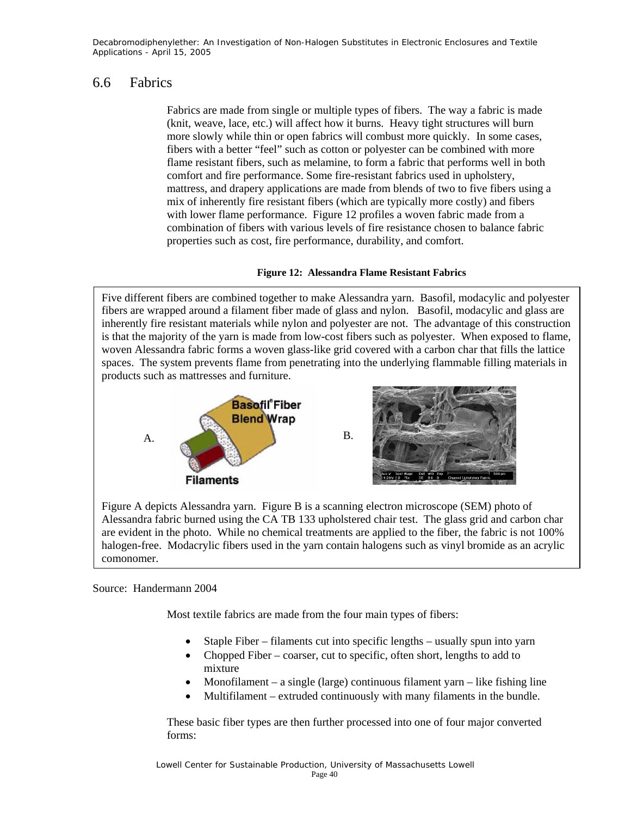### 6.6 Fabrics

Fabrics are made from single or multiple types of fibers. The way a fabric is made (knit, weave, lace, etc.) will affect how it burns. Heavy tight structures will burn more slowly while thin or open fabrics will combust more quickly. In some cases, fibers with a better "feel" such as cotton or polyester can be combined with more flame resistant fibers, such as melamine, to form a fabric that performs well in both comfort and fire performance. Some fire-resistant fabrics used in upholstery, mattress, and drapery applications are made from blends of two to five fibers using a mix of inherently fire resistant fibers (which are typically more costly) and fibers with lower flame performance. Figure 12 profiles a woven fabric made from a combination of fibers with various levels of fire resistance chosen to balance fabric properties such as cost, fire performance, durability, and comfort.

#### **Figure 12: Alessandra Flame Resistant Fabrics**

Five different fibers are combined together to make Alessandra yarn. Basofil, modacylic and polyester fibers are wrapped around a filament fiber made of glass and nylon. Basofil, modacylic and glass are inherently fire resistant materials while nylon and polyester are not. The advantage of this construction is that the majority of the yarn is made from low-cost fibers such as polyester. When exposed to flame, woven Alessandra fabric forms a woven glass-like grid covered with a carbon char that fills the lattice spaces. The system prevents flame from penetrating into the underlying flammable filling materials in products such as mattresses and furniture.



Figure A depicts Alessandra yarn. Figure B is a scanning electron microscope (SEM) photo of Alessandra fabric burned using the CA TB 133 upholstered chair test. The glass grid and carbon char are evident in the photo. While no chemical treatments are applied to the fiber, the fabric is not 100% halogen-free. Modacrylic fibers used in the yarn contain halogens such as vinyl bromide as an acrylic comonomer.

#### Source: Handermann 2004

Most textile fabrics are made from the four main types of fibers:

- Staple Fiber filaments cut into specific lengths usually spun into yarn
- Chopped Fiber coarser, cut to specific, often short, lengths to add to mixture
- Monofilament a single (large) continuous filament yarn like fishing line
- Multifilament extruded continuously with many filaments in the bundle.

These basic fiber types are then further processed into one of four major converted forms: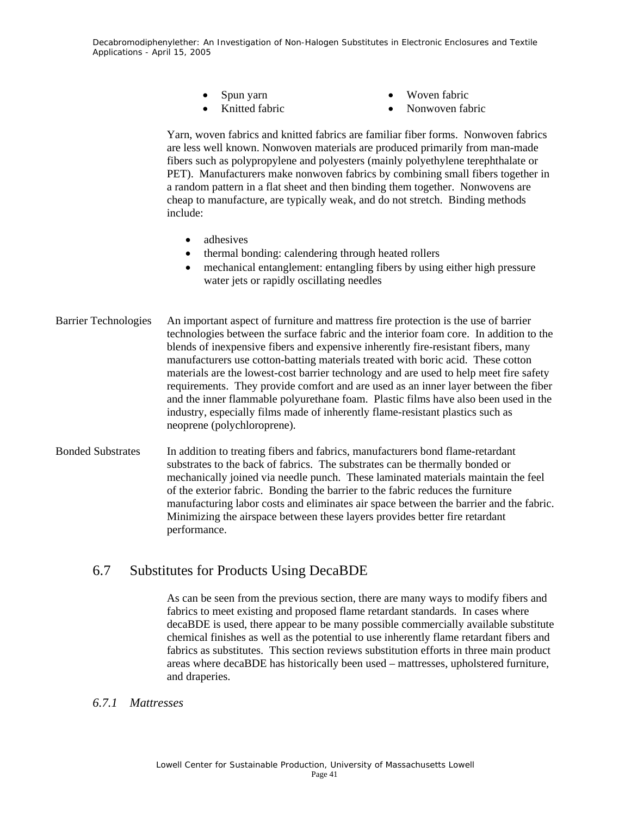- Spun yarn
- Knitted fabric
- Woven fabric
- Nonwoven fabric

Yarn, woven fabrics and knitted fabrics are familiar fiber forms. Nonwoven fabrics are less well known. Nonwoven materials are produced primarily from man-made fibers such as polypropylene and polyesters (mainly polyethylene terephthalate or PET). Manufacturers make nonwoven fabrics by combining small fibers together in a random pattern in a flat sheet and then binding them together. Nonwovens are cheap to manufacture, are typically weak, and do not stretch. Binding methods include:

- adhesives
- thermal bonding: calendering through heated rollers
- mechanical entanglement: entangling fibers by using either high pressure water jets or rapidly oscillating needles
- Barrier Technologies An important aspect of furniture and mattress fire protection is the use of barrier technologies between the surface fabric and the interior foam core. In addition to the blends of inexpensive fibers and expensive inherently fire-resistant fibers, many manufacturers use cotton-batting materials treated with boric acid. These cotton materials are the lowest-cost barrier technology and are used to help meet fire safety requirements. They provide comfort and are used as an inner layer between the fiber and the inner flammable polyurethane foam. Plastic films have also been used in the industry, especially films made of inherently flame-resistant plastics such as neoprene (polychloroprene).
- Bonded Substrates In addition to treating fibers and fabrics, manufacturers bond flame-retardant substrates to the back of fabrics. The substrates can be thermally bonded or mechanically joined via needle punch. These laminated materials maintain the feel of the exterior fabric. Bonding the barrier to the fabric reduces the furniture manufacturing labor costs and eliminates air space between the barrier and the fabric. Minimizing the airspace between these layers provides better fire retardant performance.

### 6.7 Substitutes for Products Using DecaBDE

As can be seen from the previous section, there are many ways to modify fibers and fabrics to meet existing and proposed flame retardant standards. In cases where decaBDE is used, there appear to be many possible commercially available substitute chemical finishes as well as the potential to use inherently flame retardant fibers and fabrics as substitutes. This section reviews substitution efforts in three main product areas where decaBDE has historically been used – mattresses, upholstered furniture, and draperies.

#### *6.7.1 Mattresses*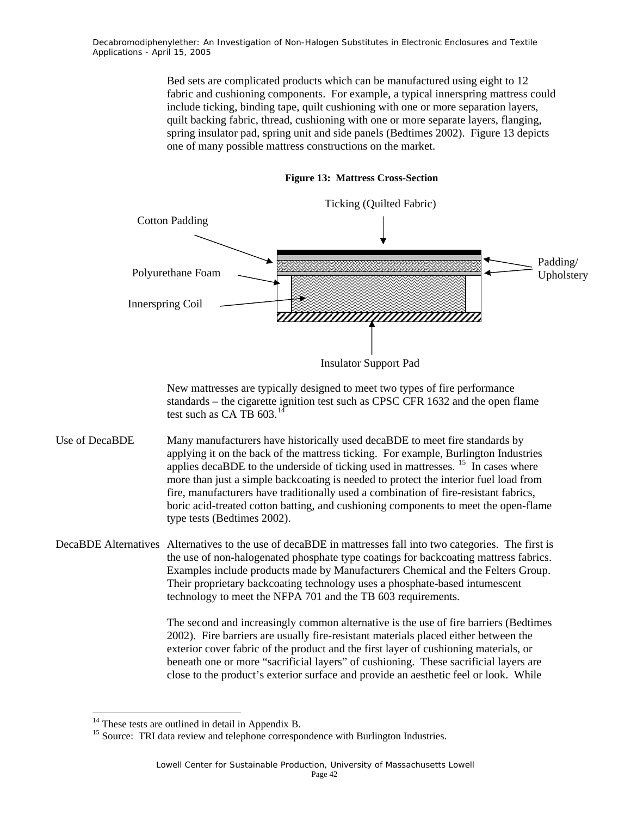> Bed sets are complicated products which can be manufactured using eight to 12 fabric and cushioning components. For example, a typical innerspring mattress could include ticking, binding tape, quilt cushioning with one or more separation layers, quilt backing fabric, thread, cushioning with one or more separate layers, flanging, spring insulator pad, spring unit and side panels (Bedtimes 2002). Figure 13 depicts one of many possible mattress constructions on the market.



#### **Figure 13: Mattress Cross-Section**

New mattresses are typically designed to meet two types of fire performance standards – the cigarette ignition test such as CPSC CFR 1632 and the open flame test such as CA TB  $603$ .<sup>14</sup>

- Use of DecaBDE Many manufacturers have historically used decaBDE to meet fire standards by applying it on the back of the mattress ticking. For example, Burlington Industries applies decaBDE to the underside of ticking used in mattresses.  $15$  In cases where more than just a simple backcoating is needed to protect the interior fuel load from fire, manufacturers have traditionally used a combination of fire-resistant fabrics, boric acid-treated cotton batting, and cushioning components to meet the open-flame type tests (Bedtimes 2002).
- DecaBDE Alternatives Alternatives to the use of decaBDE in mattresses fall into two categories. The first is the use of non-halogenated phosphate type coatings for backcoating mattress fabrics. Examples include products made by Manufacturers Chemical and the Felters Group. Their proprietary backcoating technology uses a phosphate-based intumescent technology to meet the NFPA 701 and the TB 603 requirements.

The second and increasingly common alternative is the use of fire barriers (Bedtimes 2002). Fire barriers are usually fire-resistant materials placed either between the exterior cover fabric of the product and the first layer of cushioning materials, or beneath one or more "sacrificial layers" of cushioning. These sacrificial layers are close to the product's exterior surface and provide an aesthetic feel or look. While

1

 $14$  These tests are outlined in detail in Appendix B.

<sup>&</sup>lt;sup>15</sup> Source: TRI data review and telephone correspondence with Burlington Industries.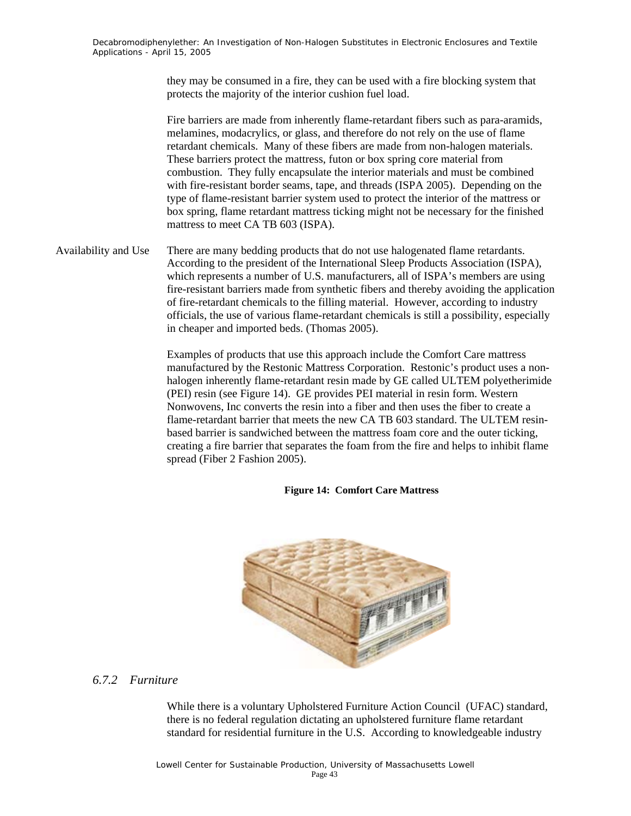they may be consumed in a fire, they can be used with a fire blocking system that protects the majority of the interior cushion fuel load.

Fire barriers are made from inherently flame-retardant fibers such as para-aramids, melamines, modacrylics, or glass, and therefore do not rely on the use of flame retardant chemicals. Many of these fibers are made from non-halogen materials. These barriers protect the mattress, futon or box spring core material from combustion. They fully encapsulate the interior materials and must be combined with fire-resistant border seams, tape, and threads (ISPA 2005). Depending on the type of flame-resistant barrier system used to protect the interior of the mattress or box spring, flame retardant mattress ticking might not be necessary for the finished mattress to meet CA TB 603 (ISPA).

Availability and Use There are many bedding products that do not use halogenated flame retardants. According to the president of the International Sleep Products Association (ISPA), which represents a number of U.S. manufacturers, all of ISPA's members are using fire-resistant barriers made from synthetic fibers and thereby avoiding the application of fire-retardant chemicals to the filling material. However, according to industry officials, the use of various flame-retardant chemicals is still a possibility, especially in cheaper and imported beds. (Thomas 2005).

> Examples of products that use this approach include the Comfort Care mattress manufactured by the Restonic Mattress Corporation. Restonic's product uses a nonhalogen inherently flame-retardant resin made by GE called ULTEM polyetherimide (PEI) resin (see Figure 14). GE provides PEI material in resin form. Western Nonwovens, Inc converts the resin into a fiber and then uses the fiber to create a flame-retardant barrier that meets the new CA TB 603 standard. The ULTEM resinbased barrier is sandwiched between the mattress foam core and the outer ticking, creating a fire barrier that separates the foam from the fire and helps to inhibit flame spread (Fiber 2 Fashion 2005).

#### **Figure 14: Comfort Care Mattress**



### *6.7.2 Furniture*

While there is a voluntary Upholstered Furniture Action Council (UFAC) standard, there is no federal regulation dictating an upholstered furniture flame retardant standard for residential furniture in the U.S. According to knowledgeable industry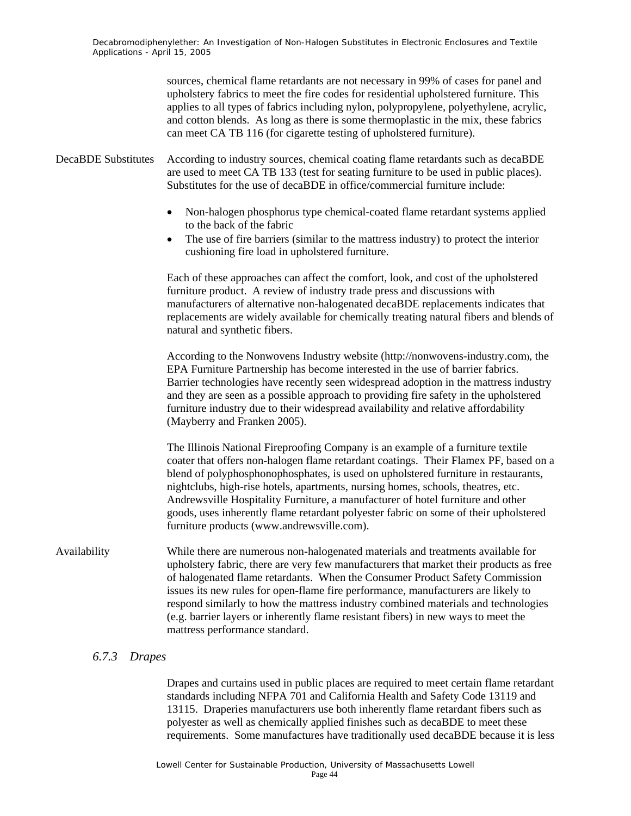sources, chemical flame retardants are not necessary in 99% of cases for panel and upholstery fabrics to meet the fire codes for residential upholstered furniture. This applies to all types of fabrics including nylon, polypropylene, polyethylene, acrylic, and cotton blends. As long as there is some thermoplastic in the mix, these fabrics can meet CA TB 116 (for cigarette testing of upholstered furniture). DecaBDE Substitutes According to industry sources, chemical coating flame retardants such as decaBDE are used to meet CA TB 133 (test for seating furniture to be used in public places). Substitutes for the use of decaBDE in office/commercial furniture include: • Non-halogen phosphorus type chemical-coated flame retardant systems applied to the back of the fabric The use of fire barriers (similar to the mattress industry) to protect the interior cushioning fire load in upholstered furniture. Each of these approaches can affect the comfort, look, and cost of the upholstered furniture product. A review of industry trade press and discussions with manufacturers of alternative non-halogenated decaBDE replacements indicates that replacements are widely available for chemically treating natural fibers and blends of natural and synthetic fibers. According to the Nonwovens Industry website (http://nonwovens-industry.com), the EPA Furniture Partnership has become interested in the use of barrier fabrics. Barrier technologies have recently seen widespread adoption in the mattress industry and they are seen as a possible approach to providing fire safety in the upholstered furniture industry due to their widespread availability and relative affordability (Mayberry and Franken 2005). The Illinois National Fireproofing Company is an example of a furniture textile coater that offers non-halogen flame retardant coatings. Their Flamex PF, based on a blend of polyphosphonophosphates, is used on upholstered furniture in restaurants, nightclubs, high-rise hotels, apartments, nursing homes, schools, theatres, etc. Andrewsville Hospitality Furniture, a manufacturer of hotel furniture and other goods, uses inherently flame retardant polyester fabric on some of their upholstered furniture products (www.andrewsville.com). Availability While there are numerous non-halogenated materials and treatments available for upholstery fabric, there are very few manufacturers that market their products as free of halogenated flame retardants. When the Consumer Product Safety Commission issues its new rules for open-flame fire performance, manufacturers are likely to respond similarly to how the mattress industry combined materials and technologies

#### *6.7.3 Drapes*

Drapes and curtains used in public places are required to meet certain flame retardant standards including NFPA 701 and California Health and Safety Code 13119 and 13115. Draperies manufacturers use both inherently flame retardant fibers such as polyester as well as chemically applied finishes such as decaBDE to meet these requirements. Some manufactures have traditionally used decaBDE because it is less

(e.g. barrier layers or inherently flame resistant fibers) in new ways to meet the

mattress performance standard.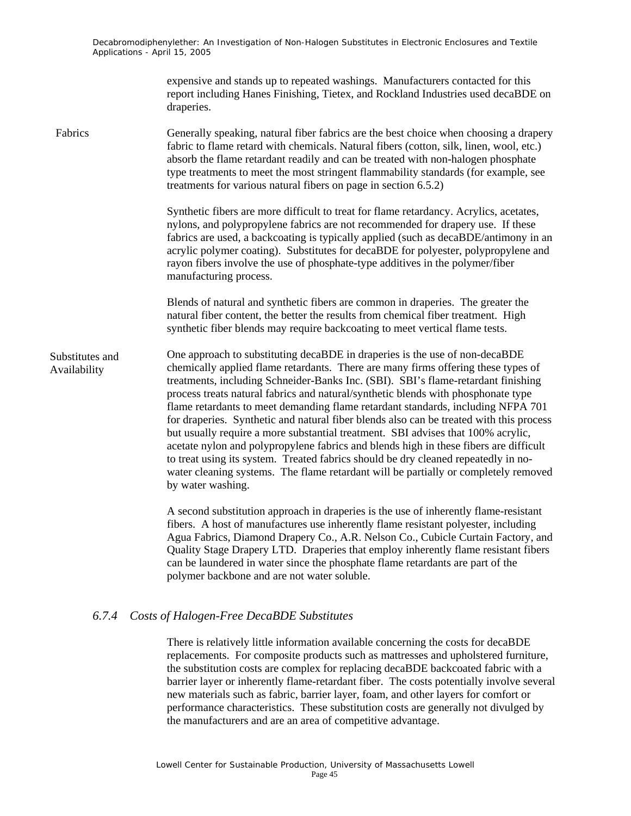> expensive and stands up to repeated washings. Manufacturers contacted for this report including Hanes Finishing, Tietex, and Rockland Industries used decaBDE on draperies.

Fabrics Generally speaking, natural fiber fabrics are the best choice when choosing a drapery fabric to flame retard with chemicals. Natural fibers (cotton, silk, linen, wool, etc.) absorb the flame retardant readily and can be treated with non-halogen phosphate type treatments to meet the most stringent flammability standards (for example, see treatments for various natural fibers on page in section 6.5.2)

> Synthetic fibers are more difficult to treat for flame retardancy. Acrylics, acetates, nylons, and polypropylene fabrics are not recommended for drapery use. If these fabrics are used, a backcoating is typically applied (such as decaBDE/antimony in an acrylic polymer coating). Substitutes for decaBDE for polyester, polypropylene and rayon fibers involve the use of phosphate-type additives in the polymer/fiber manufacturing process.

Blends of natural and synthetic fibers are common in draperies. The greater the natural fiber content, the better the results from chemical fiber treatment. High synthetic fiber blends may require backcoating to meet vertical flame tests.

One approach to substituting decaBDE in draperies is the use of non-decaBDE chemically applied flame retardants. There are many firms offering these types of treatments, including Schneider-Banks Inc. (SBI). SBI's flame-retardant finishing process treats natural fabrics and natural/synthetic blends with phosphonate type flame retardants to meet demanding flame retardant standards, including NFPA 701 for draperies. Synthetic and natural fiber blends also can be treated with this process but usually require a more substantial treatment. SBI advises that 100% acrylic, acetate nylon and polypropylene fabrics and blends high in these fibers are difficult to treat using its system. Treated fabrics should be dry cleaned repeatedly in nowater cleaning systems. The flame retardant will be partially or completely removed by water washing. Substitutes and Availability

> A second substitution approach in draperies is the use of inherently flame-resistant fibers. A host of manufactures use inherently flame resistant polyester, including Agua Fabrics, Diamond Drapery Co., A.R. Nelson Co., Cubicle Curtain Factory, and Quality Stage Drapery LTD. Draperies that employ inherently flame resistant fibers can be laundered in water since the phosphate flame retardants are part of the polymer backbone and are not water soluble.

#### *6.7.4 Costs of Halogen-Free DecaBDE Substitutes*

There is relatively little information available concerning the costs for decaBDE replacements. For composite products such as mattresses and upholstered furniture, the substitution costs are complex for replacing decaBDE backcoated fabric with a barrier layer or inherently flame-retardant fiber. The costs potentially involve several new materials such as fabric, barrier layer, foam, and other layers for comfort or performance characteristics. These substitution costs are generally not divulged by the manufacturers and are an area of competitive advantage.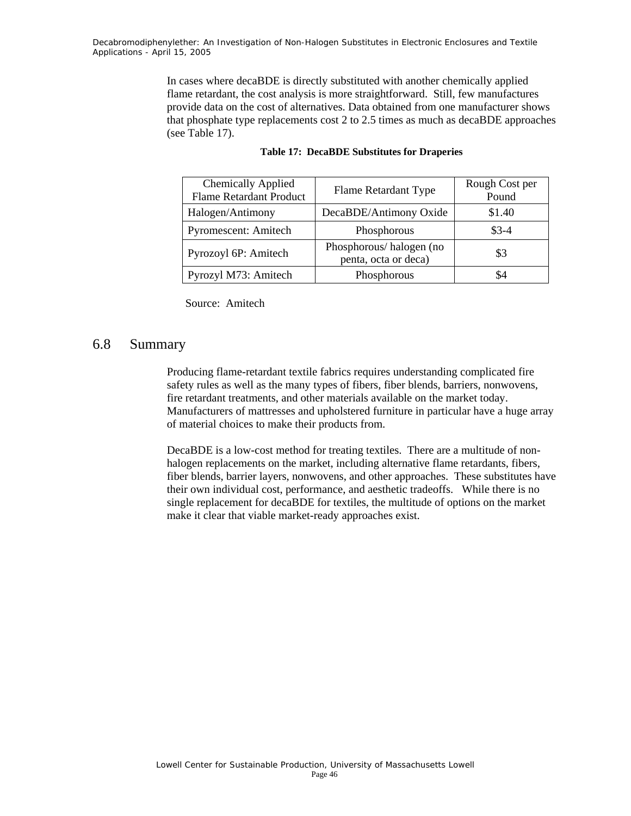> In cases where decaBDE is directly substituted with another chemically applied flame retardant, the cost analysis is more straightforward. Still, few manufactures provide data on the cost of alternatives. Data obtained from one manufacturer shows that phosphate type replacements cost 2 to 2.5 times as much as decaBDE approaches (see Table 17).

| Chemically Applied<br><b>Flame Retardant Product</b> | Flame Retardant Type                            | Rough Cost per<br>Pound |
|------------------------------------------------------|-------------------------------------------------|-------------------------|
| Halogen/Antimony                                     | DecaBDE/Antimony Oxide                          | \$1.40                  |
| Pyromescent: Amitech                                 | Phosphorous                                     | $$3-4$                  |
| Pyrozoyl 6P: Amitech                                 | Phosphorous/halogen (no<br>penta, octa or deca) | \$3                     |
| Pyrozyl M73: Amitech                                 | Phosphorous                                     |                         |

#### **Table 17: DecaBDE Substitutes for Draperies**

Source: Amitech

#### 6.8 Summary

Producing flame-retardant textile fabrics requires understanding complicated fire safety rules as well as the many types of fibers, fiber blends, barriers, nonwovens, fire retardant treatments, and other materials available on the market today. Manufacturers of mattresses and upholstered furniture in particular have a huge array of material choices to make their products from.

DecaBDE is a low-cost method for treating textiles. There are a multitude of nonhalogen replacements on the market, including alternative flame retardants, fibers, fiber blends, barrier layers, nonwovens, and other approaches. These substitutes have their own individual cost, performance, and aesthetic tradeoffs. While there is no single replacement for decaBDE for textiles, the multitude of options on the market make it clear that viable market-ready approaches exist.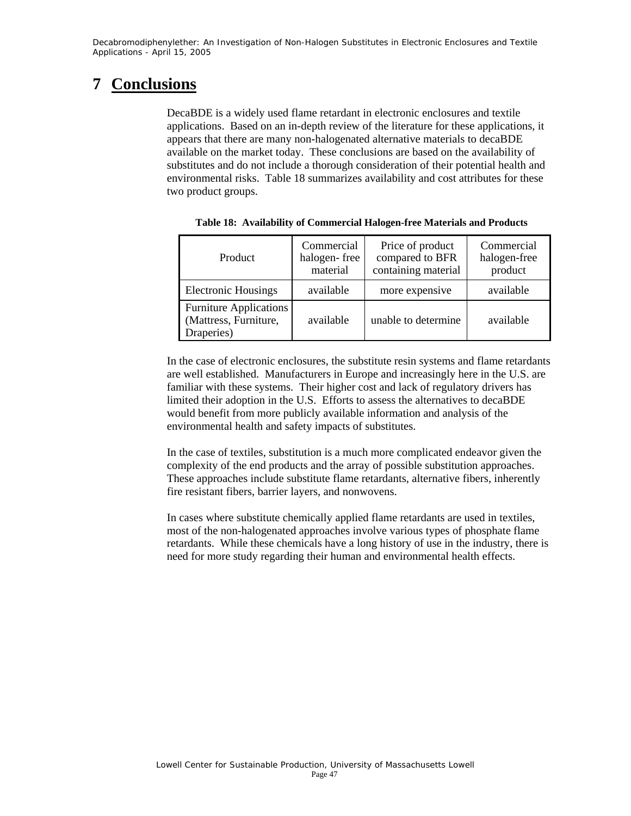### **7 Conclusions**

DecaBDE is a widely used flame retardant in electronic enclosures and textile applications. Based on an in-depth review of the literature for these applications, it appears that there are many non-halogenated alternative materials to decaBDE available on the market today. These conclusions are based on the availability of substitutes and do not include a thorough consideration of their potential health and environmental risks. Table 18 summarizes availability and cost attributes for these two product groups.

| Product                                                                           | Commercial<br>halogen-free<br>material | Price of product<br>compared to BFR<br>containing material | Commercial<br>halogen-free<br>product |
|-----------------------------------------------------------------------------------|----------------------------------------|------------------------------------------------------------|---------------------------------------|
| <b>Electronic Housings</b>                                                        | available                              | more expensive                                             | available                             |
| <b>Furniture Applications</b><br>(Mattress, Furniture,<br>available<br>Draperies) |                                        | unable to determine                                        | available                             |

**Table 18: Availability of Commercial Halogen-free Materials and Products** 

In the case of electronic enclosures, the substitute resin systems and flame retardants are well established. Manufacturers in Europe and increasingly here in the U.S. are familiar with these systems. Their higher cost and lack of regulatory drivers has limited their adoption in the U.S. Efforts to assess the alternatives to decaBDE would benefit from more publicly available information and analysis of the environmental health and safety impacts of substitutes.

In the case of textiles, substitution is a much more complicated endeavor given the complexity of the end products and the array of possible substitution approaches. These approaches include substitute flame retardants, alternative fibers, inherently fire resistant fibers, barrier layers, and nonwovens.

In cases where substitute chemically applied flame retardants are used in textiles, most of the non-halogenated approaches involve various types of phosphate flame retardants. While these chemicals have a long history of use in the industry, there is need for more study regarding their human and environmental health effects.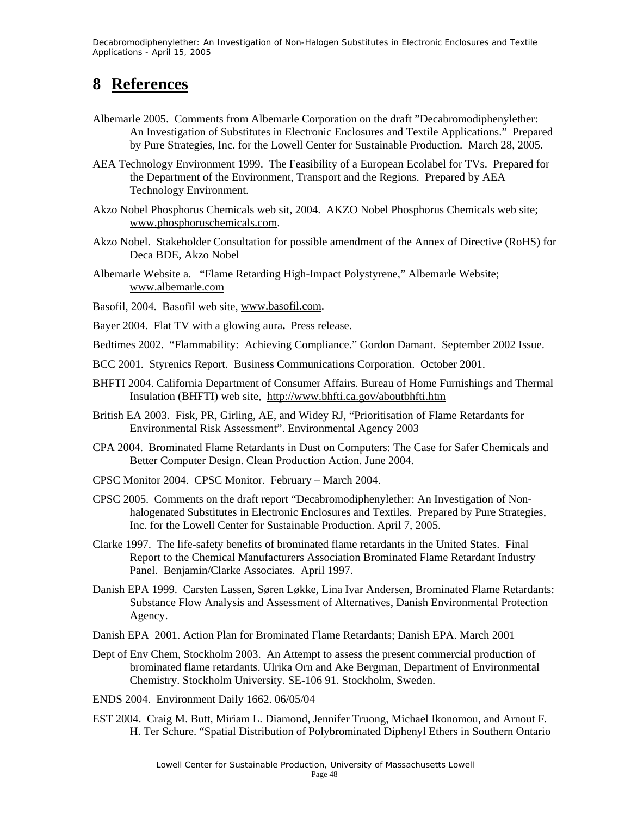### **8 References**

- Albemarle 2005. Comments from Albemarle Corporation on the draft "Decabromodiphenylether: An Investigation of Substitutes in Electronic Enclosures and Textile Applications." Prepared by Pure Strategies, Inc. for the Lowell Center for Sustainable Production. March 28, 2005.
- AEA Technology Environment 1999. The Feasibility of a European Ecolabel for TVs. Prepared for the Department of the Environment, Transport and the Regions. Prepared by AEA Technology Environment.
- Akzo Nobel Phosphorus Chemicals web sit, 2004. AKZO Nobel Phosphorus Chemicals web site; www.phosphoruschemicals.com.
- Akzo Nobel. Stakeholder Consultation for possible amendment of the Annex of Directive (RoHS) for Deca BDE, Akzo Nobel
- Albemarle Website a. "Flame Retarding High-Impact Polystyrene," Albemarle Website; www.albemarle.com
- Basofil, 2004. Basofil web site, www.basofil.com.
- Bayer 2004. Flat TV with a glowing aura**.** Press release.
- Bedtimes 2002. "Flammability: Achieving Compliance." Gordon Damant. September 2002 Issue.
- BCC 2001. Styrenics Report. Business Communications Corporation. October 2001.
- BHFTI 2004. California Department of Consumer Affairs. Bureau of Home Furnishings and Thermal Insulation (BHFTI) web site, http://www.bhfti.ca.gov/aboutbhfti.htm
- British EA 2003. Fisk, PR, Girling, AE, and Widey RJ, "Prioritisation of Flame Retardants for Environmental Risk Assessment". Environmental Agency 2003
- CPA 2004. Brominated Flame Retardants in Dust on Computers: The Case for Safer Chemicals and Better Computer Design. Clean Production Action. June 2004.
- CPSC Monitor 2004. CPSC Monitor. February March 2004.
- CPSC 2005. Comments on the draft report "Decabromodiphenylether: An Investigation of Nonhalogenated Substitutes in Electronic Enclosures and Textiles. Prepared by Pure Strategies, Inc. for the Lowell Center for Sustainable Production. April 7, 2005.
- Clarke 1997. The life-safety benefits of brominated flame retardants in the United States. Final Report to the Chemical Manufacturers Association Brominated Flame Retardant Industry Panel. Benjamin/Clarke Associates. April 1997.
- Danish EPA 1999. Carsten Lassen, Søren Løkke, Lina Ivar Andersen, Brominated Flame Retardants: Substance Flow Analysis and Assessment of Alternatives, Danish Environmental Protection Agency.
- Danish EPA 2001. Action Plan for Brominated Flame Retardants; Danish EPA. March 2001
- Dept of Env Chem, Stockholm 2003. An Attempt to assess the present commercial production of brominated flame retardants. Ulrika Orn and Ake Bergman, Department of Environmental Chemistry. Stockholm University. SE-106 91. Stockholm, Sweden.
- ENDS 2004. Environment Daily 1662. 06/05/04
- EST 2004. Craig M. Butt, Miriam L. Diamond, Jennifer Truong, Michael Ikonomou, and Arnout F. H. Ter Schure. "Spatial Distribution of Polybrominated Diphenyl Ethers in Southern Ontario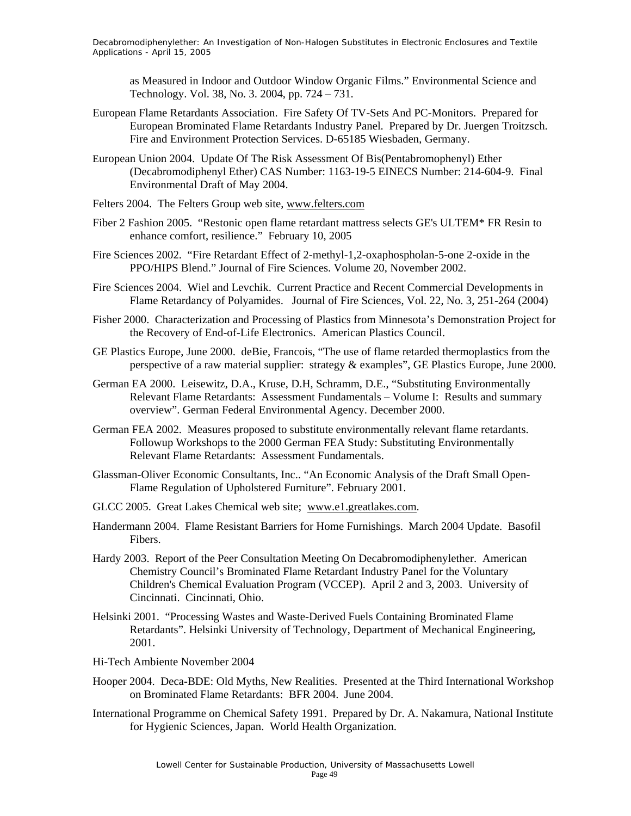as Measured in Indoor and Outdoor Window Organic Films." Environmental Science and Technology. Vol. 38, No. 3. 2004, pp. 724 – 731.

- European Flame Retardants Association. Fire Safety Of TV-Sets And PC-Monitors. Prepared for European Brominated Flame Retardants Industry Panel. Prepared by Dr. Juergen Troitzsch. Fire and Environment Protection Services. D-65185 Wiesbaden, Germany.
- European Union 2004. Update Of The Risk Assessment Of Bis(Pentabromophenyl) Ether (Decabromodiphenyl Ether) CAS Number: 1163-19-5 EINECS Number: 214-604-9. Final Environmental Draft of May 2004.
- Felters 2004. The Felters Group web site, www.felters.com
- Fiber 2 Fashion 2005. "Restonic open flame retardant mattress selects GE's ULTEM\* FR Resin to enhance comfort, resilience." February 10, 2005
- Fire Sciences 2002. "Fire Retardant Effect of 2-methyl-1,2-oxaphospholan-5-one 2-oxide in the PPO/HIPS Blend." Journal of Fire Sciences. Volume 20, November 2002.
- Fire Sciences 2004. Wiel and Levchik. Current Practice and Recent Commercial Developments in Flame Retardancy of Polyamides. Journal of Fire Sciences, Vol. 22, No. 3, 251-264 (2004)
- Fisher 2000. Characterization and Processing of Plastics from Minnesota's Demonstration Project for the Recovery of End-of-Life Electronics. American Plastics Council.
- GE Plastics Europe, June 2000. deBie, Francois, "The use of flame retarded thermoplastics from the perspective of a raw material supplier: strategy & examples", GE Plastics Europe, June 2000.
- German EA 2000. Leisewitz, D.A., Kruse, D.H, Schramm, D.E., "Substituting Environmentally Relevant Flame Retardants: Assessment Fundamentals – Volume I: Results and summary overview". German Federal Environmental Agency. December 2000.
- German FEA 2002. Measures proposed to substitute environmentally relevant flame retardants. Followup Workshops to the 2000 German FEA Study: Substituting Environmentally Relevant Flame Retardants: Assessment Fundamentals.
- Glassman-Oliver Economic Consultants, Inc.. "An Economic Analysis of the Draft Small Open-Flame Regulation of Upholstered Furniture". February 2001.
- GLCC 2005. Great Lakes Chemical web site; www.e1.greatlakes.com.
- Handermann 2004. Flame Resistant Barriers for Home Furnishings. March 2004 Update. Basofil Fibers.
- Hardy 2003. Report of the Peer Consultation Meeting On Decabromodiphenylether. American Chemistry Council's Brominated Flame Retardant Industry Panel for the Voluntary Children's Chemical Evaluation Program (VCCEP). April 2 and 3, 2003. University of Cincinnati. Cincinnati, Ohio.
- Helsinki 2001. "Processing Wastes and Waste-Derived Fuels Containing Brominated Flame Retardants". Helsinki University of Technology, Department of Mechanical Engineering, 2001.
- Hi-Tech Ambiente November 2004
- Hooper 2004. Deca-BDE: Old Myths, New Realities. Presented at the Third International Workshop on Brominated Flame Retardants: BFR 2004. June 2004.
- International Programme on Chemical Safety 1991. Prepared by Dr. A. Nakamura, National Institute for Hygienic Sciences, Japan. World Health Organization.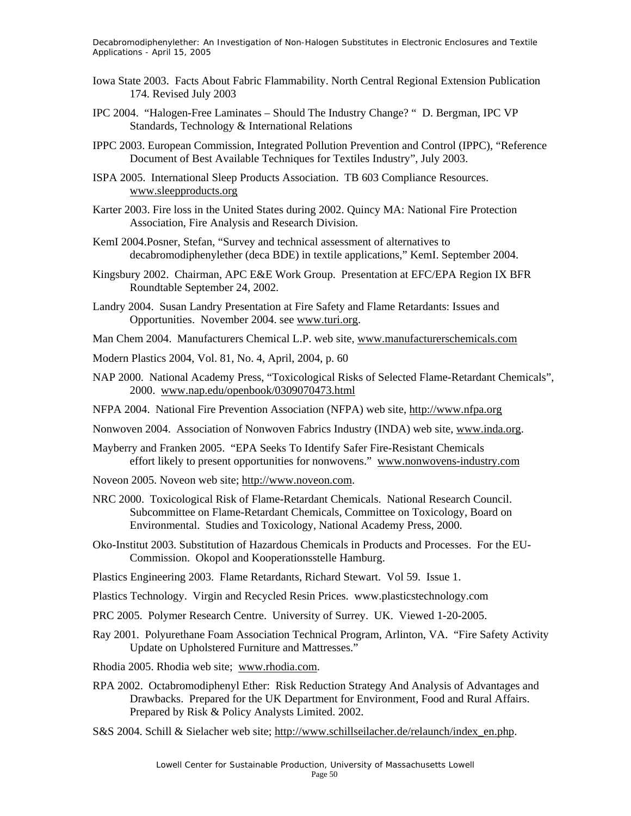- Iowa State 2003. Facts About Fabric Flammability. North Central Regional Extension Publication 174. Revised July 2003
- IPC 2004. "Halogen-Free Laminates Should The Industry Change? " D. Bergman, IPC VP Standards, Technology & International Relations
- IPPC 2003. European Commission, Integrated Pollution Prevention and Control (IPPC), "Reference Document of Best Available Techniques for Textiles Industry", July 2003.
- ISPA 2005. International Sleep Products Association. TB 603 Compliance Resources. www.sleepproducts.org
- Karter 2003. Fire loss in the United States during 2002. Quincy MA: National Fire Protection Association, Fire Analysis and Research Division.
- KemI 2004.Posner, Stefan, "Survey and technical assessment of alternatives to decabromodiphenylether (deca BDE) in textile applications," KemI. September 2004.
- Kingsbury 2002. Chairman, APC E&E Work Group. Presentation at EFC/EPA Region IX BFR Roundtable September 24, 2002.
- Landry 2004. Susan Landry Presentation at Fire Safety and Flame Retardants: Issues and Opportunities. November 2004. see www.turi.org.
- Man Chem 2004. Manufacturers Chemical L.P. web site, www.manufacturerschemicals.com
- Modern Plastics 2004, Vol. 81, No. 4, April, 2004, p. 60
- NAP 2000. National Academy Press, "Toxicological Risks of Selected Flame-Retardant Chemicals", 2000. www.nap.edu/openbook/0309070473.html
- NFPA 2004. National Fire Prevention Association (NFPA) web site, http://www.nfpa.org
- Nonwoven 2004. Association of Nonwoven Fabrics Industry (INDA) web site, www.inda.org.
- Mayberry and Franken 2005. "EPA Seeks To Identify Safer Fire-Resistant Chemicals effort likely to present opportunities for nonwovens." www.nonwovens-industry.com
- Noveon 2005. Noveon web site; http://www.noveon.com.
- NRC 2000. Toxicological Risk of Flame-Retardant Chemicals. National Research Council. Subcommittee on Flame-Retardant Chemicals, Committee on Toxicology, Board on Environmental. Studies and Toxicology, National Academy Press, 2000.
- Oko-Institut 2003. Substitution of Hazardous Chemicals in Products and Processes. For the EU-Commission. Okopol and Kooperationsstelle Hamburg.
- Plastics Engineering 2003. Flame Retardants, Richard Stewart. Vol 59. Issue 1.
- Plastics Technology. Virgin and Recycled Resin Prices. www.plasticstechnology.com
- PRC 2005. Polymer Research Centre. University of Surrey. UK. Viewed 1-20-2005.
- Ray 2001. Polyurethane Foam Association Technical Program, Arlinton, VA. "Fire Safety Activity Update on Upholstered Furniture and Mattresses."
- Rhodia 2005. Rhodia web site; www.rhodia.com.
- RPA 2002. Octabromodiphenyl Ether: Risk Reduction Strategy And Analysis of Advantages and Drawbacks. Prepared for the UK Department for Environment, Food and Rural Affairs. Prepared by Risk & Policy Analysts Limited. 2002.
- S&S 2004. Schill & Sielacher web site; http://www.schillseilacher.de/relaunch/index\_en.php.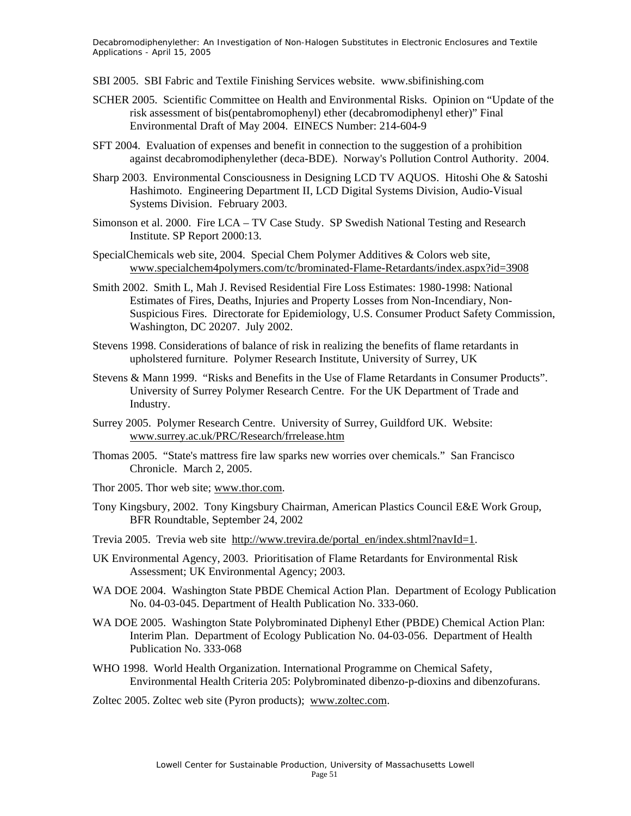- SBI 2005. SBI Fabric and Textile Finishing Services website. www.sbifinishing.com
- SCHER 2005. Scientific Committee on Health and Environmental Risks. Opinion on "Update of the risk assessment of bis(pentabromophenyl) ether (decabromodiphenyl ether)" Final Environmental Draft of May 2004. EINECS Number: 214-604-9
- SFT 2004. Evaluation of expenses and benefit in connection to the suggestion of a prohibition against decabromodiphenylether (deca-BDE). Norway's Pollution Control Authority. 2004.
- Sharp 2003. Environmental Consciousness in Designing LCD TV AQUOS. Hitoshi Ohe & Satoshi Hashimoto. Engineering Department II, LCD Digital Systems Division, Audio-Visual Systems Division. February 2003.
- Simonson et al. 2000. Fire LCA TV Case Study. SP Swedish National Testing and Research Institute. SP Report 2000:13.
- SpecialChemicals web site, 2004. Special Chem Polymer Additives & Colors web site, www.specialchem4polymers.com/tc/brominated-Flame-Retardants/index.aspx?id=3908
- Smith 2002. Smith L, Mah J. Revised Residential Fire Loss Estimates: 1980-1998: National Estimates of Fires, Deaths, Injuries and Property Losses from Non-Incendiary, Non-Suspicious Fires. Directorate for Epidemiology, U.S. Consumer Product Safety Commission, Washington, DC 20207. July 2002.
- Stevens 1998. Considerations of balance of risk in realizing the benefits of flame retardants in upholstered furniture. Polymer Research Institute, University of Surrey, UK
- Stevens & Mann 1999. "Risks and Benefits in the Use of Flame Retardants in Consumer Products". University of Surrey Polymer Research Centre. For the UK Department of Trade and Industry.
- Surrey 2005. Polymer Research Centre. University of Surrey, Guildford UK. Website: www.surrey.ac.uk/PRC/Research/frrelease.htm
- Thomas 2005. "State's mattress fire law sparks new worries over chemicals." San Francisco Chronicle. March 2, 2005.
- Thor 2005. Thor web site; www.thor.com.
- Tony Kingsbury, 2002. Tony Kingsbury Chairman, American Plastics Council E&E Work Group, BFR Roundtable, September 24, 2002
- Trevia 2005. Trevia web site http://www.trevira.de/portal\_en/index.shtml?navId=1.
- UK Environmental Agency, 2003. Prioritisation of Flame Retardants for Environmental Risk Assessment; UK Environmental Agency; 2003.
- WA DOE 2004. Washington State PBDE Chemical Action Plan. Department of Ecology Publication No. 04-03-045. Department of Health Publication No. 333-060.
- WA DOE 2005. Washington State Polybrominated Diphenyl Ether (PBDE) Chemical Action Plan: Interim Plan. Department of Ecology Publication No. 04-03-056. Department of Health Publication No. 333-068
- WHO 1998. World Health Organization. International Programme on Chemical Safety, Environmental Health Criteria 205: Polybrominated dibenzo-p-dioxins and dibenzofurans.
- Zoltec 2005. Zoltec web site (Pyron products); www.zoltec.com.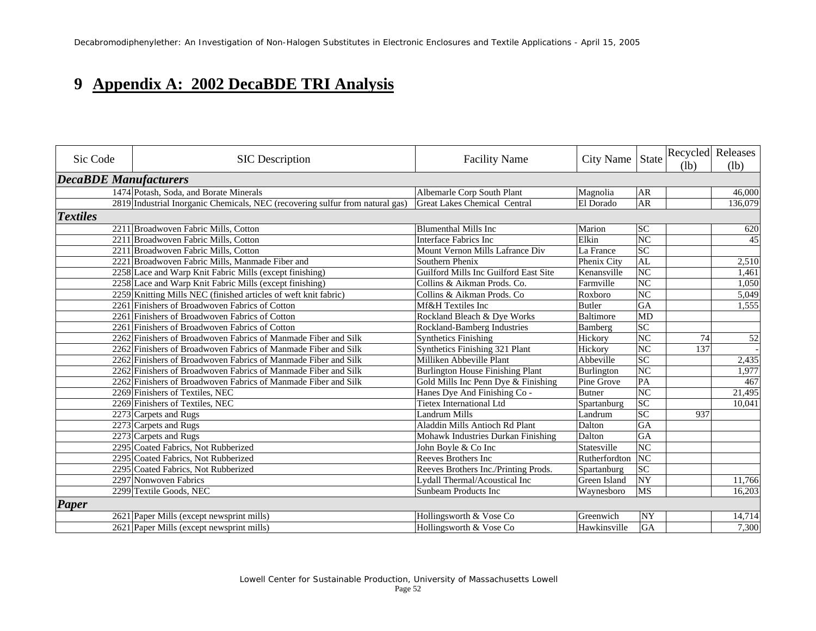### **9 Appendix A: 2002 DecaBDE TRI Analysis**

| Sic Code                     | <b>SIC</b> Description                                                        | <b>Facility Name</b>                    | City Name     | State<br>(lb)          | Recycled Releases<br>(lb) |
|------------------------------|-------------------------------------------------------------------------------|-----------------------------------------|---------------|------------------------|---------------------------|
| <b>DecaBDE Manufacturers</b> |                                                                               |                                         |               |                        |                           |
|                              | 1474 Potash, Soda, and Borate Minerals                                        | Albemarle Corp South Plant              | Magnolia      | AR                     | 46,000                    |
|                              | 2819 Industrial Inorganic Chemicals, NEC (recovering sulfur from natural gas) | <b>Great Lakes Chemical Central</b>     | El Dorado     | <b>AR</b>              | 136,079                   |
| <b>Textiles</b>              |                                                                               |                                         |               |                        |                           |
|                              | 2211 Broadwoven Fabric Mills, Cotton                                          | <b>Blumenthal Mills Inc</b>             | Marion        | <b>SC</b>              | 620                       |
|                              | 2211 Broadwoven Fabric Mills, Cotton                                          | Interface Fabrics Inc                   | Elkin         | NC                     | 45                        |
|                              | 2211 Broadwoven Fabric Mills, Cotton                                          | Mount Vernon Mills Lafrance Div         | La France     | <b>SC</b>              |                           |
|                              | 2221 Broadwoven Fabric Mills, Manmade Fiber and                               | Southern Phenix                         | Phenix City   | AL                     | 2,510                     |
|                              | 2258 Lace and Warp Knit Fabric Mills (except finishing)                       | Guilford Mills Inc Guilford East Site   | Kenansville   | NC                     | 1,461                     |
|                              | 2258 Lace and Warp Knit Fabric Mills (except finishing)                       | Collins & Aikman Prods. Co.             | Farmville     | $\overline{\text{NC}}$ | 1,050                     |
|                              | 2259 Knitting Mills NEC (finished articles of weft knit fabric)               | Collins & Aikman Prods. Co              | Roxboro       | NC                     | 5,049                     |
|                              | 2261 Finishers of Broadwoven Fabrics of Cotton                                | Mf&H Textiles Inc                       | <b>Butler</b> | GA                     | 1,555                     |
|                              | 2261 Finishers of Broadwoven Fabrics of Cotton                                | Rockland Bleach & Dye Works             | Baltimore     | MD                     |                           |
|                              | 2261 Finishers of Broadwoven Fabrics of Cotton                                | Rockland-Bamberg Industries             | Bamberg       | SC                     |                           |
|                              | 2262 Finishers of Broadwoven Fabrics of Manmade Fiber and Silk                | <b>Synthetics Finishing</b>             | Hickory       | NC<br>74               | 52                        |
|                              | 2262 Finishers of Broadwoven Fabrics of Manmade Fiber and Silk                | Synthetics Finishing 321 Plant          | Hickory       | N <sub>C</sub><br>137  |                           |
|                              | 2262 Finishers of Broadwoven Fabrics of Manmade Fiber and Silk                | Milliken Abbeville Plant                | Abbeville     | $\overline{SC}$        | 2,435                     |
|                              | 2262 Finishers of Broadwoven Fabrics of Manmade Fiber and Silk                | <b>Burlington House Finishing Plant</b> | Burlington    | $\overline{\text{NC}}$ | 1,977                     |
|                              | 2262 Finishers of Broadwoven Fabrics of Manmade Fiber and Silk                | Gold Mills Inc Penn Dye & Finishing     | Pine Grove    | PA                     | 467                       |
|                              | 2269 Finishers of Textiles, NEC                                               | Hanes Dye And Finishing Co -            | <b>Butner</b> | NC                     | 21,495                    |
|                              | 2269 Finishers of Textiles, NEC                                               | <b>Tietex International Ltd</b>         | Spartanburg   | SC                     | 10,041                    |
|                              | 2273 Carpets and Rugs                                                         | <b>Landrum Mills</b>                    | Landrum       | SC<br>937              |                           |
|                              | 2273 Carpets and Rugs                                                         | Aladdin Mills Antioch Rd Plant          | Dalton        | GA                     |                           |
|                              | 2273 Carpets and Rugs                                                         | Mohawk Industries Durkan Finishing      | Dalton        | GA                     |                           |
|                              | 2295 Coated Fabrics, Not Rubberized                                           | John Boyle & Co Inc                     | Statesville   | NC                     |                           |
|                              | 2295 Coated Fabrics, Not Rubberized                                           | Reeves Brothers Inc                     | Rutherfordton | NC                     |                           |
|                              | 2295 Coated Fabrics, Not Rubberized                                           | Reeves Brothers Inc./Printing Prods.    | Spartanburg   | $\overline{SC}$        |                           |
|                              | 2297 Nonwoven Fabrics                                                         | Lydall Thermal/Acoustical Inc           | Green Island  | $\overline{NY}$        | 11,766                    |
|                              | 2299 Textile Goods, NEC                                                       | Sunbeam Products Inc                    | Waynesboro    | <b>MS</b>              | 16,203                    |
| <b>Paper</b>                 |                                                                               |                                         |               |                        |                           |
|                              | 2621 Paper Mills (except newsprint mills)                                     | Hollingsworth & Vose Co                 | Greenwich     | NY                     | 14,714                    |
|                              | 2621 Paper Mills (except newsprint mills)                                     | Hollingsworth & Vose Co                 | Hawkinsville  | GA                     | 7,300                     |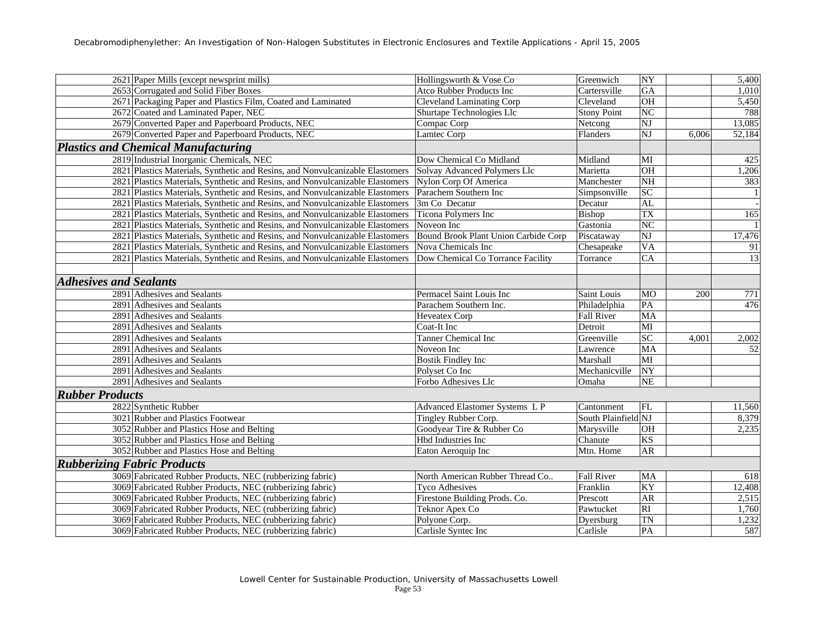|                               | 2621 Paper Mills (except newsprint mills)                                     | Hollingsworth & Vose Co              | Greenwich           | NY                     |       | 5,400           |
|-------------------------------|-------------------------------------------------------------------------------|--------------------------------------|---------------------|------------------------|-------|-----------------|
|                               | 2653 Corrugated and Solid Fiber Boxes                                         | Atco Rubber Products Inc             | Cartersville        | GA                     |       | 1,010           |
|                               | 2671 Packaging Paper and Plastics Film, Coated and Laminated                  | <b>Cleveland Laminating Corp</b>     | Cleveland           | $\overline{OH}$        |       | 5,450           |
|                               | 2672 Coated and Laminated Paper, NEC                                          | Shurtape Technologies Llc            | <b>Stony Point</b>  | NC                     |       | 788             |
|                               | 2679 Converted Paper and Paperboard Products, NEC                             | Compac Corp                          | Netcong             | $\overline{\text{NJ}}$ |       | 13,085          |
|                               | 2679 Converted Paper and Paperboard Products, NEC                             | Lamtec Corp                          | Flanders            | $\overline{\text{NJ}}$ | 6,006 | 52,184          |
|                               | <b>Plastics and Chemical Manufacturing</b>                                    |                                      |                     |                        |       |                 |
|                               | 2819 Industrial Inorganic Chemicals, NEC                                      | Dow Chemical Co Midland              | Midland             | MI                     |       | 425             |
|                               | 2821 Plastics Materials, Synthetic and Resins, and Nonvulcanizable Elastomers | Solvay Advanced Polymers Llc         | Marietta            | OH                     |       | 1,206           |
|                               | 2821 Plastics Materials, Synthetic and Resins, and Nonvulcanizable Elastomers | Nylon Corp Of America                | Manchester          | $\overline{\text{NH}}$ |       | 383             |
|                               | 2821 Plastics Materials, Synthetic and Resins, and Nonvulcanizable Elastomers | Parachem Southern Inc                | Simpsonville        | SC                     |       |                 |
|                               | 2821 Plastics Materials, Synthetic and Resins, and Nonvulcanizable Elastomers | 3m Co Decatur                        | Decatur             | AL                     |       |                 |
|                               | 2821 Plastics Materials, Synthetic and Resins, and Nonvulcanizable Elastomers | Ticona Polymers Inc                  | Bishop              | TX                     |       | 165             |
|                               | 2821 Plastics Materials, Synthetic and Resins, and Nonvulcanizable Elastomers | Noveon Inc                           | Gastonia            | NC                     |       |                 |
|                               | 2821 Plastics Materials, Synthetic and Resins, and Nonvulcanizable Elastomers | Bound Brook Plant Union Carbide Corp | Piscataway          | NJ                     |       | 17,476          |
|                               | 2821 Plastics Materials, Synthetic and Resins, and Nonvulcanizable Elastomers | Nova Chemicals Inc                   | Chesapeake          | <b>VA</b>              |       | 91              |
|                               | 2821 Plastics Materials, Synthetic and Resins, and Nonvulcanizable Elastomers | Dow Chemical Co Torrance Facility    | Torrance            | $\overline{CA}$        |       | 13              |
|                               |                                                                               |                                      |                     |                        |       |                 |
| <b>Adhesives and Sealants</b> |                                                                               |                                      |                     |                        |       |                 |
|                               | 2891 Adhesives and Sealants                                                   | Permacel Saint Louis Inc             | Saint Louis         | MO                     | 200   | 771             |
|                               | 2891 Adhesives and Sealants                                                   | Parachem Southern Inc.               | Philadelphia        | ${\bf PA}$             |       | 476             |
|                               | 2891 Adhesives and Sealants                                                   | Heveatex Corp                        | Fall River          | MA                     |       |                 |
|                               | 2891 Adhesives and Sealants                                                   | Coat-It Inc                          | Detroit             | $\overline{\text{MI}}$ |       |                 |
|                               | 2891 Adhesives and Sealants                                                   | <b>Tanner Chemical Inc</b>           | Greenville          | SC                     | 4,001 | 2,002           |
|                               | 2891 Adhesives and Sealants                                                   | Noveon Inc                           | Lawrence            | MA                     |       | $\overline{52}$ |
|                               | 2891 Adhesives and Sealants                                                   | <b>Bostik Findley Inc</b>            | Marshall            | MI                     |       |                 |
|                               | 2891 Adhesives and Sealants                                                   | Polyset Co Inc                       | Mechanicville       | $\overline{NY}$        |       |                 |
|                               | 2891 Adhesives and Sealants                                                   | Forbo Adhesives Llc                  | Omaha               | <b>NE</b>              |       |                 |
| <b>Rubber Products</b>        |                                                                               |                                      |                     |                        |       |                 |
|                               | 2822 Synthetic Rubber                                                         | Advanced Elastomer Systems L P       | Cantonment          | FL                     |       | 11,560          |
|                               | 3021 Rubber and Plastics Footwear                                             | Tingley Rubber Corp.                 | South Plainfield NJ |                        |       | 8,379           |
|                               | 3052 Rubber and Plastics Hose and Belting                                     | Goodyear Tire & Rubber Co            | Marysville          | OH                     |       | 2,235           |
|                               | 3052 Rubber and Plastics Hose and Belting                                     | Hbd Industries Inc                   | Chanute             | $\overline{\text{KS}}$ |       |                 |
|                               | 3052 Rubber and Plastics Hose and Belting                                     | Eaton Aeroquip Inc                   | Mtn. Home           | AR                     |       |                 |
|                               | <b>Rubberizing Fabric Products</b>                                            |                                      |                     |                        |       |                 |
|                               | 3069 Fabricated Rubber Products, NEC (rubberizing fabric)                     | North American Rubber Thread Co      | Fall River          | MA                     |       | 618             |
|                               | 3069 Fabricated Rubber Products, NEC (rubberizing fabric)                     | <b>Tyco Adhesives</b>                | Franklin            | KY                     |       | 12,408          |
|                               | 3069 Fabricated Rubber Products, NEC (rubberizing fabric)                     | Firestone Building Prods. Co.        | Prescott            | <b>AR</b>              |       | 2,515           |
|                               | 3069 Fabricated Rubber Products, NEC (rubberizing fabric)                     | Teknor Apex Co                       | Pawtucket           | $\overline{RI}$        |       | 1,760           |
|                               | 3069 Fabricated Rubber Products, NEC (rubberizing fabric)                     | Polyone Corp.                        | Dyersburg           | <b>TN</b>              |       | 1,232           |
|                               | 3069 Fabricated Rubber Products, NEC (rubberizing fabric)                     | Carlisle Syntec Inc                  | Carlisle            | PA                     |       | 587             |
|                               |                                                                               |                                      |                     |                        |       |                 |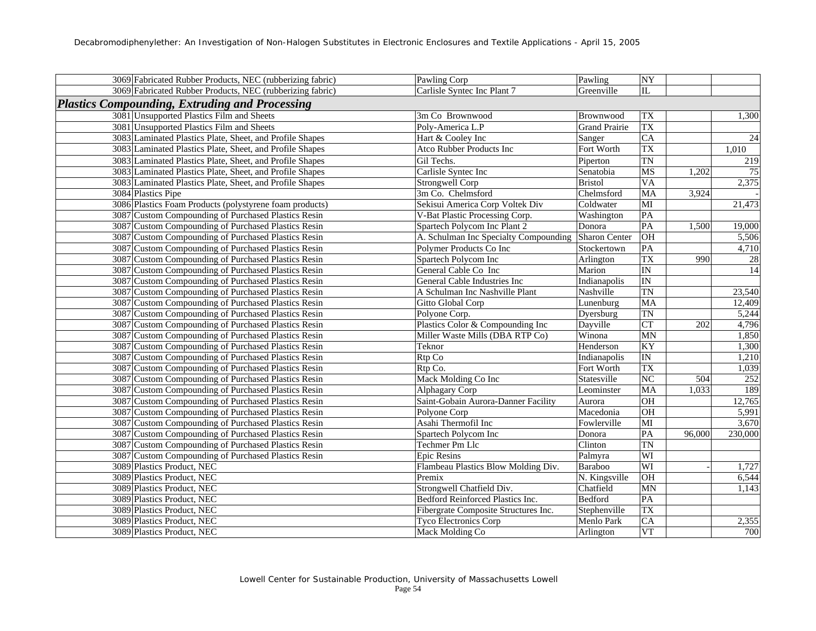| 3069 Fabricated Rubber Products, NEC (rubberizing fabric) | Pawling Corp                          | Pawling              | NY                     |        |                 |
|-----------------------------------------------------------|---------------------------------------|----------------------|------------------------|--------|-----------------|
| 3069 Fabricated Rubber Products, NEC (rubberizing fabric) | Carlisle Syntec Inc Plant 7           | Greenville           | IL                     |        |                 |
| <b>Plastics Compounding, Extruding and Processing</b>     |                                       |                      |                        |        |                 |
| 3081 Unsupported Plastics Film and Sheets                 | 3m Co Brownwood                       | Brownwood            | <b>TX</b>              |        | 1,300           |
| 3081 Unsupported Plastics Film and Sheets                 | Poly-America L.P                      | <b>Grand Prairie</b> | <b>TX</b>              |        |                 |
| 3083 Laminated Plastics Plate, Sheet, and Profile Shapes  | Hart & Cooley Inc                     | Sanger               | CA                     |        | $\overline{24}$ |
| 3083 Laminated Plastics Plate, Sheet, and Profile Shapes  | Atco Rubber Products Inc              | Fort Worth           | TX                     |        | 1,010           |
| 3083 Laminated Plastics Plate, Sheet, and Profile Shapes  | Gil Techs.                            | Piperton             | $\overline{\text{TN}}$ |        | 219             |
| 3083 Laminated Plastics Plate, Sheet, and Profile Shapes  | Carlisle Syntec Inc                   | Senatobia            | MS                     | 1,202  | 75              |
| 3083 Laminated Plastics Plate, Sheet, and Profile Shapes  | Strongwell Corp                       | <b>Bristol</b>       | <b>VA</b>              |        | 2,375           |
| 3084 Plastics Pipe                                        | 3m Co. Chelmsford                     | Chelmsford           | MA                     | 3,924  |                 |
| 3086 Plastics Foam Products (polystyrene foam products)   | Sekisui America Corp Voltek Div       | Coldwater            | $\overline{\text{MI}}$ |        | 21,473          |
| 3087 Custom Compounding of Purchased Plastics Resin       | V-Bat Plastic Processing Corp.        | Washington           | PA                     |        |                 |
| 3087 Custom Compounding of Purchased Plastics Resin       | Spartech Polycom Inc Plant 2          | Donora               | PA                     | 1,500  | 19,000          |
| 3087 Custom Compounding of Purchased Plastics Resin       | A. Schulman Inc Specialty Compounding | <b>Sharon Center</b> | OH                     |        | 5,506           |
| 3087 Custom Compounding of Purchased Plastics Resin       | Polymer Products Co Inc               | Stockertown          | PA                     |        | 4,710           |
| 3087 Custom Compounding of Purchased Plastics Resin       | Spartech Polycom Inc                  | Arlington            | TX                     | 990    | $28\,$          |
| 3087 Custom Compounding of Purchased Plastics Resin       | General Cable Co Inc                  | Marion               | IN                     |        | 14              |
| 3087 Custom Compounding of Purchased Plastics Resin       | General Cable Industries Inc          | Indianapolis         | IN                     |        |                 |
| 3087 Custom Compounding of Purchased Plastics Resin       | A Schulman Inc Nashville Plant        | Nashville            | <b>TN</b>              |        | 23,540          |
| 3087 Custom Compounding of Purchased Plastics Resin       | Gitto Global Corp                     | Lunenburg            | <b>MA</b>              |        | 12,409          |
| 3087 Custom Compounding of Purchased Plastics Resin       | Polyone Corp.                         | Dyersburg            | <b>TN</b>              |        | 5,244           |
| 3087 Custom Compounding of Purchased Plastics Resin       | Plastics Color & Compounding Inc      | Dayville             | CT                     | 202    | 4,796           |
| 3087 Custom Compounding of Purchased Plastics Resin       | Miller Waste Mills (DBA RTP Co)       | Winona               | MN                     |        | 1,850           |
| 3087 Custom Compounding of Purchased Plastics Resin       | Teknor                                | Henderson            | KY                     |        | 1,300           |
| 3087 Custom Compounding of Purchased Plastics Resin       | Rtp Co                                | Indianapolis         | $\overline{\text{IN}}$ |        | 1,210           |
| 3087 Custom Compounding of Purchased Plastics Resin       | Rtp Co.                               | Fort Worth           | <b>TX</b>              |        | 1,039           |
| 3087 Custom Compounding of Purchased Plastics Resin       | Mack Molding Co Inc                   | Statesville          | NC                     | 504    | 252             |
| 3087 Custom Compounding of Purchased Plastics Resin       | Alphagary Corp                        | Leominster           | MA                     | 1,033  | 189             |
| 3087 Custom Compounding of Purchased Plastics Resin       | Saint-Gobain Aurora-Danner Facility   | Aurora               | $\overline{OH}$        |        | 12,765          |
| 3087 Custom Compounding of Purchased Plastics Resin       | Polyone Corp                          | Macedonia            | OH                     |        | 5,991           |
| 3087 Custom Compounding of Purchased Plastics Resin       | Asahi Thermofil Inc                   | Fowlerville          | $\overline{MI}$        |        | 3,670           |
| 3087 Custom Compounding of Purchased Plastics Resin       | Spartech Polycom Inc                  | Donora               | PA                     | 96,000 | 230,000         |
| 3087 Custom Compounding of Purchased Plastics Resin       | Techmer Pm Llc                        | Clinton              | <b>TN</b>              |        |                 |
| 3087 Custom Compounding of Purchased Plastics Resin       | <b>Epic Resins</b>                    | Palmyra              | WI                     |        |                 |
| 3089 Plastics Product, NEC                                | Flambeau Plastics Blow Molding Div.   | Baraboo              | WI                     |        | 1,727           |
| 3089 Plastics Product, NEC                                | Premix                                | N. Kingsville        | <b>OH</b>              |        | 6,544           |
| 3089 Plastics Product, NEC                                | Strongwell Chatfield Div.             | Chatfield            | MN                     |        | 1,143           |
| 3089 Plastics Product, NEC                                | Bedford Reinforced Plastics Inc.      | Bedford              | PA                     |        |                 |
| 3089 Plastics Product, NEC                                | Fibergrate Composite Structures Inc.  | Stephenville         | <b>TX</b>              |        |                 |
| 3089 Plastics Product, NEC                                | <b>Tyco Electronics Corp</b>          | Menlo Park           | $\overline{\text{CA}}$ |        | 2,355           |
| 3089 Plastics Product, NEC                                | Mack Molding Co                       | Arlington            | <b>VT</b>              |        | 700             |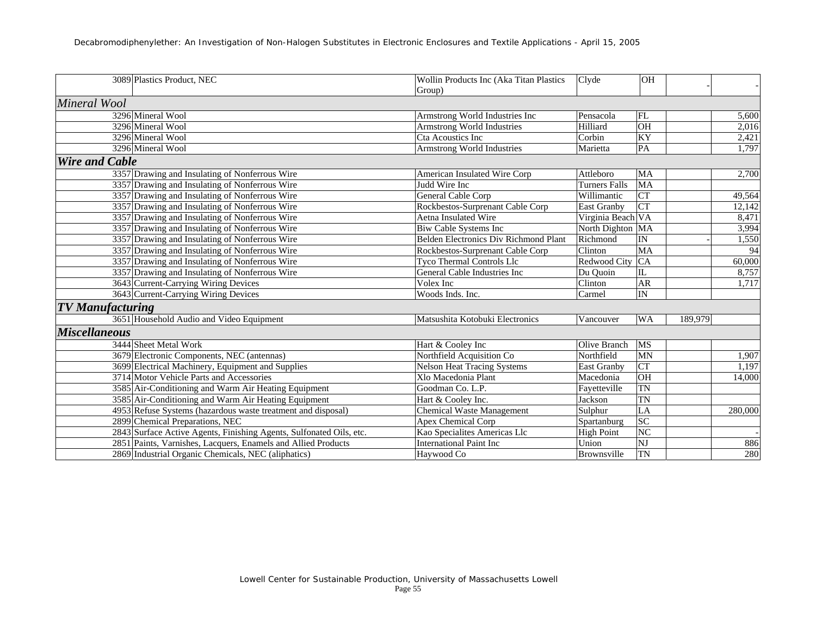|                         | 3089 Plastics Product, NEC                                          | Wollin Products Inc (Aka Titan Plastics | Clyde                | OH                     |         |
|-------------------------|---------------------------------------------------------------------|-----------------------------------------|----------------------|------------------------|---------|
|                         |                                                                     | Group)                                  |                      |                        |         |
| Mineral Wool            |                                                                     |                                         |                      |                        |         |
|                         | 3296 Mineral Wool                                                   | Armstrong World Industries Inc          | Pensacola            | FL                     | 5,600   |
|                         | 3296 Mineral Wool                                                   | <b>Armstrong World Industries</b>       | Hilliard             | OH                     | 2,016   |
|                         | 3296 Mineral Wool                                                   | Cta Acoustics Inc                       | Corbin               | KY                     | 2,421   |
|                         | 3296 Mineral Wool                                                   | Armstrong World Industries              | Marietta             | PA                     | 1,797   |
| <b>Wire and Cable</b>   |                                                                     |                                         |                      |                        |         |
|                         | 3357 Drawing and Insulating of Nonferrous Wire                      | American Insulated Wire Corp            | Attleboro            | <b>MA</b>              | 2,700   |
|                         | 3357 Drawing and Insulating of Nonferrous Wire                      | Judd Wire Inc                           | <b>Turners Falls</b> | MA                     |         |
|                         | 3357 Drawing and Insulating of Nonferrous Wire                      | General Cable Corp                      | Willimantic          | CT                     | 49,564  |
|                         | 3357 Drawing and Insulating of Nonferrous Wire                      | Rockbestos-Surprenant Cable Corp        | East Granby          | $\overline{\text{CT}}$ | 12,142  |
|                         | 3357 Drawing and Insulating of Nonferrous Wire                      | Aetna Insulated Wire                    | Virginia Beach VA    |                        | 8,471   |
|                         | 3357 Drawing and Insulating of Nonferrous Wire                      | <b>Biw Cable Systems Inc</b>            | North Dighton MA     |                        | 3,994   |
|                         | 3357 Drawing and Insulating of Nonferrous Wire                      | Belden Electronics Div Richmond Plant   | Richmond             | IN                     | 1,550   |
|                         | 3357 Drawing and Insulating of Nonferrous Wire                      | Rockbestos-Surprenant Cable Corp        | Clinton              | MA                     | 94      |
|                         | 3357 Drawing and Insulating of Nonferrous Wire                      | Tyco Thermal Controls Llc               | Redwood City         | CA                     | 60,000  |
|                         | 3357 Drawing and Insulating of Nonferrous Wire                      | General Cable Industries Inc            | Du Quoin             | $\rm IL$               | 8,757   |
|                         | 3643 Current-Carrying Wiring Devices                                | Volex Inc                               | Clinton              | <b>AR</b>              | 1,717   |
|                         | 3643 Current-Carrying Wiring Devices                                | Woods Inds. Inc.                        | Carmel               | IN                     |         |
| <b>TV</b> Manufacturing |                                                                     |                                         |                      |                        |         |
|                         | 3651 Household Audio and Video Equipment                            | Matsushita Kotobuki Electronics         | Vancouver            | <b>WA</b>              | 189.979 |
| <b>Miscellaneous</b>    |                                                                     |                                         |                      |                        |         |
|                         | 3444 Sheet Metal Work                                               | Hart & Cooley Inc                       | Olive Branch         | MS                     |         |
|                         | 3679 Electronic Components, NEC (antennas)                          | Northfield Acquisition Co               | Northfield           | <b>MN</b>              | 1,907   |
|                         | 3699 Electrical Machinery, Equipment and Supplies                   | <b>Nelson Heat Tracing Systems</b>      | <b>East Granby</b>   | <b>CT</b>              | 1,197   |
|                         | 3714 Motor Vehicle Parts and Accessories                            | Xlo Macedonia Plant                     | Macedonia            | OH                     | 14,000  |
|                         | 3585 Air-Conditioning and Warm Air Heating Equipment                | Goodman Co. L.P.                        | Favetteville         | <b>TN</b>              |         |
|                         | 3585 Air-Conditioning and Warm Air Heating Equipment                | Hart & Cooley Inc.                      | Jackson              | <b>TN</b>              |         |
|                         | 4953 Refuse Systems (hazardous waste treatment and disposal)        | <b>Chemical Waste Management</b>        | Sulphur              | LA                     | 280,000 |
|                         | 2899 Chemical Preparations, NEC                                     | Apex Chemical Corp                      | Spartanburg          | SC                     |         |
|                         | 2843 Surface Active Agents, Finishing Agents, Sulfonated Oils, etc. | Kao Specialites Americas Llc            | <b>High Point</b>    | <b>NC</b>              |         |
|                         | 2851 Paints, Varnishes, Lacquers, Enamels and Allied Products       | <b>International Paint Inc</b>          | Union                | NJ                     | 886     |
|                         | 2869 Industrial Organic Chemicals, NEC (aliphatics)                 | Havwood Co                              | Brownsville          | TN                     | 280     |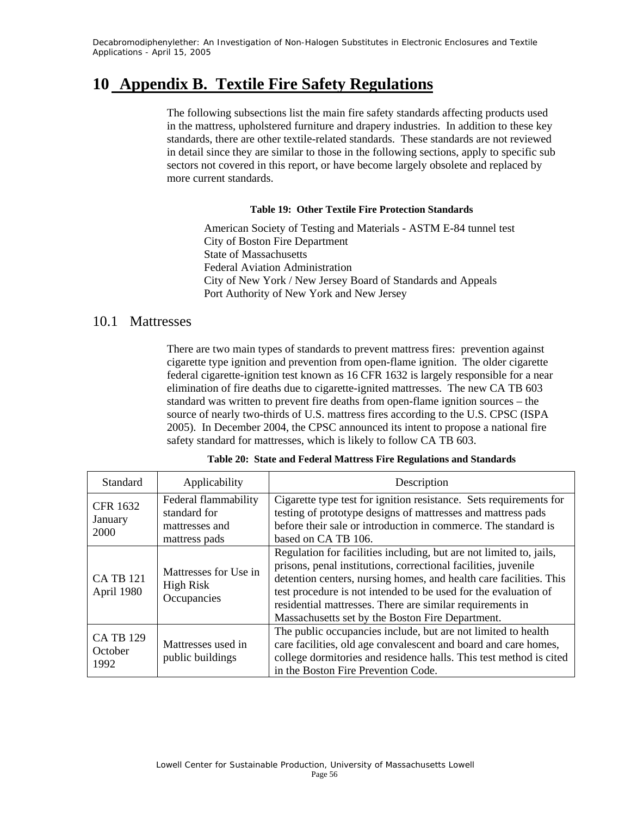### **10 Appendix B. Textile Fire Safety Regulations**

The following subsections list the main fire safety standards affecting products used in the mattress, upholstered furniture and drapery industries. In addition to these key standards, there are other textile-related standards. These standards are not reviewed in detail since they are similar to those in the following sections, apply to specific sub sectors not covered in this report, or have become largely obsolete and replaced by more current standards.

#### **Table 19: Other Textile Fire Protection Standards**

American Society of Testing and Materials - ASTM E-84 tunnel test City of Boston Fire Department State of Massachusetts Federal Aviation Administration City of New York / New Jersey Board of Standards and Appeals Port Authority of New York and New Jersey

### 10.1 Mattresses

There are two main types of standards to prevent mattress fires: prevention against cigarette type ignition and prevention from open-flame ignition. The older cigarette federal cigarette-ignition test known as 16 CFR 1632 is largely responsible for a near elimination of fire deaths due to cigarette-ignited mattresses. The new CA TB 603 standard was written to prevent fire deaths from open-flame ignition sources – the source of nearly two-thirds of U.S. mattress fires according to the U.S. CPSC (ISPA 2005). In December 2004, the CPSC announced its intent to propose a national fire safety standard for mattresses, which is likely to follow CA TB 603.

| <b>Standard</b>                     | Applicability                                                           | Description                                                                                                                                                                                                                                                                                                                                                                                     |
|-------------------------------------|-------------------------------------------------------------------------|-------------------------------------------------------------------------------------------------------------------------------------------------------------------------------------------------------------------------------------------------------------------------------------------------------------------------------------------------------------------------------------------------|
| <b>CFR 1632</b><br>January<br>2000  | Federal flammability<br>standard for<br>mattresses and<br>mattress pads | Cigarette type test for ignition resistance. Sets requirements for<br>testing of prototype designs of mattresses and mattress pads<br>before their sale or introduction in commerce. The standard is<br>based on CA TB 106.                                                                                                                                                                     |
| <b>CA TB 121</b><br>April 1980      | Mattresses for Use in<br><b>High Risk</b><br>Occupancies                | Regulation for facilities including, but are not limited to, jails,<br>prisons, penal institutions, correctional facilities, juvenile<br>detention centers, nursing homes, and health care facilities. This<br>test procedure is not intended to be used for the evaluation of<br>residential mattresses. There are similar requirements in<br>Massachusetts set by the Boston Fire Department. |
| <b>CA TB 129</b><br>October<br>1992 | Mattresses used in<br>public buildings                                  | The public occupancies include, but are not limited to health<br>care facilities, old age convalescent and board and care homes,<br>college dormitories and residence halls. This test method is cited<br>in the Boston Fire Prevention Code.                                                                                                                                                   |

|  |  |  |  |  |  | Table 20: State and Federal Mattress Fire Regulations and Standards |
|--|--|--|--|--|--|---------------------------------------------------------------------|
|--|--|--|--|--|--|---------------------------------------------------------------------|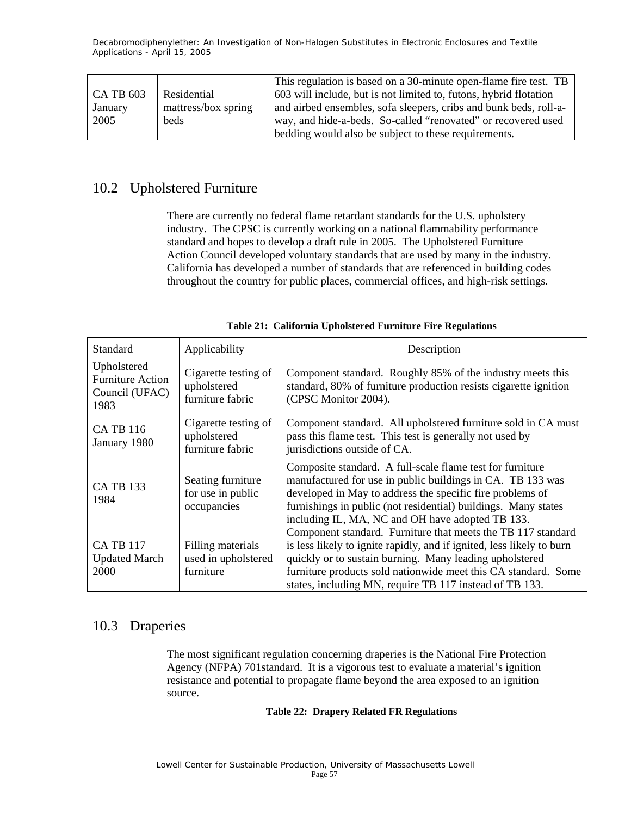|                  |                     | This regulation is based on a 30-minute open-flame fire test. TB  |
|------------------|---------------------|-------------------------------------------------------------------|
| <b>CA TB 603</b> | Residential         | 603 will include, but is not limited to, futons, hybrid flotation |
| January          | mattress/box spring | and airbed ensembles, sofa sleepers, cribs and bunk beds, roll-a- |
| 2005             | <b>beds</b>         | way, and hide-a-beds. So-called "renovated" or recovered used     |
|                  |                     | bedding would also be subject to these requirements.              |

### 10.2 Upholstered Furniture

There are currently no federal flame retardant standards for the U.S. upholstery industry. The CPSC is currently working on a national flammability performance standard and hopes to develop a draft rule in 2005. The Upholstered Furniture Action Council developed voluntary standards that are used by many in the industry. California has developed a number of standards that are referenced in building codes throughout the country for public places, commercial offices, and high-risk settings.

| Standard                                                         | Applicability                                           | Description                                                                                                                                                                                                                                                                                                                   |
|------------------------------------------------------------------|---------------------------------------------------------|-------------------------------------------------------------------------------------------------------------------------------------------------------------------------------------------------------------------------------------------------------------------------------------------------------------------------------|
| Upholstered<br><b>Furniture Action</b><br>Council (UFAC)<br>1983 | Cigarette testing of<br>upholstered<br>furniture fabric | Component standard. Roughly 85% of the industry meets this<br>standard, 80% of furniture production resists cigarette ignition<br>(CPSC Monitor 2004).                                                                                                                                                                        |
| <b>CA TB 116</b><br>January 1980                                 | Cigarette testing of<br>upholstered<br>furniture fabric | Component standard. All upholstered furniture sold in CA must<br>pass this flame test. This test is generally not used by<br>jurisdictions outside of CA.                                                                                                                                                                     |
| <b>CA TB 133</b><br>1984                                         | Seating furniture<br>for use in public<br>occupancies   | Composite standard. A full-scale flame test for furniture<br>manufactured for use in public buildings in CA. TB 133 was<br>developed in May to address the specific fire problems of<br>furnishings in public (not residential) buildings. Many states<br>including IL, MA, NC and OH have adopted TB 133.                    |
| <b>CA TB 117</b><br><b>Updated March</b><br>2000                 | Filling materials<br>used in upholstered<br>furniture   | Component standard. Furniture that meets the TB 117 standard<br>is less likely to ignite rapidly, and if ignited, less likely to burn<br>quickly or to sustain burning. Many leading upholstered<br>furniture products sold nationwide meet this CA standard. Some<br>states, including MN, require TB 117 instead of TB 133. |

**Table 21: California Upholstered Furniture Fire Regulations** 

### 10.3 Draperies

The most significant regulation concerning draperies is the National Fire Protection Agency (NFPA) 701standard. It is a vigorous test to evaluate a material's ignition resistance and potential to propagate flame beyond the area exposed to an ignition source.

#### **Table 22: Drapery Related FR Regulations**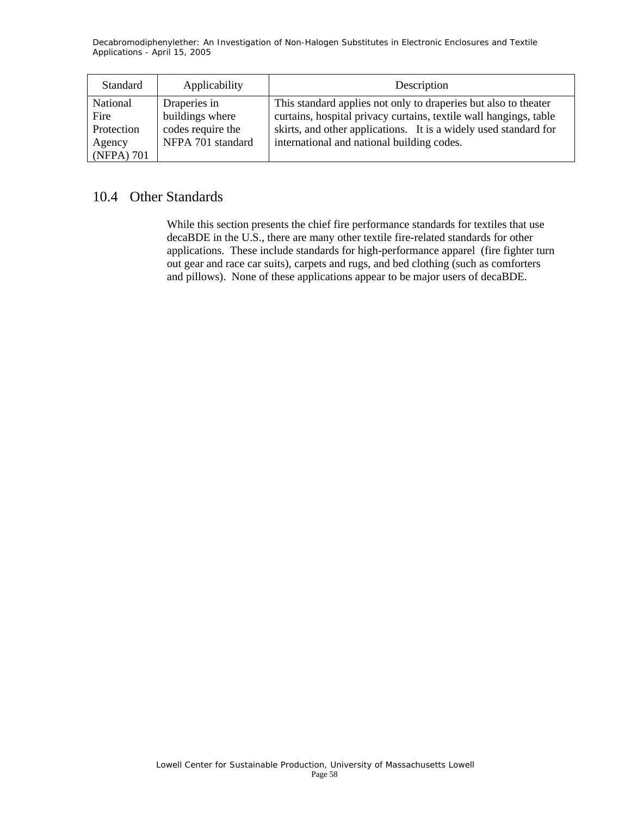| Standard                                               | Applicability                                                             | Description                                                                                                                                                                                                                                            |
|--------------------------------------------------------|---------------------------------------------------------------------------|--------------------------------------------------------------------------------------------------------------------------------------------------------------------------------------------------------------------------------------------------------|
| National<br>Fire<br>Protection<br>Agency<br>(NFPA) 701 | Draperies in<br>buildings where<br>codes require the<br>NFPA 701 standard | This standard applies not only to draperies but also to theater<br>curtains, hospital privacy curtains, textile wall hangings, table<br>skirts, and other applications. It is a widely used standard for<br>international and national building codes. |

### 10.4 Other Standards

While this section presents the chief fire performance standards for textiles that use decaBDE in the U.S., there are many other textile fire-related standards for other applications. These include standards for high-performance apparel (fire fighter turn out gear and race car suits), carpets and rugs, and bed clothing (such as comforters and pillows). None of these applications appear to be major users of decaBDE.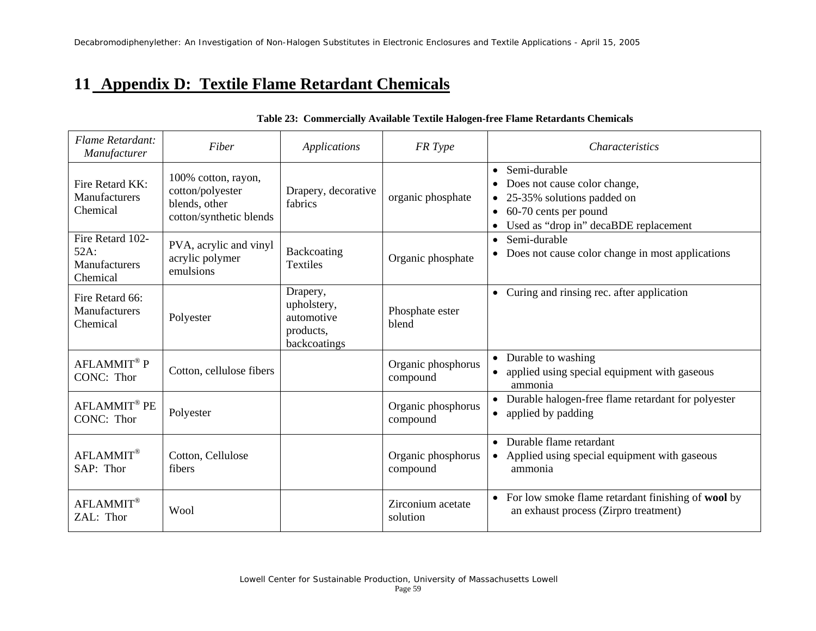## **11 Appendix D: Textile Flame Retardant Chemicals**

| Flame Retardant:<br>Manufacturer                      | Fiber                                                                               | Applications                                                       | FR Type                        | <b>Characteristics</b>                                                                                                                                      |
|-------------------------------------------------------|-------------------------------------------------------------------------------------|--------------------------------------------------------------------|--------------------------------|-------------------------------------------------------------------------------------------------------------------------------------------------------------|
| Fire Retard KK:<br>Manufacturers<br>Chemical          | 100% cotton, rayon,<br>cotton/polyester<br>blends, other<br>cotton/synthetic blends | Drapery, decorative<br>fabrics                                     | organic phosphate              | • Semi-durable<br>Does not cause color change,<br>25-35% solutions padded on<br>60-70 cents per pound<br>$\bullet$<br>Used as "drop in" decaBDE replacement |
| Fire Retard 102-<br>52A:<br>Manufacturers<br>Chemical | PVA, acrylic and vinyl<br>acrylic polymer<br>emulsions                              | Backcoating<br>Textiles                                            | Organic phosphate              | Semi-durable<br>$\bullet$<br>Does not cause color change in most applications<br>$\bullet$                                                                  |
| Fire Retard 66:<br>Manufacturers<br>Chemical          | Polyester                                                                           | Drapery,<br>upholstery,<br>automotive<br>products,<br>backcoatings | Phosphate ester<br>blend       | • Curing and rinsing rec. after application                                                                                                                 |
| $\text{AFLAMMIT}^{\circledR}$ P<br>CONC: Thor         | Cotton, cellulose fibers                                                            |                                                                    | Organic phosphorus<br>compound | Durable to washing<br>$\bullet$<br>applied using special equipment with gaseous<br>ammonia                                                                  |
| AFLAMMIT® PE<br>CONC: Thor                            | Polyester                                                                           |                                                                    | Organic phosphorus<br>compound | • Durable halogen-free flame retardant for polyester<br>• applied by padding                                                                                |
| AFLAMMIT®<br>SAP: Thor                                | Cotton, Cellulose<br>fibers                                                         |                                                                    | Organic phosphorus<br>compound | Durable flame retardant<br>$\bullet$<br>• Applied using special equipment with gaseous<br>ammonia                                                           |
| <b>AFLAMMIT®</b><br>ZAL: Thor                         | Wool                                                                                |                                                                    | Zirconium acetate<br>solution  | For low smoke flame retardant finishing of wool by<br>$\bullet$<br>an exhaust process (Zirpro treatment)                                                    |

#### **Table 23: Commercially Available Textile Halogen-free Flame Retardants Chemicals**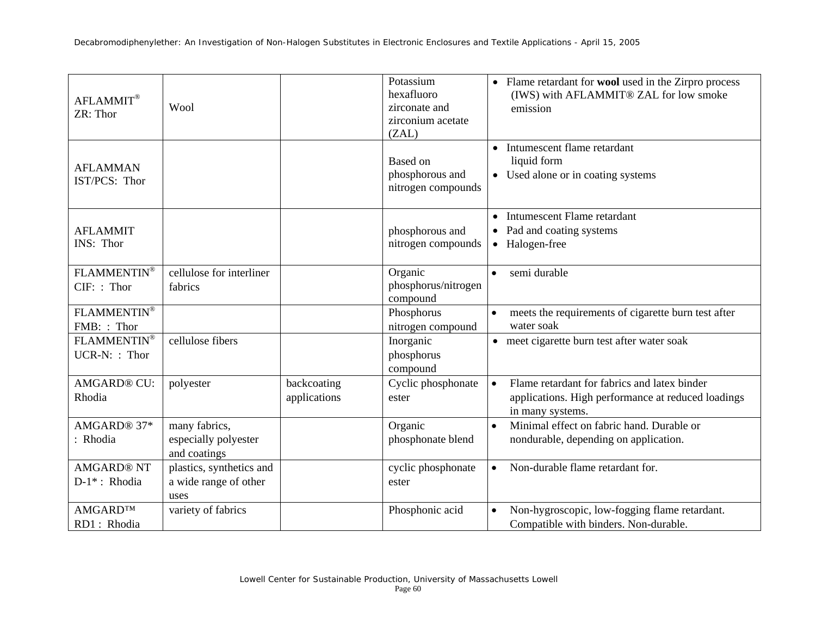| <b>AFLAMMIT®</b><br>ZR: Thor      | Wool                                                      |                             | Potassium<br>hexafluoro<br>zirconate and<br>zirconium acetate<br>(ZAL) | • Flame retardant for wool used in the Zirpro process<br>(IWS) with AFLAMMIT® ZAL for low smoke<br>emission                         |
|-----------------------------------|-----------------------------------------------------------|-----------------------------|------------------------------------------------------------------------|-------------------------------------------------------------------------------------------------------------------------------------|
| <b>AFLAMMAN</b><br>IST/PCS: Thor  |                                                           |                             | Based on<br>phosphorous and<br>nitrogen compounds                      | • Intumescent flame retardant<br>liquid form<br>• Used alone or in coating systems                                                  |
| <b>AFLAMMIT</b><br>INS: Thor      |                                                           |                             | phosphorous and<br>nitrogen compounds                                  | • Intumescent Flame retardant<br>• Pad and coating systems<br>• Halogen-free                                                        |
| FLAMMENTIN®<br>CIF: : Thor        | cellulose for interliner<br>fabrics                       |                             | Organic<br>phosphorus/nitrogen<br>compound                             | semi durable                                                                                                                        |
| FLAMMENTIN®<br>FMB:: Thor         |                                                           |                             | Phosphorus<br>nitrogen compound                                        | meets the requirements of cigarette burn test after<br>water soak                                                                   |
| FLAMMENTIN®<br>UCR-N:: Thor       | cellulose fibers                                          |                             | Inorganic<br>phosphorus<br>compound                                    | • meet cigarette burn test after water soak                                                                                         |
| <b>AMGARD® CU:</b><br>Rhodia      | polyester                                                 | backcoating<br>applications | Cyclic phosphonate<br>ester                                            | Flame retardant for fabrics and latex binder<br>$\bullet$<br>applications. High performance at reduced loadings<br>in many systems. |
| AMGARD® 37*<br>: Rhodia           | many fabrics,<br>especially polyester<br>and coatings     |                             | Organic<br>phosphonate blend                                           | Minimal effect on fabric hand. Durable or<br>$\bullet$<br>nondurable, depending on application.                                     |
| <b>AMGARD® NT</b><br>D-1*: Rhodia | plastics, synthetics and<br>a wide range of other<br>uses |                             | cyclic phosphonate<br>ester                                            | Non-durable flame retardant for.<br>$\bullet$                                                                                       |
| AMGARD™<br>RD1: Rhodia            | variety of fabrics                                        |                             | Phosphonic acid                                                        | Non-hygroscopic, low-fogging flame retardant.<br>$\bullet$<br>Compatible with binders. Non-durable.                                 |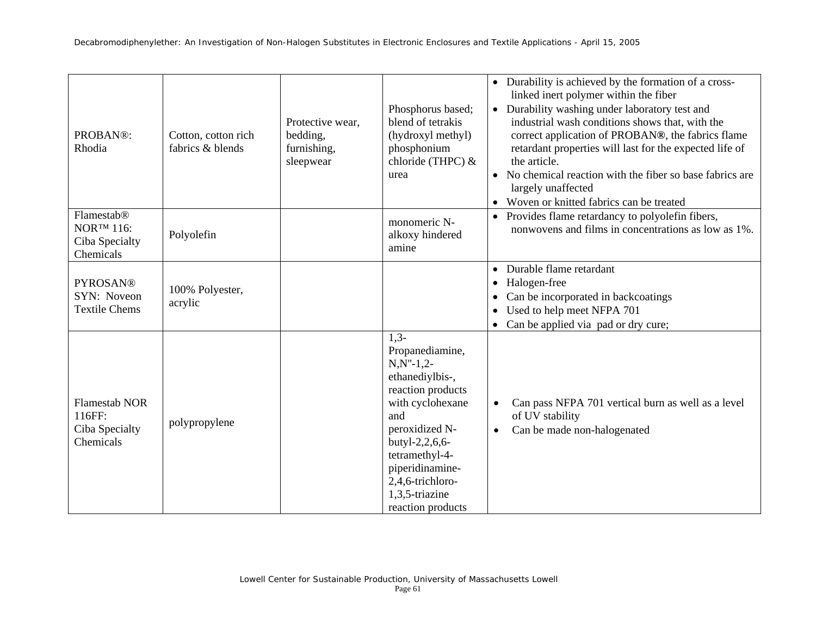| PROBAN®:<br>Rhodia                                             | Cotton, cotton rich<br>fabrics & blends | Protective wear,<br>bedding,<br>furnishing,<br>sleepwear | Phosphorus based;<br>blend of tetrakis<br>(hydroxyl methyl)<br>phosphonium<br>chloride (THPC) &<br>urea                                                                                                                                            | • Durability is achieved by the formation of a cross-<br>linked inert polymer within the fiber<br>• Durability washing under laboratory test and<br>industrial wash conditions shows that, with the<br>correct application of PROBAN®, the fabrics flame<br>retardant properties will last for the expected life of<br>the article.<br>• No chemical reaction with the fiber so base fabrics are<br>largely unaffected<br>• Woven or knitted fabrics can be treated |
|----------------------------------------------------------------|-----------------------------------------|----------------------------------------------------------|----------------------------------------------------------------------------------------------------------------------------------------------------------------------------------------------------------------------------------------------------|---------------------------------------------------------------------------------------------------------------------------------------------------------------------------------------------------------------------------------------------------------------------------------------------------------------------------------------------------------------------------------------------------------------------------------------------------------------------|
| Flamestab®<br><b>NORTM 116:</b><br>Ciba Specialty<br>Chemicals | Polyolefin                              |                                                          | monomeric N-<br>alkoxy hindered<br>amine                                                                                                                                                                                                           | • Provides flame retardancy to polyolefin fibers,<br>nonwovens and films in concentrations as low as 1%.                                                                                                                                                                                                                                                                                                                                                            |
| <b>PYROSAN®</b><br>SYN: Noveon<br><b>Textile Chems</b>         | 100% Polyester,<br>acrylic              |                                                          |                                                                                                                                                                                                                                                    | Durable flame retardant<br>Halogen-free<br>$\bullet$<br>Can be incorporated in backcoatings<br>• Used to help meet NFPA 701<br>Can be applied via pad or dry cure;                                                                                                                                                                                                                                                                                                  |
| <b>Flamestab NOR</b><br>116FF:<br>Ciba Specialty<br>Chemicals  | polypropylene                           |                                                          | $1,3-$<br>Propanediamine,<br>$N, N''-1, 2-$<br>ethanediylbis-,<br>reaction products<br>with cyclohexane<br>and<br>peroxidized N-<br>butyl-2,2,6,6-<br>tetramethyl-4-<br>piperidinamine-<br>2,4,6-trichloro-<br>1,3,5-triazine<br>reaction products | Can pass NFPA 701 vertical burn as well as a level<br>of UV stability<br>Can be made non-halogenated<br>$\bullet$                                                                                                                                                                                                                                                                                                                                                   |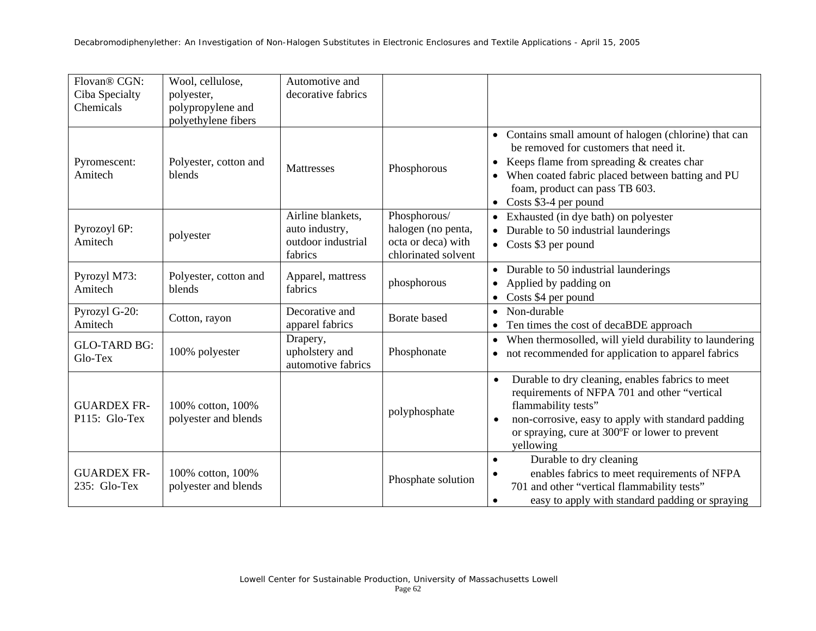| Flovan® CGN:<br>Ciba Specialty<br>Chemicals | Wool, cellulose,<br>polyester,<br>polypropylene and<br>polyethylene fibers | Automotive and<br>decorative fabrics                                 |                                                                                 |                                                                                                                                                                                                                                                                                |
|---------------------------------------------|----------------------------------------------------------------------------|----------------------------------------------------------------------|---------------------------------------------------------------------------------|--------------------------------------------------------------------------------------------------------------------------------------------------------------------------------------------------------------------------------------------------------------------------------|
| Pyromescent:<br>Amitech                     | Polyester, cotton and<br>blends                                            | Mattresses                                                           | Phosphorous                                                                     | • Contains small amount of halogen (chlorine) that can<br>be removed for customers that need it.<br>Keeps flame from spreading & creates char<br>$\bullet$<br>• When coated fabric placed between batting and PU<br>foam, product can pass TB 603.<br>• Costs $$3-4$ per pound |
| Pyrozoyl 6P:<br>Amitech                     | polyester                                                                  | Airline blankets,<br>auto industry,<br>outdoor industrial<br>fabrics | Phosphorous/<br>halogen (no penta,<br>octa or deca) with<br>chlorinated solvent | • Exhausted (in dye bath) on polyester<br>• Durable to 50 industrial launderings<br>• Costs \$3 per pound                                                                                                                                                                      |
| Pyrozyl M73:<br>Amitech                     | Polyester, cotton and<br>blends                                            | Apparel, mattress<br>fabrics                                         | phosphorous                                                                     | • Durable to 50 industrial launderings<br>• Applied by padding on<br>$\bullet$ Costs \$4 per pound                                                                                                                                                                             |
| Pyrozyl G-20:<br>Amitech                    | Cotton, rayon                                                              | Decorative and<br>apparel fabrics                                    | Borate based                                                                    | • Non-durable<br>Ten times the cost of decaBDE approach                                                                                                                                                                                                                        |
| <b>GLO-TARD BG:</b><br>Glo-Tex              | 100% polyester                                                             | Drapery,<br>upholstery and<br>automotive fabrics                     | Phosphonate                                                                     | When thermosolled, will yield durability to laundering<br>$\bullet$<br>• not recommended for application to apparel fabrics                                                                                                                                                    |
| <b>GUARDEX FR-</b><br>P115: Glo-Tex         | 100% cotton, 100%<br>polyester and blends                                  |                                                                      | polyphosphate                                                                   | Durable to dry cleaning, enables fabrics to meet<br>$\bullet$<br>requirements of NFPA 701 and other "vertical<br>flammability tests"<br>non-corrosive, easy to apply with standard padding<br>or spraying, cure at 300°F or lower to prevent<br>yellowing                      |
| <b>GUARDEX FR-</b><br>235: Glo-Tex          | 100% cotton, 100%<br>polyester and blends                                  |                                                                      | Phosphate solution                                                              | Durable to dry cleaning<br>$\bullet$<br>enables fabrics to meet requirements of NFPA<br>701 and other "vertical flammability tests"<br>easy to apply with standard padding or spraying<br>$\bullet$                                                                            |